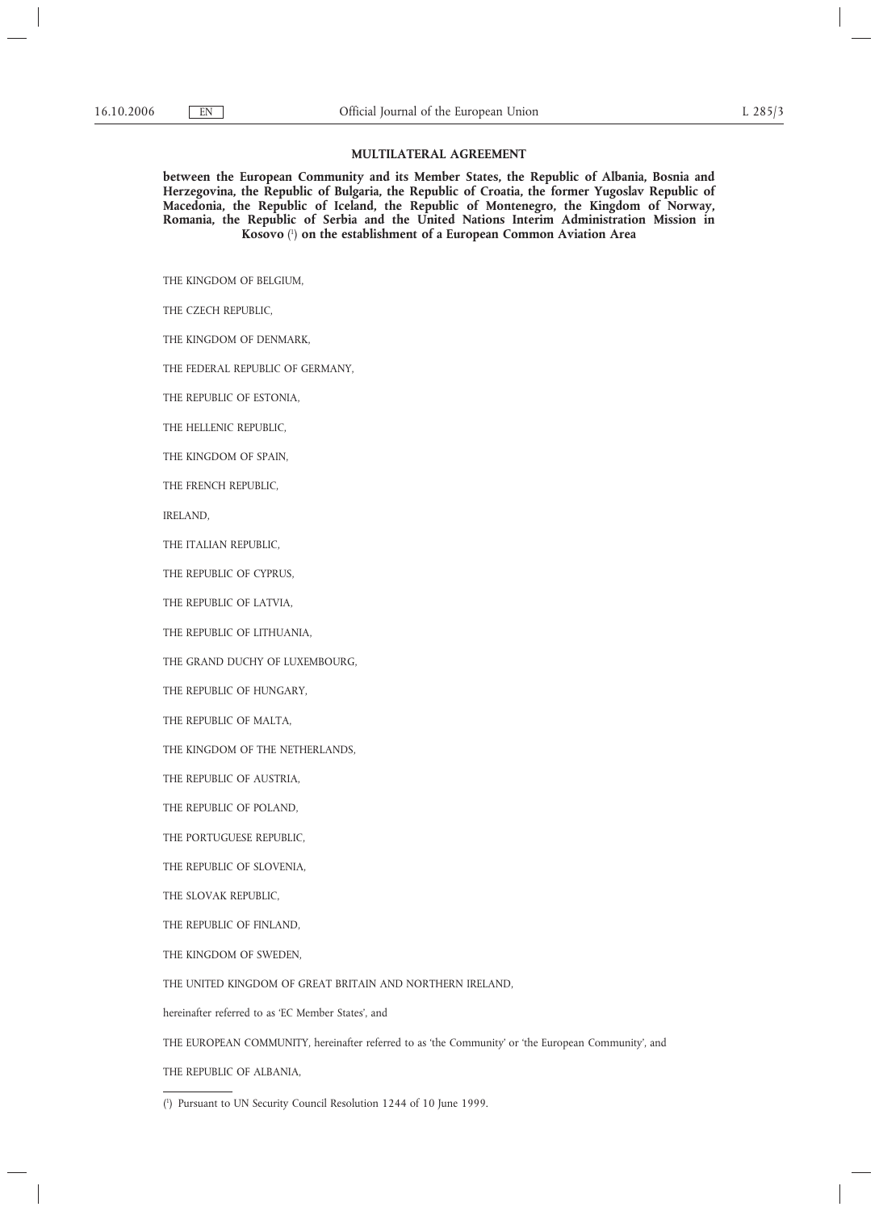### **MULTILATERAL AGREEMENT**

**between the European Community and its Member States, the Republic of Albania, Bosnia and Herzegovina, the Republic of Bulgaria, the Republic of Croatia, the former Yugoslav Republic of Macedonia, the Republic of Iceland, the Republic of Montenegro, the Kingdom of Norway, Romania, the Republic of Serbia and the United Nations Interim Administration Mission in Kosovo** ( 1 ) **on the establishment of a European Common Aviation Area**

THE KINGDOM OF BELGIUM,

THE CZECH REPUBLIC,

THE KINGDOM OF DENMARK,

THE FEDERAL REPUBLIC OF GERMANY,

THE REPUBLIC OF ESTONIA,

THE HELLENIC REPUBLIC,

THE KINGDOM OF SPAIN,

THE FRENCH REPUBLIC,

IRELAND,

THE ITALIAN REPUBLIC,

THE REPUBLIC OF CYPRUS,

THE REPUBLIC OF LATVIA,

THE REPUBLIC OF LITHUANIA,

THE GRAND DUCHY OF LUXEMBOURG,

THE REPUBLIC OF HUNGARY,

THE REPUBLIC OF MALTA,

THE KINGDOM OF THE NETHERLANDS,

THE REPUBLIC OF AUSTRIA,

THE REPUBLIC OF POLAND,

THE PORTUGUESE REPUBLIC,

THE REPUBLIC OF SLOVENIA,

THE SLOVAK REPUBLIC,

THE REPUBLIC OF FINLAND,

THE KINGDOM OF SWEDEN,

THE UNITED KINGDOM OF GREAT BRITAIN AND NORTHERN IRELAND,

hereinafter referred to as 'EC Member States', and

THE EUROPEAN COMMUNITY, hereinafter referred to as 'the Community' or 'the European Community', and

THE REPUBLIC OF ALBANIA,

<sup>(</sup> 1 ) Pursuant to UN Security Council Resolution 1244 of 10 June 1999.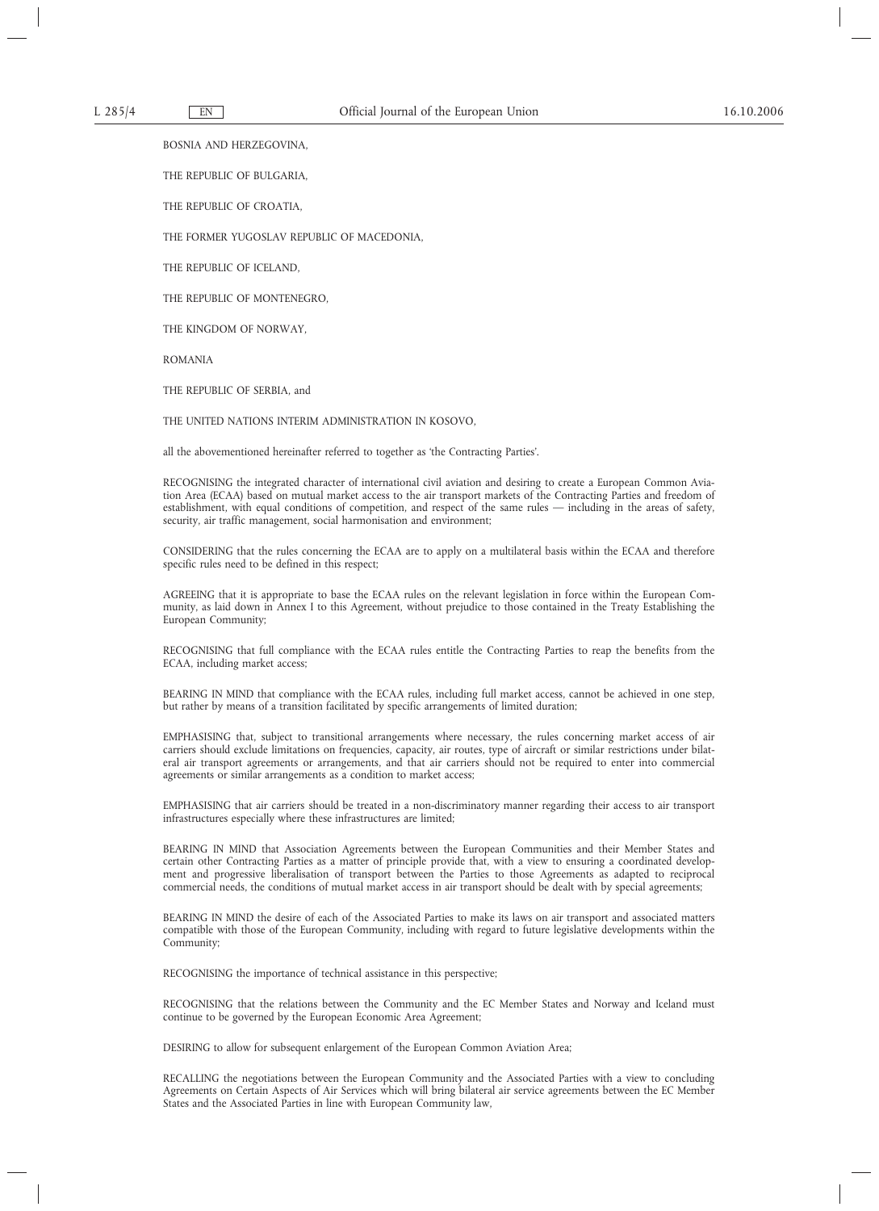BOSNIA AND HERZEGOVINA,

THE REPUBLIC OF BULGARIA,

THE REPUBLIC OF CROATIA,

THE FORMER YUGOSLAV REPUBLIC OF MACEDONIA,

THE REPUBLIC OF ICELAND,

THE REPUBLIC OF MONTENEGRO,

THE KINGDOM OF NORWAY,

ROMANIA

THE REPUBLIC OF SERBIA, and

THE UNITED NATIONS INTERIM ADMINISTRATION IN KOSOVO,

all the abovementioned hereinafter referred to together as 'the Contracting Parties'.

RECOGNISING the integrated character of international civil aviation and desiring to create a European Common Aviation Area (ECAA) based on mutual market access to the air transport markets of the Contracting Parties and freedom of establishment, with equal conditions of competition, and respect of the same rules — including in the areas of safety, security, air traffic management, social harmonisation and environment;

CONSIDERING that the rules concerning the ECAA are to apply on a multilateral basis within the ECAA and therefore specific rules need to be defined in this respect;

AGREEING that it is appropriate to base the ECAA rules on the relevant legislation in force within the European Community, as laid down in Annex I to this Agreement, without prejudice to those contained in the Treaty Establishing the European Community;

RECOGNISING that full compliance with the ECAA rules entitle the Contracting Parties to reap the benefits from the ECAA, including market access;

BEARING IN MIND that compliance with the ECAA rules, including full market access, cannot be achieved in one step, but rather by means of a transition facilitated by specific arrangements of limited duration;

EMPHASISING that, subject to transitional arrangements where necessary, the rules concerning market access of air carriers should exclude limitations on frequencies, capacity, air routes, type of aircraft or similar restrictions under bilateral air transport agreements or arrangements, and that air carriers should not be required to enter into commercial agreements or similar arrangements as a condition to market access;

EMPHASISING that air carriers should be treated in a non-discriminatory manner regarding their access to air transport infrastructures especially where these infrastructures are limited;

BEARING IN MIND that Association Agreements between the European Communities and their Member States and certain other Contracting Parties as a matter of principle provide that, with a view to ensuring a coordinated development and progressive liberalisation of transport between the Parties to those Agreements as adapted to reciprocal commercial needs, the conditions of mutual market access in air transport should be dealt with by special agreements;

BEARING IN MIND the desire of each of the Associated Parties to make its laws on air transport and associated matters compatible with those of the European Community, including with regard to future legislative developments within the Community;

RECOGNISING the importance of technical assistance in this perspective;

RECOGNISING that the relations between the Community and the EC Member States and Norway and Iceland must continue to be governed by the European Economic Area Agreement;

DESIRING to allow for subsequent enlargement of the European Common Aviation Area;

RECALLING the negotiations between the European Community and the Associated Parties with a view to concluding Agreements on Certain Aspects of Air Services which will bring bilateral air service agreements between the EC Member States and the Associated Parties in line with European Community law,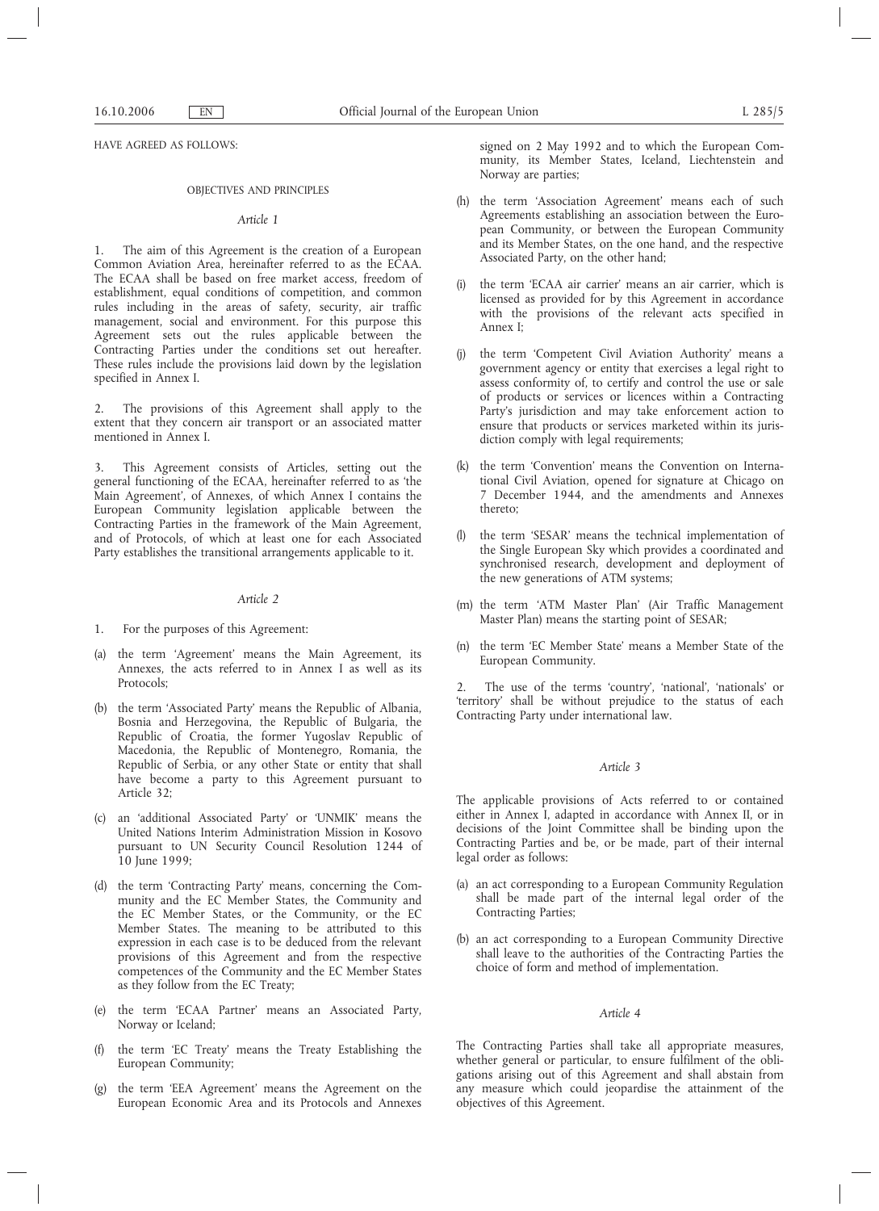HAVE AGREED AS FOLLOWS:

### OBJECTIVES AND PRINCIPLES

### *Article 1*

1. The aim of this Agreement is the creation of a European Common Aviation Area, hereinafter referred to as the ECAA. The ECAA shall be based on free market access, freedom of establishment, equal conditions of competition, and common rules including in the areas of safety, security, air traffic management, social and environment. For this purpose this Agreement sets out the rules applicable between the Contracting Parties under the conditions set out hereafter. These rules include the provisions laid down by the legislation specified in Annex I.

2. The provisions of this Agreement shall apply to the extent that they concern air transport or an associated matter mentioned in Annex I.

3. This Agreement consists of Articles, setting out the general functioning of the ECAA, hereinafter referred to as 'the Main Agreement', of Annexes, of which Annex I contains the European Community legislation applicable between the Contracting Parties in the framework of the Main Agreement, and of Protocols, of which at least one for each Associated Party establishes the transitional arrangements applicable to it.

### *Article 2*

- 1. For the purposes of this Agreement:
- (a) the term 'Agreement' means the Main Agreement, its Annexes, the acts referred to in Annex I as well as its Protocols;
- (b) the term 'Associated Party' means the Republic of Albania, Bosnia and Herzegovina, the Republic of Bulgaria, the Republic of Croatia, the former Yugoslav Republic of Macedonia, the Republic of Montenegro, Romania, the Republic of Serbia, or any other State or entity that shall have become a party to this Agreement pursuant to Article 32;
- (c) an 'additional Associated Party' or 'UNMIK' means the United Nations Interim Administration Mission in Kosovo pursuant to UN Security Council Resolution 1244 of 10 June 1999;
- (d) the term 'Contracting Party' means, concerning the Community and the EC Member States, the Community and the EC Member States, or the Community, or the EC Member States. The meaning to be attributed to this expression in each case is to be deduced from the relevant provisions of this Agreement and from the respective competences of the Community and the EC Member States as they follow from the EC Treaty;
- (e) the term 'ECAA Partner' means an Associated Party, Norway or Iceland;
- (f) the term 'EC Treaty' means the Treaty Establishing the European Community;
- (g) the term 'EEA Agreement' means the Agreement on the European Economic Area and its Protocols and Annexes

signed on 2 May 1992 and to which the European Community, its Member States, Iceland, Liechtenstein and Norway are parties;

- (h) the term 'Association Agreement' means each of such Agreements establishing an association between the European Community, or between the European Community and its Member States, on the one hand, and the respective Associated Party, on the other hand;
- (i) the term 'ECAA air carrier' means an air carrier, which is licensed as provided for by this Agreement in accordance with the provisions of the relevant acts specified in Annex I;
- (j) the term 'Competent Civil Aviation Authority' means a government agency or entity that exercises a legal right to assess conformity of, to certify and control the use or sale of products or services or licences within a Contracting Party's jurisdiction and may take enforcement action to ensure that products or services marketed within its jurisdiction comply with legal requirements;
- (k) the term 'Convention' means the Convention on International Civil Aviation, opened for signature at Chicago on 7 December 1944, and the amendments and Annexes thereto;
- (l) the term 'SESAR' means the technical implementation of the Single European Sky which provides a coordinated and synchronised research, development and deployment of the new generations of ATM systems;
- (m) the term 'ATM Master Plan' (Air Traffic Management Master Plan) means the starting point of SESAR;
- (n) the term 'EC Member State' means a Member State of the European Community.

2. The use of the terms 'country', 'national', 'nationals' or 'territory' shall be without prejudice to the status of each Contracting Party under international law.

## *Article 3*

The applicable provisions of Acts referred to or contained either in Annex I, adapted in accordance with Annex II, or in decisions of the Joint Committee shall be binding upon the Contracting Parties and be, or be made, part of their internal legal order as follows:

- (a) an act corresponding to a European Community Regulation shall be made part of the internal legal order of the Contracting Parties;
- (b) an act corresponding to a European Community Directive shall leave to the authorities of the Contracting Parties the choice of form and method of implementation.

#### *Article 4*

The Contracting Parties shall take all appropriate measures, whether general or particular, to ensure fulfilment of the obligations arising out of this Agreement and shall abstain from any measure which could jeopardise the attainment of the objectives of this Agreement.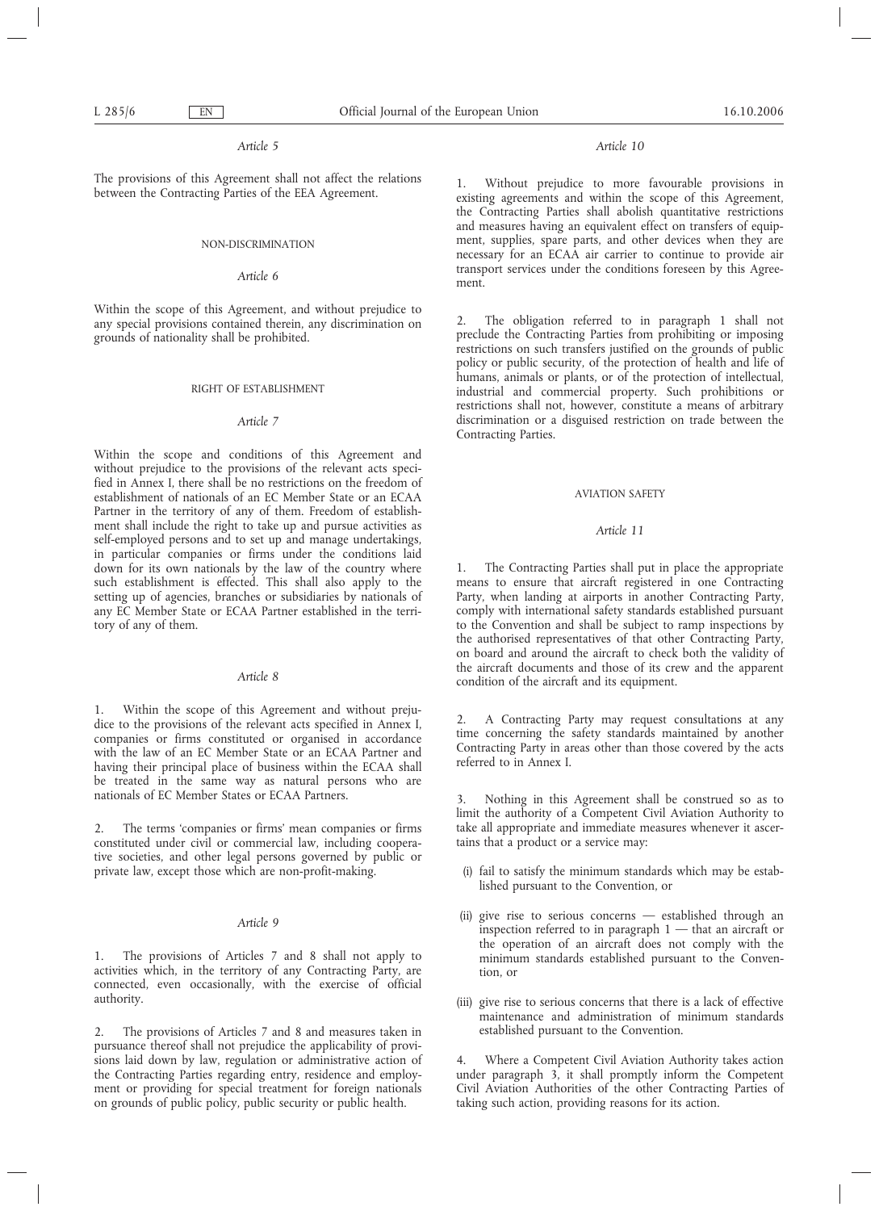## *Article 5*

The provisions of this Agreement shall not affect the relations between the Contracting Parties of the EEA Agreement.

## NON-DISCRIMINATION

## *Article 6*

Within the scope of this Agreement, and without prejudice to any special provisions contained therein, any discrimination on grounds of nationality shall be prohibited.

### RIGHT OF ESTABLISHMENT

## *Article 7*

Within the scope and conditions of this Agreement and without prejudice to the provisions of the relevant acts specified in Annex I, there shall be no restrictions on the freedom of establishment of nationals of an EC Member State or an ECAA Partner in the territory of any of them. Freedom of establishment shall include the right to take up and pursue activities as self-employed persons and to set up and manage undertakings, in particular companies or firms under the conditions laid down for its own nationals by the law of the country where such establishment is effected. This shall also apply to the setting up of agencies, branches or subsidiaries by nationals of any EC Member State or ECAA Partner established in the territory of any of them.

## *Article 8*

1. Within the scope of this Agreement and without prejudice to the provisions of the relevant acts specified in Annex I, companies or firms constituted or organised in accordance with the law of an EC Member State or an ECAA Partner and having their principal place of business within the ECAA shall be treated in the same way as natural persons who are nationals of EC Member States or ECAA Partners.

2. The terms 'companies or firms' mean companies or firms constituted under civil or commercial law, including cooperative societies, and other legal persons governed by public or private law, except those which are non-profit-making.

## *Article 9*

1. The provisions of Articles 7 and 8 shall not apply to activities which, in the territory of any Contracting Party, are connected, even occasionally, with the exercise of official authority.

2. The provisions of Articles 7 and 8 and measures taken in pursuance thereof shall not prejudice the applicability of provisions laid down by law, regulation or administrative action of the Contracting Parties regarding entry, residence and employment or providing for special treatment for foreign nationals on grounds of public policy, public security or public health.

## *Article 10*

1. Without prejudice to more favourable provisions in existing agreements and within the scope of this Agreement, the Contracting Parties shall abolish quantitative restrictions and measures having an equivalent effect on transfers of equipment, supplies, spare parts, and other devices when they are necessary for an ECAA air carrier to continue to provide air transport services under the conditions foreseen by this Agreement.

2. The obligation referred to in paragraph 1 shall not preclude the Contracting Parties from prohibiting or imposing restrictions on such transfers justified on the grounds of public policy or public security, of the protection of health and life of humans, animals or plants, or of the protection of intellectual, industrial and commercial property. Such prohibitions or restrictions shall not, however, constitute a means of arbitrary discrimination or a disguised restriction on trade between the Contracting Parties.

### AVIATION SAFETY

# *Article 11*

1. The Contracting Parties shall put in place the appropriate means to ensure that aircraft registered in one Contracting Party, when landing at airports in another Contracting Party, comply with international safety standards established pursuant to the Convention and shall be subject to ramp inspections by the authorised representatives of that other Contracting Party, on board and around the aircraft to check both the validity of the aircraft documents and those of its crew and the apparent condition of the aircraft and its equipment.

2. A Contracting Party may request consultations at any time concerning the safety standards maintained by another Contracting Party in areas other than those covered by the acts referred to in Annex I.

3. Nothing in this Agreement shall be construed so as to limit the authority of a Competent Civil Aviation Authority to take all appropriate and immediate measures whenever it ascertains that a product or a service may:

- (i) fail to satisfy the minimum standards which may be established pursuant to the Convention, or
- (ii) give rise to serious concerns established through an inspection referred to in paragraph  $1 -$  that an aircraft or the operation of an aircraft does not comply with the minimum standards established pursuant to the Convention, or
- (iii) give rise to serious concerns that there is a lack of effective maintenance and administration of minimum standards established pursuant to the Convention.

4. Where a Competent Civil Aviation Authority takes action under paragraph 3, it shall promptly inform the Competent Civil Aviation Authorities of the other Contracting Parties of taking such action, providing reasons for its action.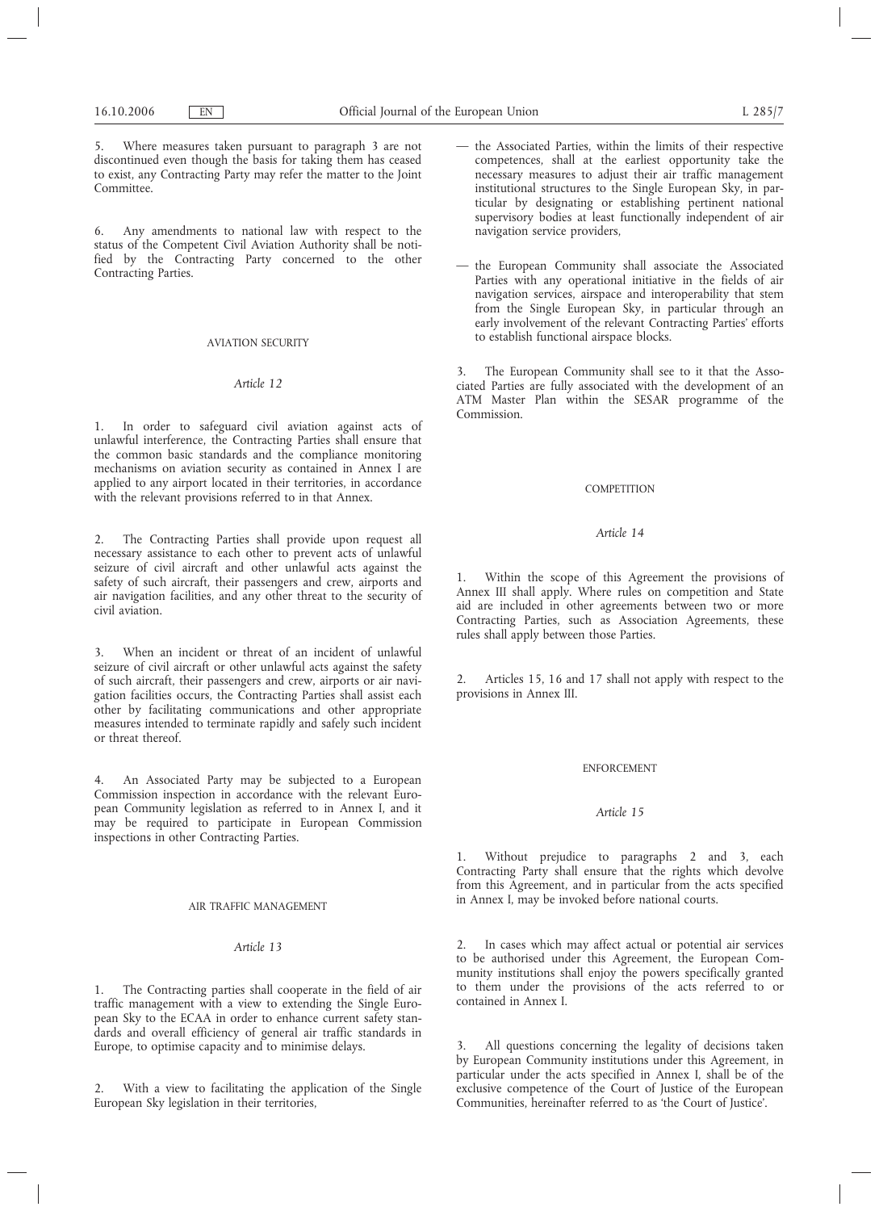5. Where measures taken pursuant to paragraph 3 are not discontinued even though the basis for taking them has ceased to exist, any Contracting Party may refer the matter to the Joint Committee.

6. Any amendments to national law with respect to the status of the Competent Civil Aviation Authority shall be notified by the Contracting Party concerned to the other Contracting Parties.

# AVIATION SECURITY

## *Article 12*

1. In order to safeguard civil aviation against acts of unlawful interference, the Contracting Parties shall ensure that the common basic standards and the compliance monitoring mechanisms on aviation security as contained in Annex I are applied to any airport located in their territories, in accordance with the relevant provisions referred to in that Annex.

2. The Contracting Parties shall provide upon request all necessary assistance to each other to prevent acts of unlawful seizure of civil aircraft and other unlawful acts against the safety of such aircraft, their passengers and crew, airports and air navigation facilities, and any other threat to the security of civil aviation.

3. When an incident or threat of an incident of unlawful seizure of civil aircraft or other unlawful acts against the safety of such aircraft, their passengers and crew, airports or air navigation facilities occurs, the Contracting Parties shall assist each other by facilitating communications and other appropriate measures intended to terminate rapidly and safely such incident or threat thereof.

4. An Associated Party may be subjected to a European Commission inspection in accordance with the relevant European Community legislation as referred to in Annex I, and it may be required to participate in European Commission inspections in other Contracting Parties.

## AIR TRAFFIC MANAGEMENT

# *Article 13*

1. The Contracting parties shall cooperate in the field of air traffic management with a view to extending the Single European Sky to the ECAA in order to enhance current safety standards and overall efficiency of general air traffic standards in Europe, to optimise capacity and to minimise delays.

2. With a view to facilitating the application of the Single European Sky legislation in their territories,

- the Associated Parties, within the limits of their respective competences, shall at the earliest opportunity take the necessary measures to adjust their air traffic management institutional structures to the Single European Sky, in particular by designating or establishing pertinent national supervisory bodies at least functionally independent of air navigation service providers,
- the European Community shall associate the Associated Parties with any operational initiative in the fields of air navigation services, airspace and interoperability that stem from the Single European Sky, in particular through an early involvement of the relevant Contracting Parties' efforts to establish functional airspace blocks.

3. The European Community shall see to it that the Associated Parties are fully associated with the development of an ATM Master Plan within the SESAR programme of the Commission.

# **COMPETITION**

## *Article 14*

1. Within the scope of this Agreement the provisions of Annex III shall apply. Where rules on competition and State aid are included in other agreements between two or more Contracting Parties, such as Association Agreements, these rules shall apply between those Parties.

2. Articles 15, 16 and 17 shall not apply with respect to the provisions in Annex III.

## ENFORCEMENT

## *Article 15*

1. Without prejudice to paragraphs 2 and 3, each Contracting Party shall ensure that the rights which devolve from this Agreement, and in particular from the acts specified in Annex I, may be invoked before national courts.

2. In cases which may affect actual or potential air services to be authorised under this Agreement, the European Community institutions shall enjoy the powers specifically granted to them under the provisions of the acts referred to or contained in Annex I.

3. All questions concerning the legality of decisions taken by European Community institutions under this Agreement, in particular under the acts specified in Annex I, shall be of the exclusive competence of the Court of Justice of the European Communities, hereinafter referred to as 'the Court of Justice'.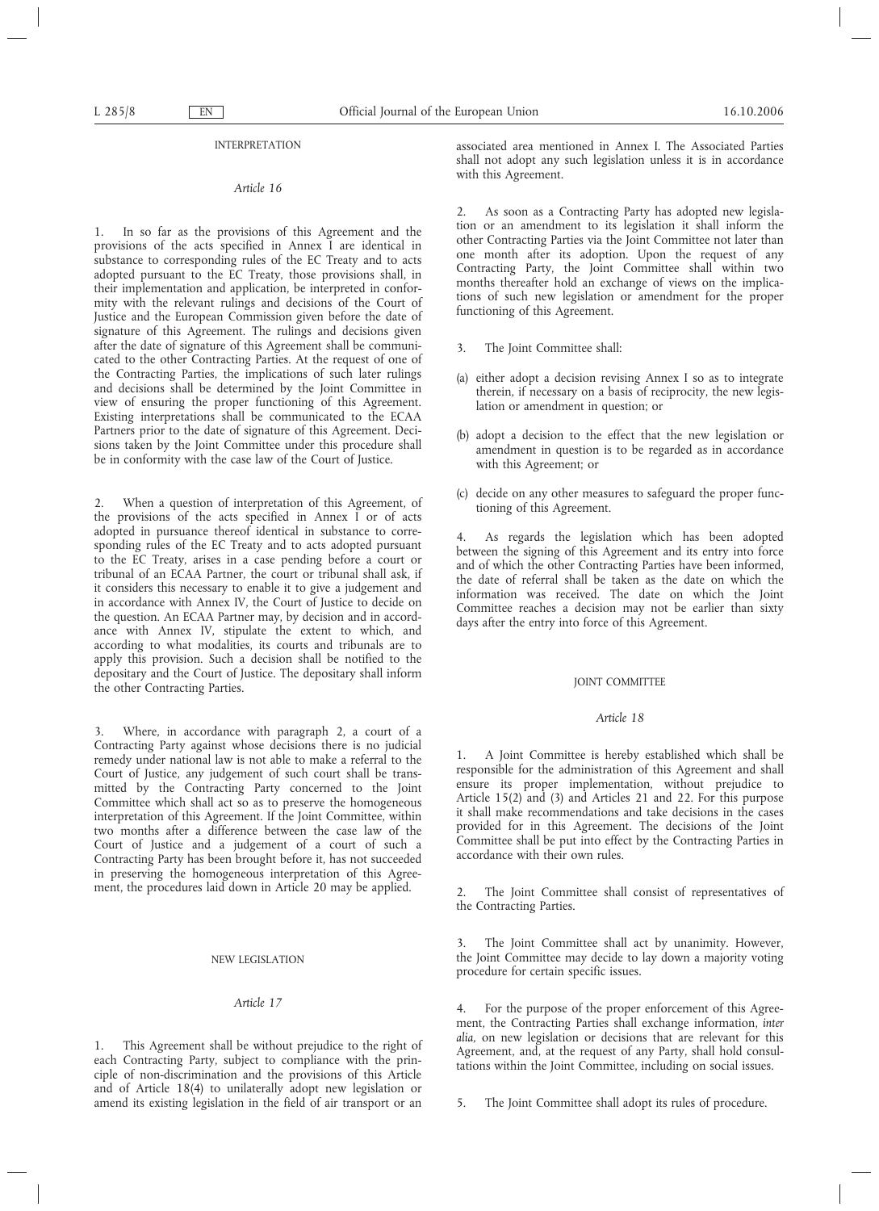#### INTERPRETATION

### *Article 16*

1. In so far as the provisions of this Agreement and the provisions of the acts specified in Annex I are identical in substance to corresponding rules of the EC Treaty and to acts adopted pursuant to the EC Treaty, those provisions shall, in their implementation and application, be interpreted in conformity with the relevant rulings and decisions of the Court of Justice and the European Commission given before the date of signature of this Agreement. The rulings and decisions given after the date of signature of this Agreement shall be communicated to the other Contracting Parties. At the request of one of the Contracting Parties, the implications of such later rulings and decisions shall be determined by the Joint Committee in view of ensuring the proper functioning of this Agreement. Existing interpretations shall be communicated to the ECAA Partners prior to the date of signature of this Agreement. Decisions taken by the Joint Committee under this procedure shall be in conformity with the case law of the Court of Justice.

2. When a question of interpretation of this Agreement, of the provisions of the acts specified in Annex I or of acts adopted in pursuance thereof identical in substance to corresponding rules of the EC Treaty and to acts adopted pursuant to the EC Treaty, arises in a case pending before a court or tribunal of an ECAA Partner, the court or tribunal shall ask, if it considers this necessary to enable it to give a judgement and in accordance with Annex IV, the Court of Justice to decide on the question. An ECAA Partner may, by decision and in accordance with Annex IV, stipulate the extent to which, and according to what modalities, its courts and tribunals are to apply this provision. Such a decision shall be notified to the depositary and the Court of Justice. The depositary shall inform the other Contracting Parties.

3. Where, in accordance with paragraph 2, a court of a Contracting Party against whose decisions there is no judicial remedy under national law is not able to make a referral to the Court of Justice, any judgement of such court shall be transmitted by the Contracting Party concerned to the Joint Committee which shall act so as to preserve the homogeneous interpretation of this Agreement. If the Joint Committee, within two months after a difference between the case law of the Court of Justice and a judgement of a court of such a Contracting Party has been brought before it, has not succeeded in preserving the homogeneous interpretation of this Agreement, the procedures laid down in Article 20 may be applied.

## NEW LEGISLATION

# *Article 17*

1. This Agreement shall be without prejudice to the right of each Contracting Party, subject to compliance with the principle of non-discrimination and the provisions of this Article and of Article 18(4) to unilaterally adopt new legislation or amend its existing legislation in the field of air transport or an

associated area mentioned in Annex I. The Associated Parties shall not adopt any such legislation unless it is in accordance with this Agreement.

2. As soon as a Contracting Party has adopted new legislation or an amendment to its legislation it shall inform the other Contracting Parties via the Joint Committee not later than one month after its adoption. Upon the request of any Contracting Party, the Joint Committee shall within two months thereafter hold an exchange of views on the implications of such new legislation or amendment for the proper functioning of this Agreement.

- 3. The Joint Committee shall:
- (a) either adopt a decision revising Annex I so as to integrate therein, if necessary on a basis of reciprocity, the new legislation or amendment in question; or
- (b) adopt a decision to the effect that the new legislation or amendment in question is to be regarded as in accordance with this Agreement; or
- (c) decide on any other measures to safeguard the proper functioning of this Agreement.

4. As regards the legislation which has been adopted between the signing of this Agreement and its entry into force and of which the other Contracting Parties have been informed, the date of referral shall be taken as the date on which the information was received. The date on which the Joint Committee reaches a decision may not be earlier than sixty days after the entry into force of this Agreement.

### JOINT COMMITTEE

### *Article 18*

1. A Joint Committee is hereby established which shall be responsible for the administration of this Agreement and shall ensure its proper implementation, without prejudice to Article 15(2) and (3) and Articles 21 and 22. For this purpose it shall make recommendations and take decisions in the cases provided for in this Agreement. The decisions of the Joint Committee shall be put into effect by the Contracting Parties in accordance with their own rules.

The Joint Committee shall consist of representatives of the Contracting Parties.

The Joint Committee shall act by unanimity. However, the Joint Committee may decide to lay down a majority voting procedure for certain specific issues.

4. For the purpose of the proper enforcement of this Agreement, the Contracting Parties shall exchange information, *inter alia,* on new legislation or decisions that are relevant for this Agreement, and, at the request of any Party, shall hold consultations within the Joint Committee, including on social issues.

5. The Joint Committee shall adopt its rules of procedure.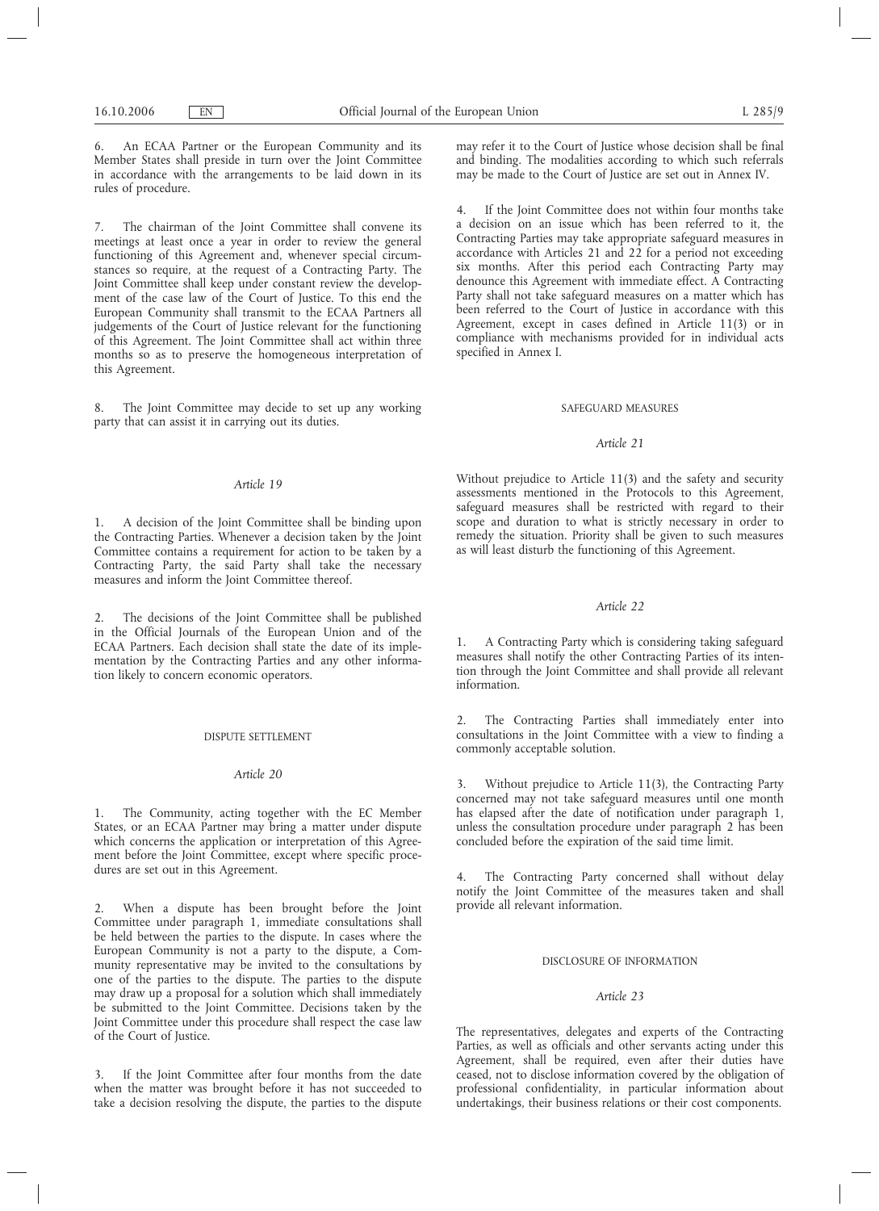6. An ECAA Partner or the European Community and its Member States shall preside in turn over the Joint Committee in accordance with the arrangements to be laid down in its rules of procedure.

7. The chairman of the Joint Committee shall convene its meetings at least once a year in order to review the general functioning of this Agreement and, whenever special circumstances so require, at the request of a Contracting Party. The Joint Committee shall keep under constant review the development of the case law of the Court of Justice. To this end the European Community shall transmit to the ECAA Partners all judgements of the Court of Justice relevant for the functioning of this Agreement. The Joint Committee shall act within three months so as to preserve the homogeneous interpretation of this Agreement.

8. The Joint Committee may decide to set up any working party that can assist it in carrying out its duties.

## *Article 19*

1. A decision of the Joint Committee shall be binding upon the Contracting Parties. Whenever a decision taken by the Joint Committee contains a requirement for action to be taken by a Contracting Party, the said Party shall take the necessary measures and inform the Joint Committee thereof.

2. The decisions of the Joint Committee shall be published in the Official Journals of the European Union and of the ECAA Partners. Each decision shall state the date of its implementation by the Contracting Parties and any other information likely to concern economic operators.

### DISPUTE SETTLEMENT

### *Article 20*

1. The Community, acting together with the EC Member States, or an ECAA Partner may bring a matter under dispute which concerns the application or interpretation of this Agreement before the Joint Committee, except where specific procedures are set out in this Agreement.

2. When a dispute has been brought before the Joint Committee under paragraph 1, immediate consultations shall be held between the parties to the dispute. In cases where the European Community is not a party to the dispute, a Community representative may be invited to the consultations by one of the parties to the dispute. The parties to the dispute may draw up a proposal for a solution which shall immediately be submitted to the Joint Committee. Decisions taken by the Joint Committee under this procedure shall respect the case law of the Court of Justice.

3. If the Joint Committee after four months from the date when the matter was brought before it has not succeeded to take a decision resolving the dispute, the parties to the dispute may refer it to the Court of Justice whose decision shall be final and binding. The modalities according to which such referrals may be made to the Court of Justice are set out in Annex IV.

4. If the Joint Committee does not within four months take a decision on an issue which has been referred to it, the Contracting Parties may take appropriate safeguard measures in accordance with Articles 21 and 22 for a period not exceeding six months. After this period each Contracting Party may denounce this Agreement with immediate effect. A Contracting Party shall not take safeguard measures on a matter which has been referred to the Court of Justice in accordance with this Agreement, except in cases defined in Article 11(3) or in compliance with mechanisms provided for in individual acts specified in Annex I.

#### SAFEGUARD MEASURES

### *Article 21*

Without prejudice to Article 11(3) and the safety and security assessments mentioned in the Protocols to this Agreement, safeguard measures shall be restricted with regard to their scope and duration to what is strictly necessary in order to remedy the situation. Priority shall be given to such measures as will least disturb the functioning of this Agreement.

# *Article 22*

1. A Contracting Party which is considering taking safeguard measures shall notify the other Contracting Parties of its intention through the Joint Committee and shall provide all relevant information.

2. The Contracting Parties shall immediately enter into consultations in the Joint Committee with a view to finding a commonly acceptable solution.

3. Without prejudice to Article 11(3), the Contracting Party concerned may not take safeguard measures until one month has elapsed after the date of notification under paragraph 1, unless the consultation procedure under paragraph 2 has been concluded before the expiration of the said time limit.

The Contracting Party concerned shall without delay notify the Joint Committee of the measures taken and shall provide all relevant information.

## DISCLOSURE OF INFORMATION

# *Article 23*

The representatives, delegates and experts of the Contracting Parties, as well as officials and other servants acting under this Agreement, shall be required, even after their duties have ceased, not to disclose information covered by the obligation of professional confidentiality, in particular information about undertakings, their business relations or their cost components.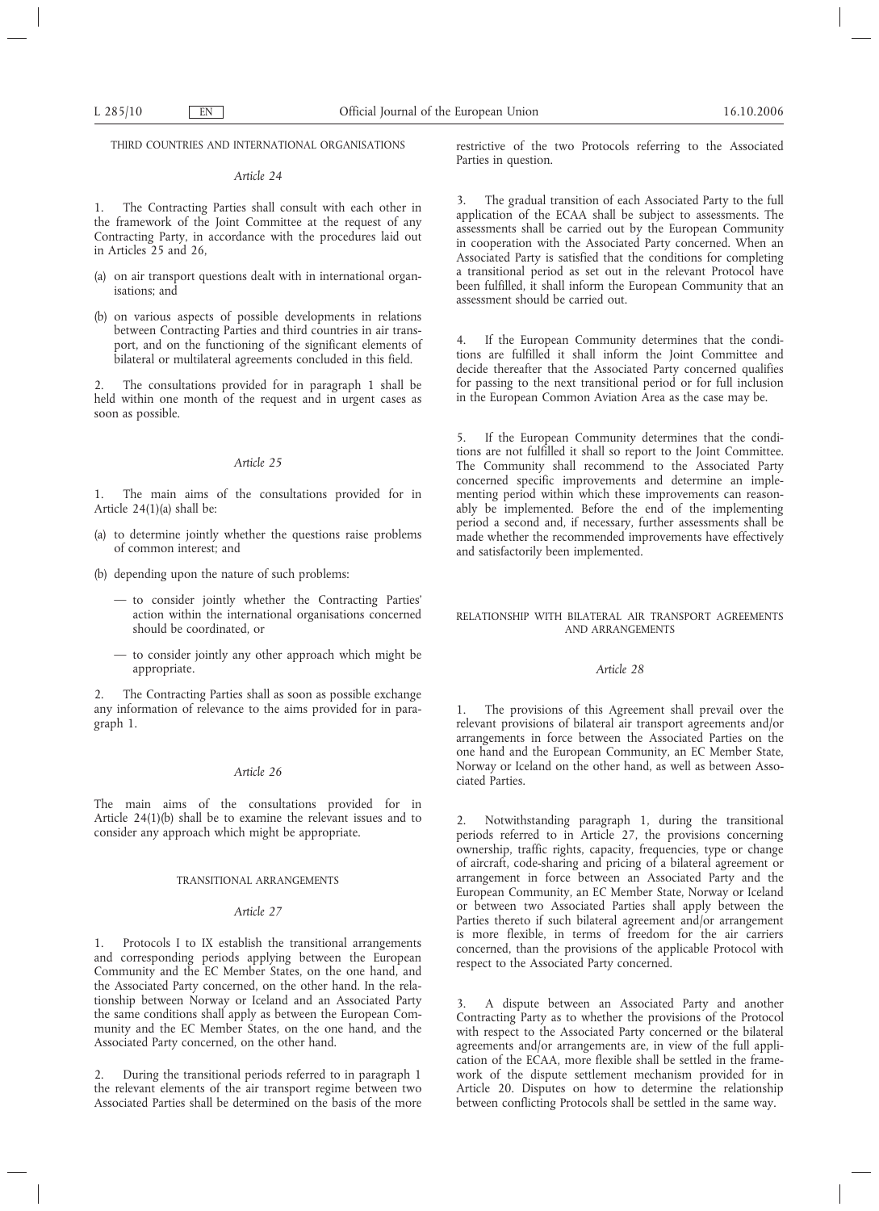THIRD COUNTRIES AND INTERNATIONAL ORGANISATIONS

## *Article 24*

1. The Contracting Parties shall consult with each other in the framework of the Joint Committee at the request of any Contracting Party, in accordance with the procedures laid out in Articles 25 and 26,

- (a) on air transport questions dealt with in international organisations; and
- (b) on various aspects of possible developments in relations between Contracting Parties and third countries in air transport, and on the functioning of the significant elements of bilateral or multilateral agreements concluded in this field.

The consultations provided for in paragraph 1 shall be held within one month of the request and in urgent cases as soon as possible.

# *Article 25*

1. The main aims of the consultations provided for in Article 24(1)(a) shall be:

- (a) to determine jointly whether the questions raise problems of common interest; and
- (b) depending upon the nature of such problems:
	- to consider jointly whether the Contracting Parties' action within the international organisations concerned should be coordinated, or
	- to consider jointly any other approach which might be appropriate.

2. The Contracting Parties shall as soon as possible exchange any information of relevance to the aims provided for in paragraph 1.

# *Article 26*

The main aims of the consultations provided for in Article 24(1)(b) shall be to examine the relevant issues and to consider any approach which might be appropriate.

### TRANSITIONAL ARRANGEMENTS

## *Article 27*

1. Protocols I to IX establish the transitional arrangements and corresponding periods applying between the European Community and the EC Member States, on the one hand, and the Associated Party concerned, on the other hand. In the relationship between Norway or Iceland and an Associated Party the same conditions shall apply as between the European Community and the EC Member States, on the one hand, and the Associated Party concerned, on the other hand.

2. During the transitional periods referred to in paragraph 1 the relevant elements of the air transport regime between two Associated Parties shall be determined on the basis of the more restrictive of the two Protocols referring to the Associated Parties in question.

3. The gradual transition of each Associated Party to the full application of the ECAA shall be subject to assessments. The assessments shall be carried out by the European Community in cooperation with the Associated Party concerned. When an Associated Party is satisfied that the conditions for completing a transitional period as set out in the relevant Protocol have been fulfilled, it shall inform the European Community that an assessment should be carried out.

4. If the European Community determines that the conditions are fulfilled it shall inform the Joint Committee and decide thereafter that the Associated Party concerned qualifies for passing to the next transitional period or for full inclusion in the European Common Aviation Area as the case may be.

5. If the European Community determines that the conditions are not fulfilled it shall so report to the Joint Committee. The Community shall recommend to the Associated Party concerned specific improvements and determine an implementing period within which these improvements can reasonably be implemented. Before the end of the implementing period a second and, if necessary, further assessments shall be made whether the recommended improvements have effectively and satisfactorily been implemented.

RELATIONSHIP WITH BILATERAL AIR TRANSPORT AGREEMENTS AND ARRANGEMENTS

## *Article 28*

1. The provisions of this Agreement shall prevail over the relevant provisions of bilateral air transport agreements and/or arrangements in force between the Associated Parties on the one hand and the European Community, an EC Member State, Norway or Iceland on the other hand, as well as between Associated Parties.

2. Notwithstanding paragraph 1, during the transitional periods referred to in Article 27, the provisions concerning ownership, traffic rights, capacity, frequencies, type or change of aircraft, code-sharing and pricing of a bilateral agreement or arrangement in force between an Associated Party and the European Community, an EC Member State, Norway or Iceland or between two Associated Parties shall apply between the Parties thereto if such bilateral agreement and/or arrangement is more flexible, in terms of freedom for the air carriers concerned, than the provisions of the applicable Protocol with respect to the Associated Party concerned.

3. A dispute between an Associated Party and another Contracting Party as to whether the provisions of the Protocol with respect to the Associated Party concerned or the bilateral agreements and/or arrangements are, in view of the full application of the ECAA, more flexible shall be settled in the framework of the dispute settlement mechanism provided for in Article 20. Disputes on how to determine the relationship between conflicting Protocols shall be settled in the same way.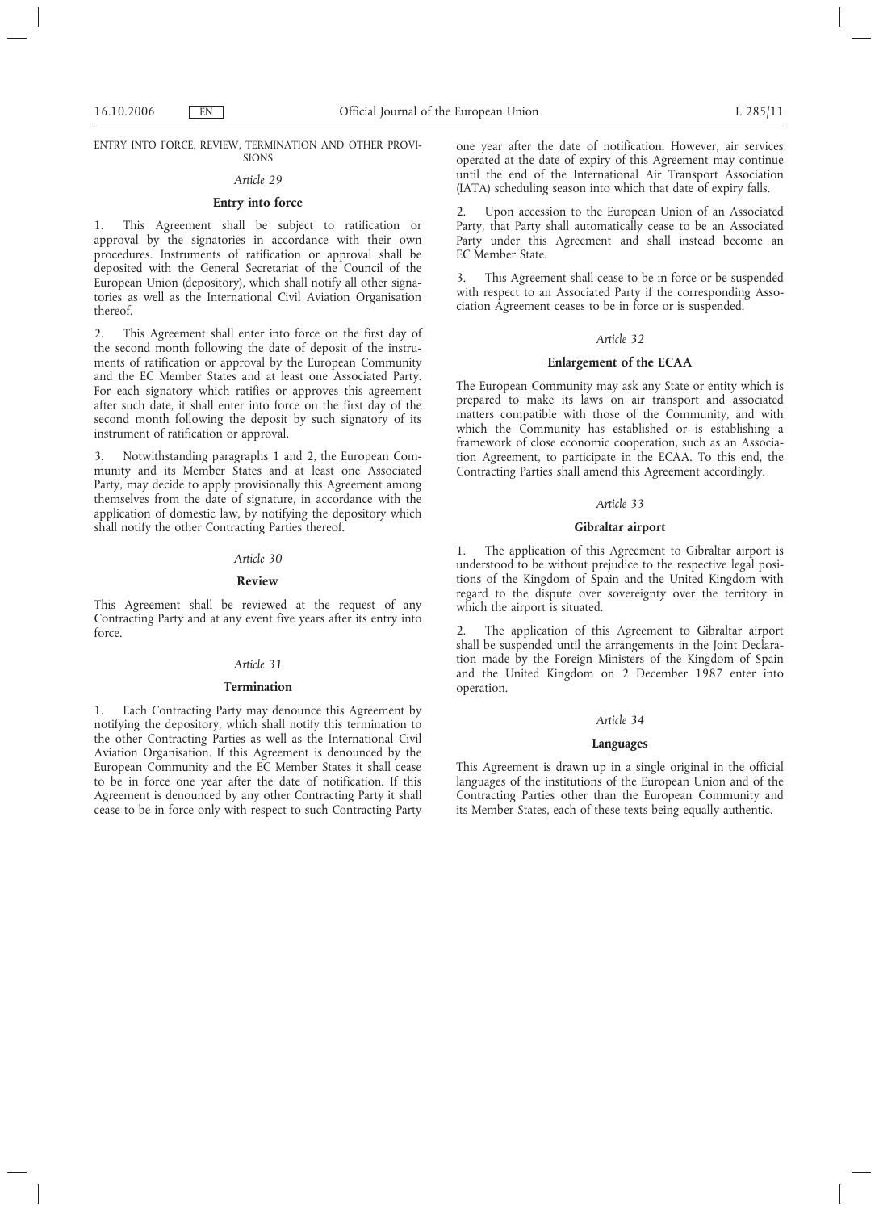ENTRY INTO FORCE, REVIEW, TERMINATION AND OTHER PROVI-SIONS

## *Article 29*

## **Entry into force**

This Agreement shall be subject to ratification or approval by the signatories in accordance with their own procedures. Instruments of ratification or approval shall be deposited with the General Secretariat of the Council of the European Union (depository), which shall notify all other signatories as well as the International Civil Aviation Organisation thereof.

2. This Agreement shall enter into force on the first day of the second month following the date of deposit of the instruments of ratification or approval by the European Community and the EC Member States and at least one Associated Party. For each signatory which ratifies or approves this agreement after such date, it shall enter into force on the first day of the second month following the deposit by such signatory of its instrument of ratification or approval.

3. Notwithstanding paragraphs 1 and 2, the European Community and its Member States and at least one Associated Party, may decide to apply provisionally this Agreement among themselves from the date of signature, in accordance with the application of domestic law, by notifying the depository which shall notify the other Contracting Parties thereof.

### *Article 30*

#### **Review**

This Agreement shall be reviewed at the request of any Contracting Party and at any event five years after its entry into force.

# *Article 31*

### **Termination**

1. Each Contracting Party may denounce this Agreement by notifying the depository, which shall notify this termination to the other Contracting Parties as well as the International Civil Aviation Organisation. If this Agreement is denounced by the European Community and the EC Member States it shall cease to be in force one year after the date of notification. If this Agreement is denounced by any other Contracting Party it shall cease to be in force only with respect to such Contracting Party one year after the date of notification. However, air services operated at the date of expiry of this Agreement may continue until the end of the International Air Transport Association (IATA) scheduling season into which that date of expiry falls.

Upon accession to the European Union of an Associated Party, that Party shall automatically cease to be an Associated Party under this Agreement and shall instead become an EC Member State.

3. This Agreement shall cease to be in force or be suspended with respect to an Associated Party if the corresponding Association Agreement ceases to be in force or is suspended.

## *Article 32*

## **Enlargement of the ECAA**

The European Community may ask any State or entity which is prepared to make its laws on air transport and associated matters compatible with those of the Community, and with which the Community has established or is establishing a framework of close economic cooperation, such as an Association Agreement, to participate in the ECAA. To this end, the Contracting Parties shall amend this Agreement accordingly.

## *Article 33*

## **Gibraltar airport**

The application of this Agreement to Gibraltar airport is understood to be without prejudice to the respective legal positions of the Kingdom of Spain and the United Kingdom with regard to the dispute over sovereignty over the territory in which the airport is situated.

2. The application of this Agreement to Gibraltar airport shall be suspended until the arrangements in the Joint Declaration made by the Foreign Ministers of the Kingdom of Spain and the United Kingdom on 2 December 1987 enter into operation.

### *Article 34*

### **Languages**

This Agreement is drawn up in a single original in the official languages of the institutions of the European Union and of the Contracting Parties other than the European Community and its Member States, each of these texts being equally authentic.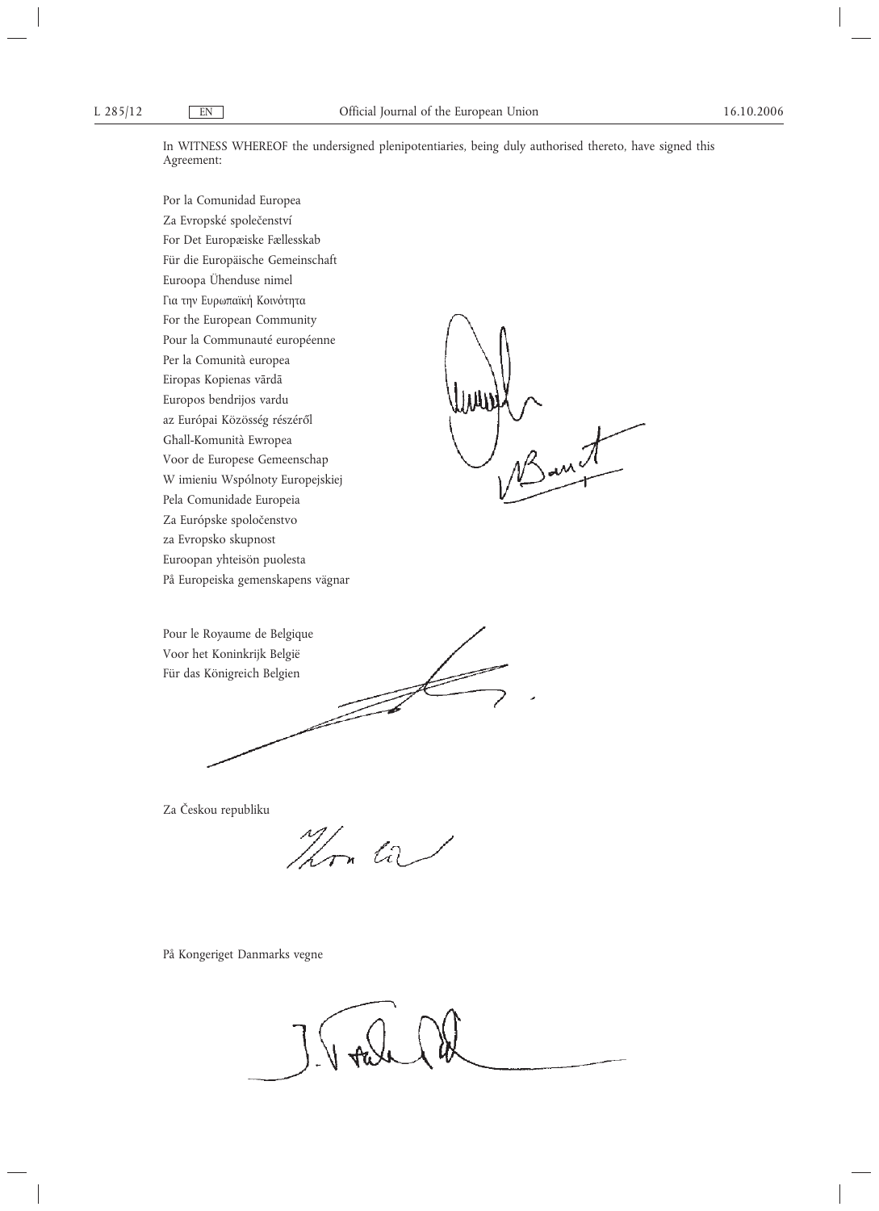In WITNESS WHEREOF the undersigned plenipotentiaries, being duly authorised thereto, have signed this Agreement:

JAAD

Por la Comunidad Europea Za Evropské společenství For Det Europæiske Fællesskab Für die Europäische Gemeinschaft Euroopa Ühenduse nimel Για την Ευρωπαϊκή Κοινότητα For the European Community Pour la Communauté européenne Per la Comunità europea Eiropas Kopienas vārdā Europos bendrijos vardu az Európai Közösség részéről Għall-Komunità Ewropea Voor de Europese Gemeenschap W imieniu Wspólnoty Europejskiej Pela Comunidade Europeia Za Európske spoločenstvo za Evropsko skupnost Euroopan yhteisön puolesta På Europeiska gemenskapens vägnar

Pour le Royaume de Belgique Voor het Koninkrijk België Für das Königreich Belgien

Za Českou republiku

Hon ta

På Kongeriget Danmarks vegne

J. V oale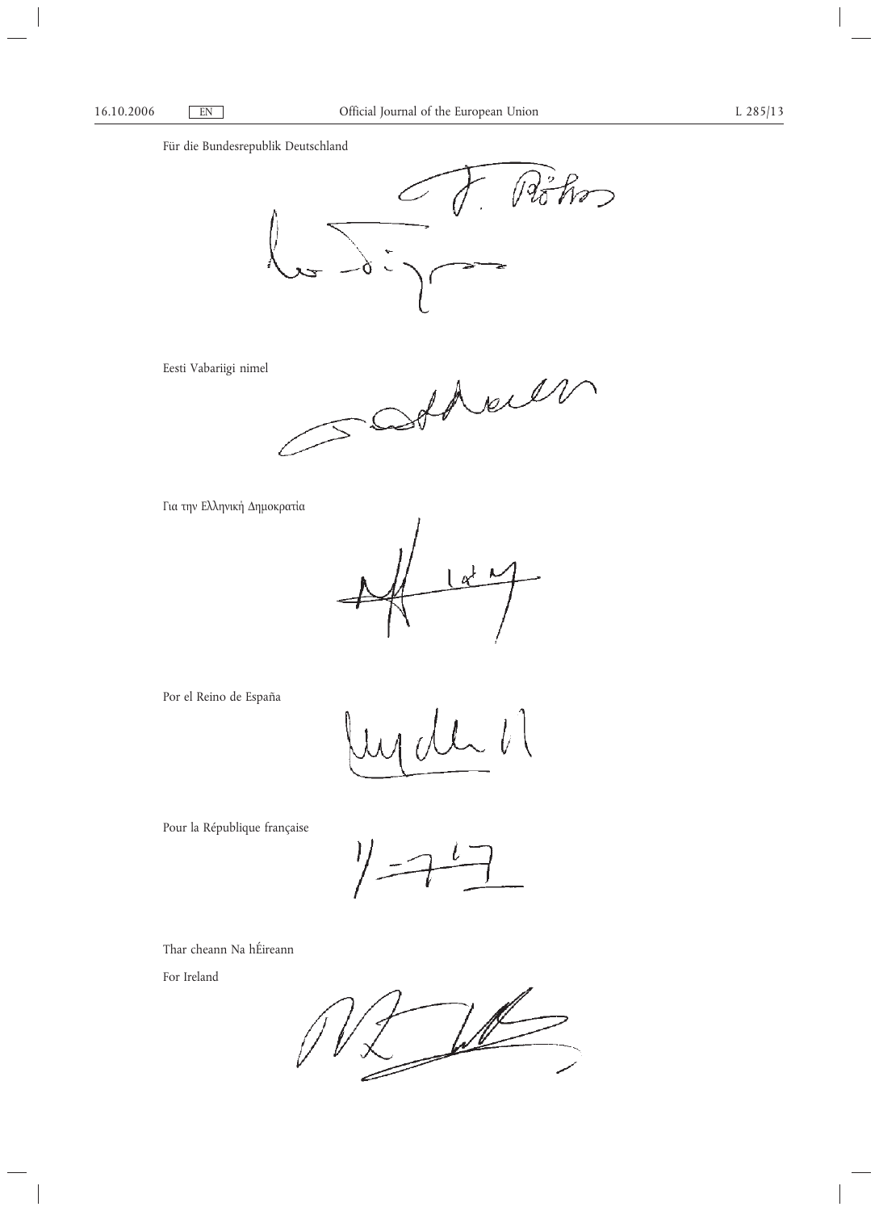# Für die Bundesrepublik Deutschland



Eesti Vabariigi nimel

Show  $\hat{\mathcal{U}}$ 

Για την Ελληνική ∆ηµοκρατία



Por el Reino de España

Pour la République française

Thar cheann Na hÉireann

For Ireland

 $\mathbb{Z}$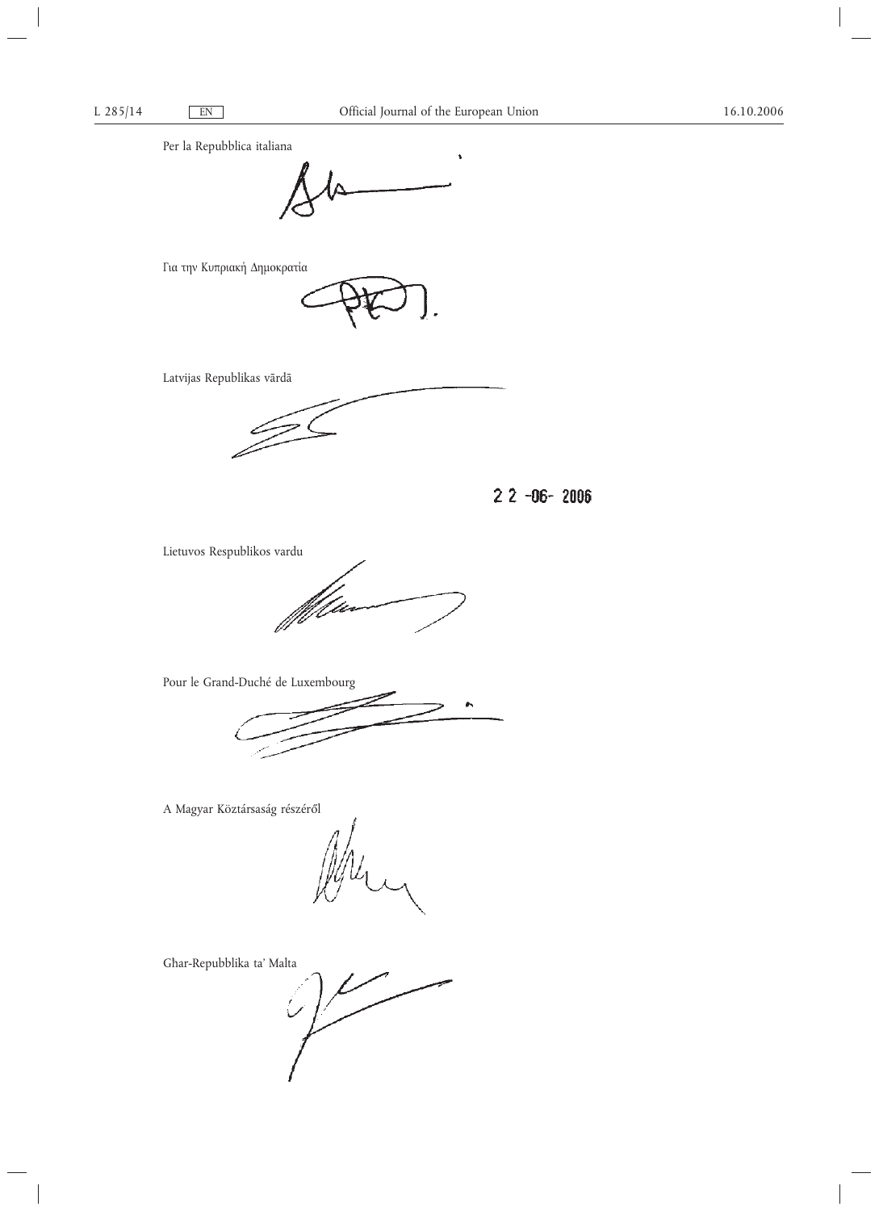Per la Repubblica italiana



Για την Κυπριακή ∆ηµοκρατία

Latvijas Republikas vārdā

 $22 - 06 - 2006$ 

Lietuvos Respublikos vardu



Pour le Grand-Duché de Luxembourg



A Magyar Köztársaság részéről

Għar-Repubblika ta' Malta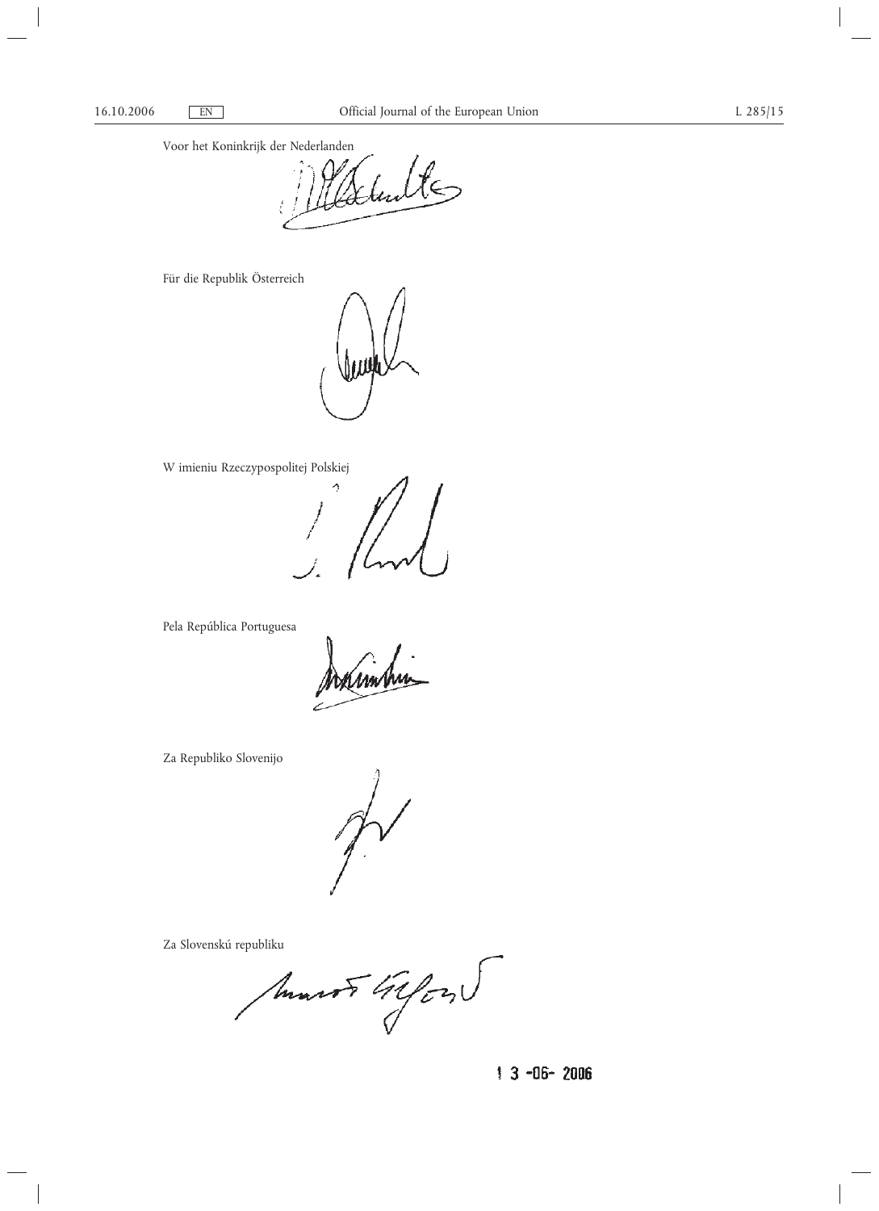Voor het Koninkrijk der Nederlanden

Valente

Für die Republik Österreich

W imieniu Rzeczypospolitej Polskiej

Ą

Pela República Portuguesa

Za Republiko Slovenijo

Za Slovenskú republiku

Marsh Gifon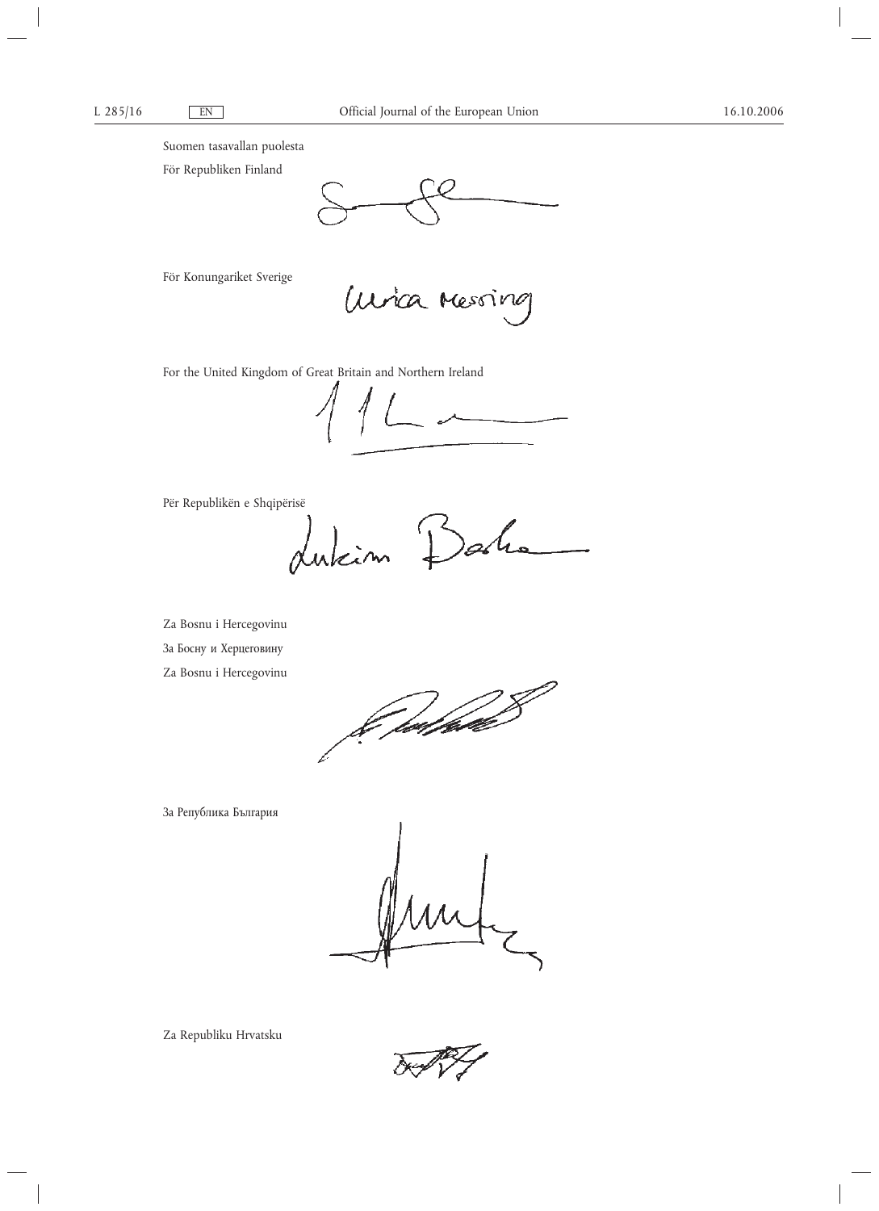Suomen tasavallan puolesta

För Republiken Finland

För Konungariket Sverige

*Unica Messing* 

For the United Kingdom of Great Britain and Northern Ireland

 $\begin{tabular}{c} \multicolumn{2}{c|}{\hspace{-2mm}} \multicolumn{2}{c|}{\hspace{-2mm}} \multicolumn{2}{c|}{\hspace{-2mm}} \multicolumn{2}{c|}{\hspace{-2mm}}\end{tabular} \end{tabular} \begin{tabular}{c} \multicolumn{2}{c|}{\hspace{-2mm}} \multicolumn{2}{c|}{\hspace{-2mm}}\end{tabular} \begin{tabular}{c} \multicolumn{2}{c|}{\hspace{-2mm}}\end{tabular} \end{tabular} \begin{tabular}{c} \multicolumn{2}{c|}{\hspace{-2mm}}\end{tabular} \begin{tabular}{c} \multicolumn{2}{c$ 

Për Republikën e Shqipërisë

dukin I

Za Bosnu i Hercegovinu

За Босну и Херцеговину

Za Bosnu i Hercegovinu

fretføde

За Република България

Za Republiku Hrvatsku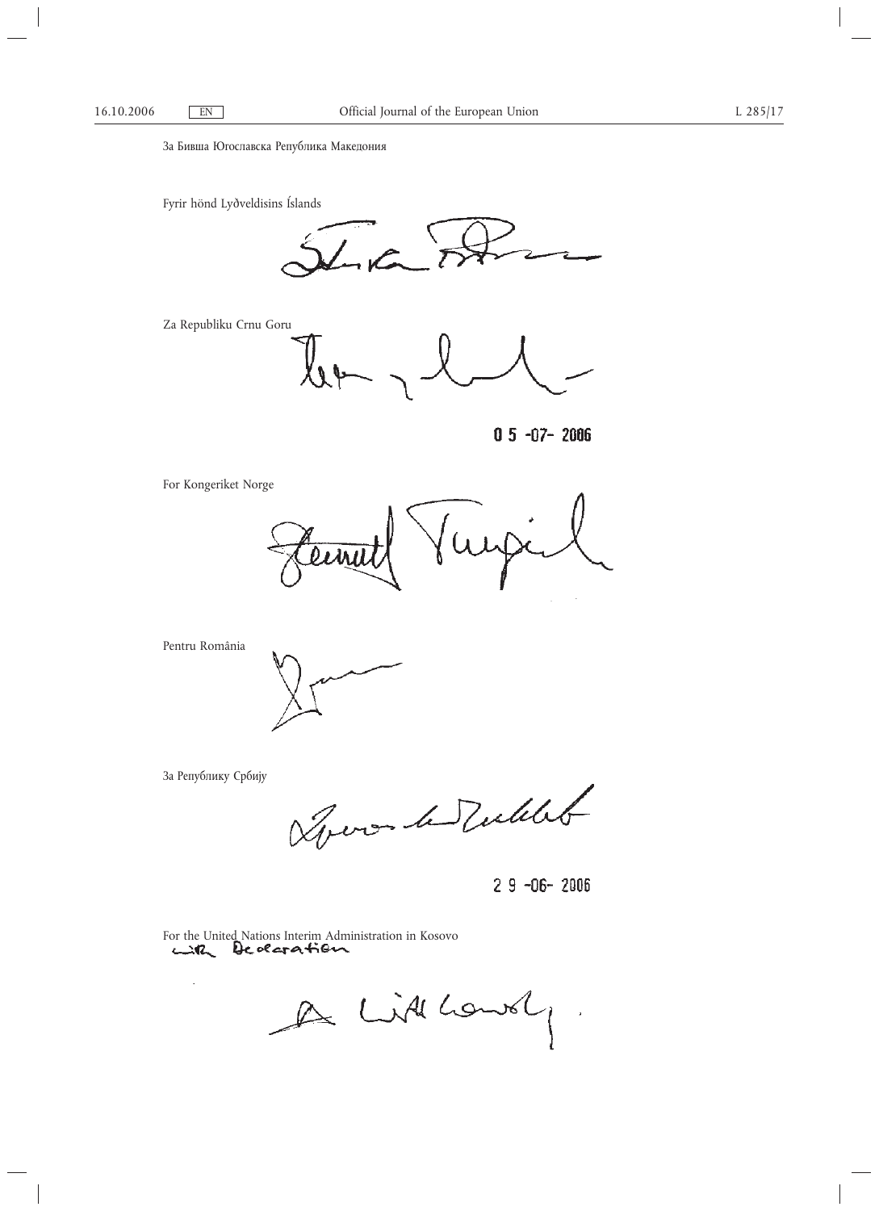За Бивша Югославска Република Македония

Fyrir hönd Lyðveldisins Íslands

Za Republiku Crnu Goru



 $0.5 - 0.7 - 2006$ 

For Kongeriket Norge

wy lin

Pentru România

За Републику Србију

 $\mathcal{A}$ 

George le Tullet

 $29 - 06 - 2006$ 

For the United Nations Interim Administration in Kosovo

A Littlowely.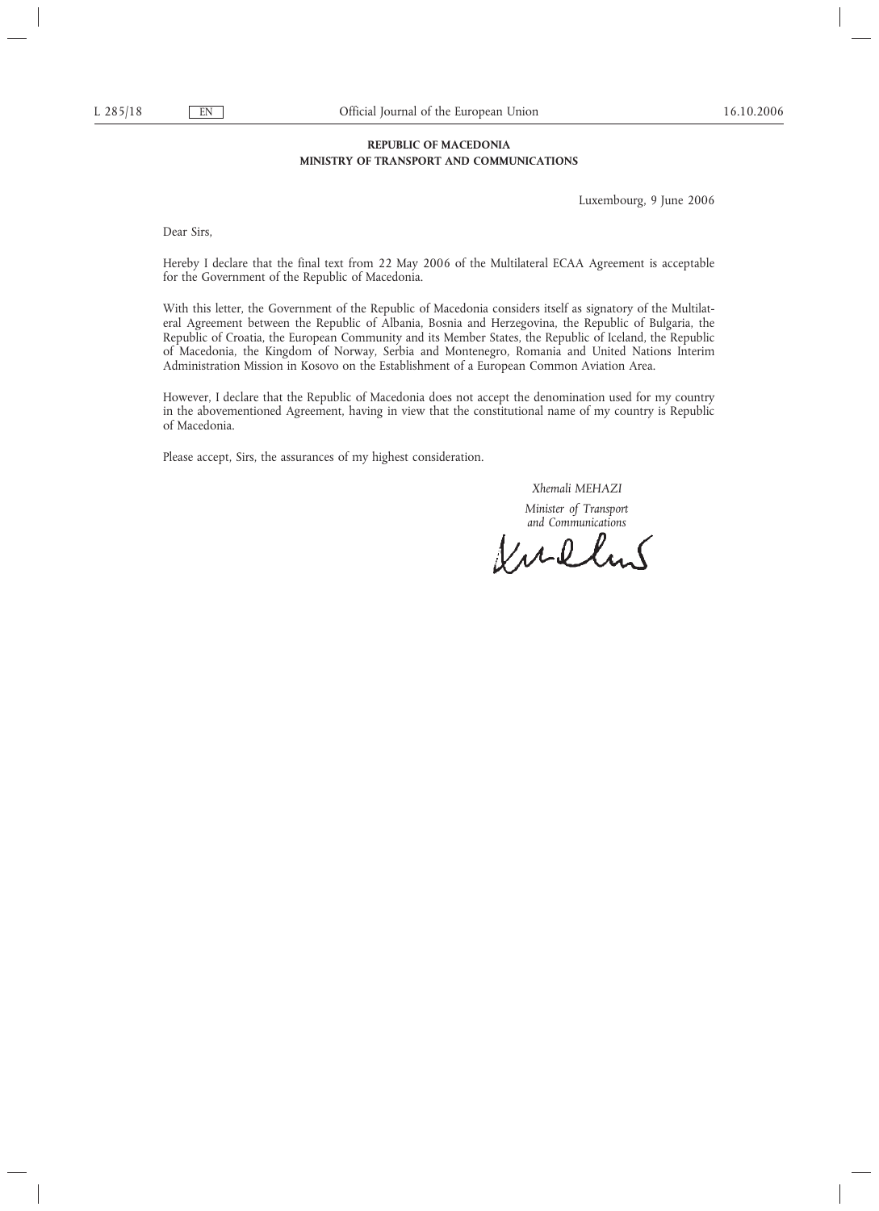# **REPUBLIC OF MACEDONIA MINISTRY OF TRANSPORT AND COMMUNICATIONS**

Luxembourg, 9 June 2006

Dear Sirs,

Hereby I declare that the final text from 22 May 2006 of the Multilateral ECAA Agreement is acceptable for the Government of the Republic of Macedonia.

With this letter, the Government of the Republic of Macedonia considers itself as signatory of the Multilateral Agreement between the Republic of Albania, Bosnia and Herzegovina, the Republic of Bulgaria, the Republic of Croatia, the European Community and its Member States, the Republic of Iceland, the Republic of Macedonia, the Kingdom of Norway, Serbia and Montenegro, Romania and United Nations Interim Administration Mission in Kosovo on the Establishment of a European Common Aviation Area.

However, I declare that the Republic of Macedonia does not accept the denomination used for my country in the abovementioned Agreement, having in view that the constitutional name of my country is Republic of Macedonia.

Please accept, Sirs, the assurances of my highest consideration.

*Xhemali MEHAZI*

*Minister of Transport*

and Communications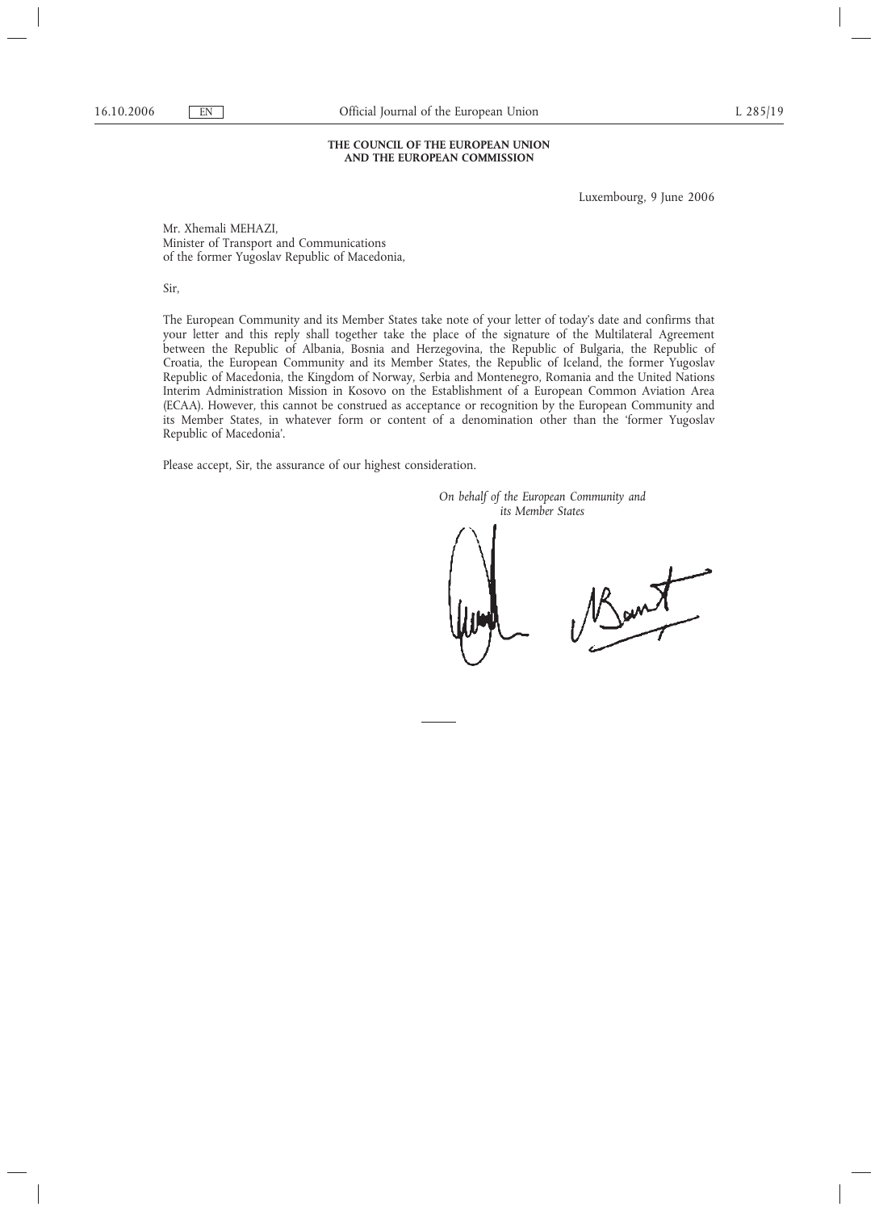## **THE COUNCIL OF THE EUROPEAN UNION AND THE EUROPEAN COMMISSION**

Luxembourg, 9 June 2006

Mr. Xhemali MEHAZI, Minister of Transport and Communications of the former Yugoslav Republic of Macedonia,

Sir,

The European Community and its Member States take note of your letter of today's date and confirms that your letter and this reply shall together take the place of the signature of the Multilateral Agreement between the Republic of Albania, Bosnia and Herzegovina, the Republic of Bulgaria, the Republic of Croatia, the European Community and its Member States, the Republic of Iceland, the former Yugoslav Republic of Macedonia, the Kingdom of Norway, Serbia and Montenegro, Romania and the United Nations Interim Administration Mission in Kosovo on the Establishment of a European Common Aviation Area (ECAA). However, this cannot be construed as acceptance or recognition by the European Community and its Member States, in whatever form or content of a denomination other than the 'former Yugoslav Republic of Macedonia'.

Please accept, Sir, the assurance of our highest consideration.

*On behalf of the European Community and its Member States*

Bant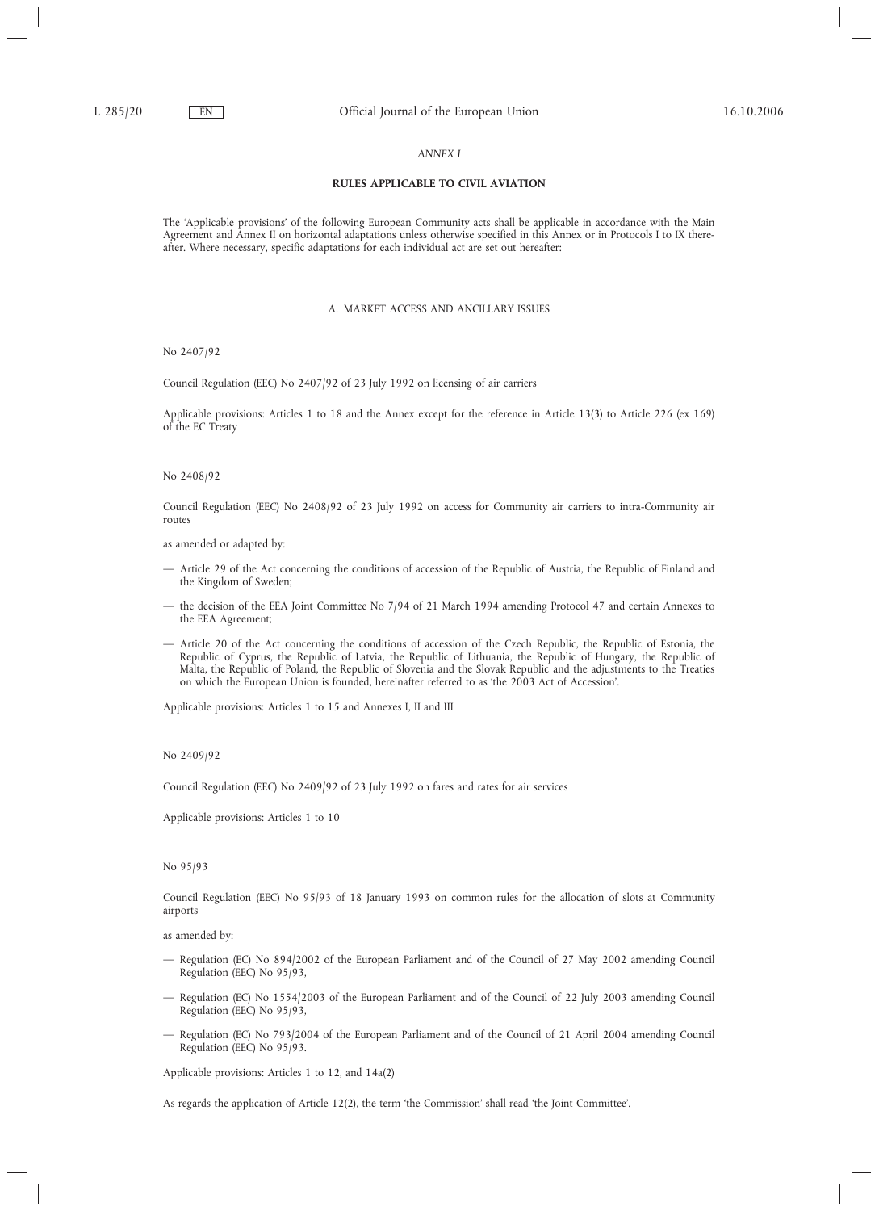### *ANNEX I*

# **RULES APPLICABLE TO CIVIL AVIATION**

The 'Applicable provisions' of the following European Community acts shall be applicable in accordance with the Main Agreement and Annex II on horizontal adaptations unless otherwise specified in this Annex or in Protocols I to IX thereafter. Where necessary, specific adaptations for each individual act are set out hereafter:

### A. MARKET ACCESS AND ANCILLARY ISSUES

No 2407/92

Council Regulation (EEC) No 2407/92 of 23 July 1992 on licensing of air carriers

Applicable provisions: Articles 1 to 18 and the Annex except for the reference in Article 13(3) to Article 226 (ex 169) of the EC Treaty

No 2408/92

Council Regulation (EEC) No 2408/92 of 23 July 1992 on access for Community air carriers to intra-Community air routes

as amended or adapted by:

- Article 29 of the Act concerning the conditions of accession of the Republic of Austria, the Republic of Finland and the Kingdom of Sweden;
- the decision of the EEA Joint Committee No 7/94 of 21 March 1994 amending Protocol 47 and certain Annexes to the EEA Agreement;
- Article 20 of the Act concerning the conditions of accession of the Czech Republic, the Republic of Estonia, the Republic of Cyprus, the Republic of Latvia, the Republic of Lithuania, the Republic of Hungary, the Republic of Malta, the Republic of Poland, the Republic of Slovenia and the Slovak Republic and the adjustments to the Treaties on which the European Union is founded, hereinafter referred to as 'the 2003 Act of Accession'.

Applicable provisions: Articles 1 to 15 and Annexes I, II and III

No 2409/92

Council Regulation (EEC) No 2409/92 of 23 July 1992 on fares and rates for air services

Applicable provisions: Articles 1 to 10

No 95/93

Council Regulation (EEC) No 95/93 of 18 January 1993 on common rules for the allocation of slots at Community airports

as amended by:

- Regulation (EC) No 894/2002 of the European Parliament and of the Council of 27 May 2002 amending Council Regulation (EEC) No 95/93,
- Regulation (EC) No 1554/2003 of the European Parliament and of the Council of 22 July 2003 amending Council Regulation (EEC) No 95/93,
- Regulation (EC) No 793/2004 of the European Parliament and of the Council of 21 April 2004 amending Council Regulation (EEC) No 95/93.

Applicable provisions: Articles 1 to 12, and 14a(2)

As regards the application of Article 12(2), the term 'the Commission' shall read 'the Joint Committee'.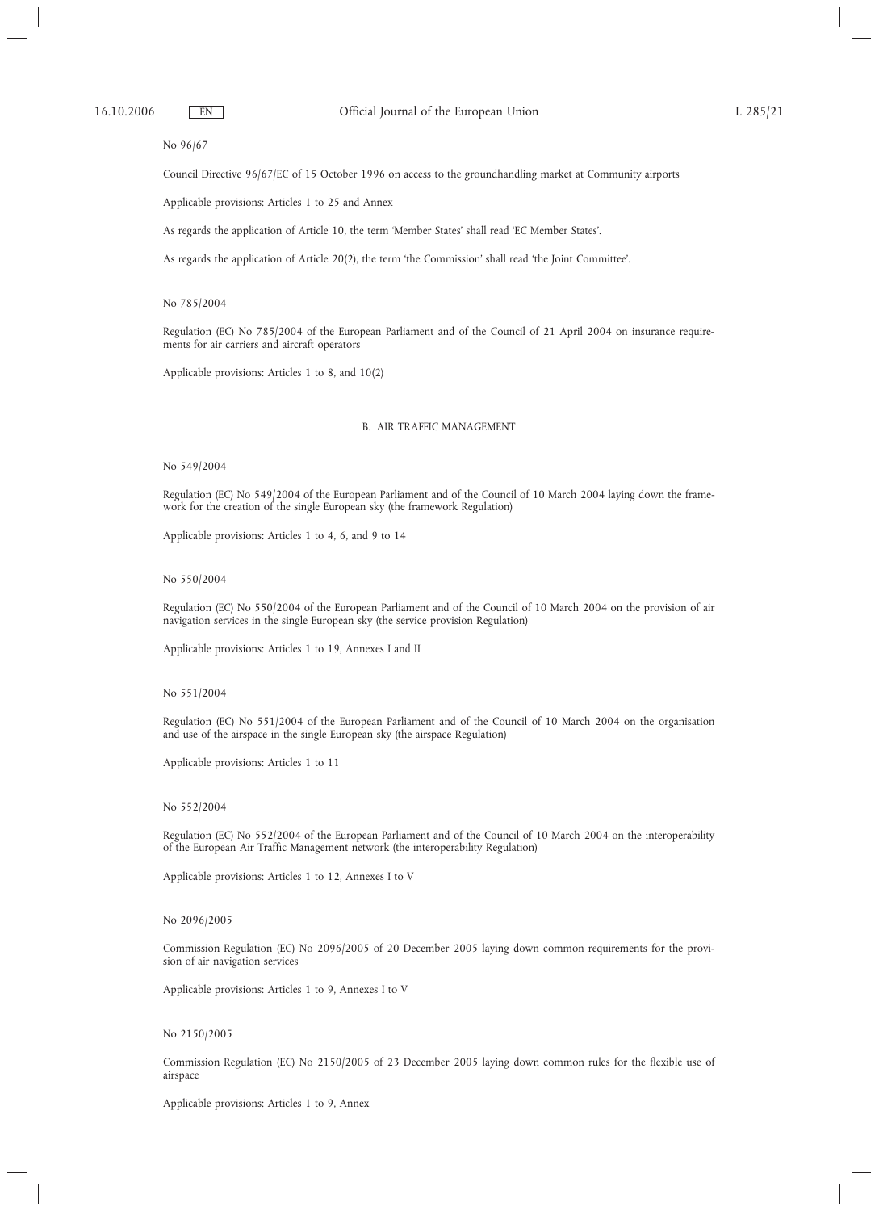### No 96/67

Council Directive 96/67/EC of 15 October 1996 on access to the groundhandling market at Community airports

Applicable provisions: Articles 1 to 25 and Annex

As regards the application of Article 10, the term 'Member States' shall read 'EC Member States'.

As regards the application of Article 20(2), the term 'the Commission' shall read 'the Joint Committee'.

## No 785/2004

Regulation (EC) No 785/2004 of the European Parliament and of the Council of 21 April 2004 on insurance requirements for air carriers and aircraft operators

Applicable provisions: Articles 1 to 8, and 10(2)

## B. AIR TRAFFIC MANAGEMENT

### No 549/2004

Regulation (EC) No 549/2004 of the European Parliament and of the Council of 10 March 2004 laying down the framework for the creation of the single European sky (the framework Regulation)

Applicable provisions: Articles 1 to 4, 6, and 9 to 14

## No 550/2004

Regulation (EC) No 550/2004 of the European Parliament and of the Council of 10 March 2004 on the provision of air navigation services in the single European sky (the service provision Regulation)

Applicable provisions: Articles 1 to 19, Annexes I and II

## No 551/2004

Regulation (EC) No 551/2004 of the European Parliament and of the Council of 10 March 2004 on the organisation and use of the airspace in the single European sky (the airspace Regulation)

Applicable provisions: Articles 1 to 11

## No 552/2004

Regulation (EC) No 552/2004 of the European Parliament and of the Council of 10 March 2004 on the interoperability of the European Air Traffic Management network (the interoperability Regulation)

Applicable provisions: Articles 1 to 12, Annexes I to V

## No 2096/2005

Commission Regulation (EC) No 2096/2005 of 20 December 2005 laying down common requirements for the provision of air navigation services

Applicable provisions: Articles 1 to 9, Annexes I to V

## No 2150/2005

Commission Regulation (EC) No 2150/2005 of 23 December 2005 laying down common rules for the flexible use of airspace

Applicable provisions: Articles 1 to 9, Annex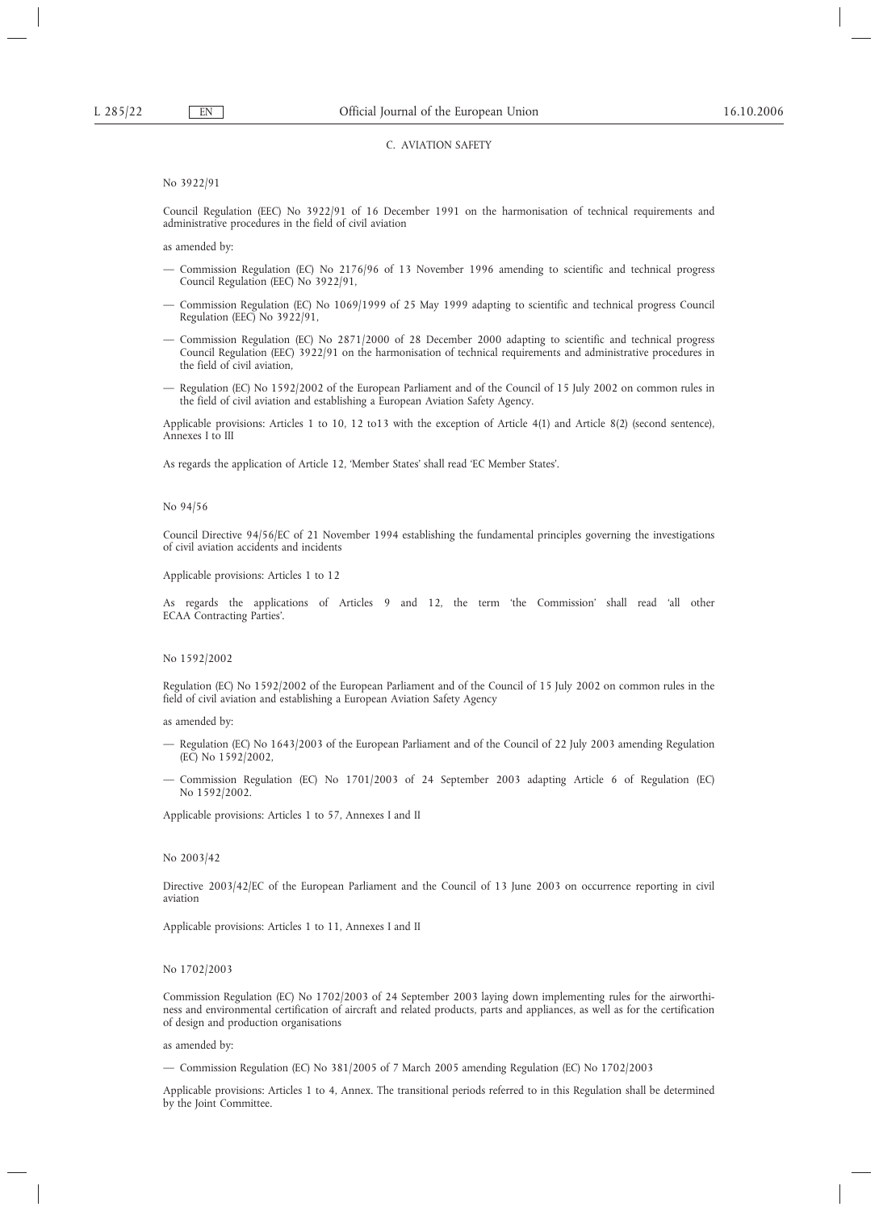## C. AVIATION SAFETY

## No 3922/91

Council Regulation (EEC) No 3922/91 of 16 December 1991 on the harmonisation of technical requirements and administrative procedures in the field of civil aviation

as amended by:

- Commission Regulation (EC) No 2176/96 of 13 November 1996 amending to scientific and technical progress Council Regulation (EEC) No 3922/91,
- Commission Regulation (EC) No 1069/1999 of 25 May 1999 adapting to scientific and technical progress Council Regulation (EEC) No 3922/91,
- Commission Regulation (EC) No 2871/2000 of 28 December 2000 adapting to scientific and technical progress Council Regulation (EEC) 3922/91 on the harmonisation of technical requirements and administrative procedures in the field of civil aviation,
- Regulation (EC) No 1592/2002 of the European Parliament and of the Council of 15 July 2002 on common rules in the field of civil aviation and establishing a European Aviation Safety Agency.

Applicable provisions: Articles 1 to 10, 12 to13 with the exception of Article 4(1) and Article 8(2) (second sentence), Annexes I to III

As regards the application of Article 12, 'Member States' shall read 'EC Member States'.

## No 94/56

Council Directive 94/56/EC of 21 November 1994 establishing the fundamental principles governing the investigations of civil aviation accidents and incidents

Applicable provisions: Articles 1 to 12

As regards the applications of Articles 9 and 12, the term 'the Commission' shall read 'all other ECAA Contracting Parties'.

## No 1592/2002

Regulation (EC) No 1592/2002 of the European Parliament and of the Council of 15 July 2002 on common rules in the field of civil aviation and establishing a European Aviation Safety Agency

as amended by:

- Regulation (EC) No 1643/2003 of the European Parliament and of the Council of 22 July 2003 amending Regulation (EC) No 1592/2002,
- Commission Regulation (EC) No 1701/2003 of 24 September 2003 adapting Article 6 of Regulation (EC) No 1592/2002.

Applicable provisions: Articles 1 to 57, Annexes I and II

#### No 2003/42

Directive 2003/42/EC of the European Parliament and the Council of 13 June 2003 on occurrence reporting in civil aviation

Applicable provisions: Articles 1 to 11, Annexes I and II

### No 1702/2003

Commission Regulation (EC) No 1702/2003 of 24 September 2003 laying down implementing rules for the airworthiness and environmental certification of aircraft and related products, parts and appliances, as well as for the certification of design and production organisations

## as amended by:

— Commission Regulation (EC) No 381/2005 of 7 March 2005 amending Regulation (EC) No 1702/2003

Applicable provisions: Articles 1 to 4, Annex. The transitional periods referred to in this Regulation shall be determined by the Joint Committee.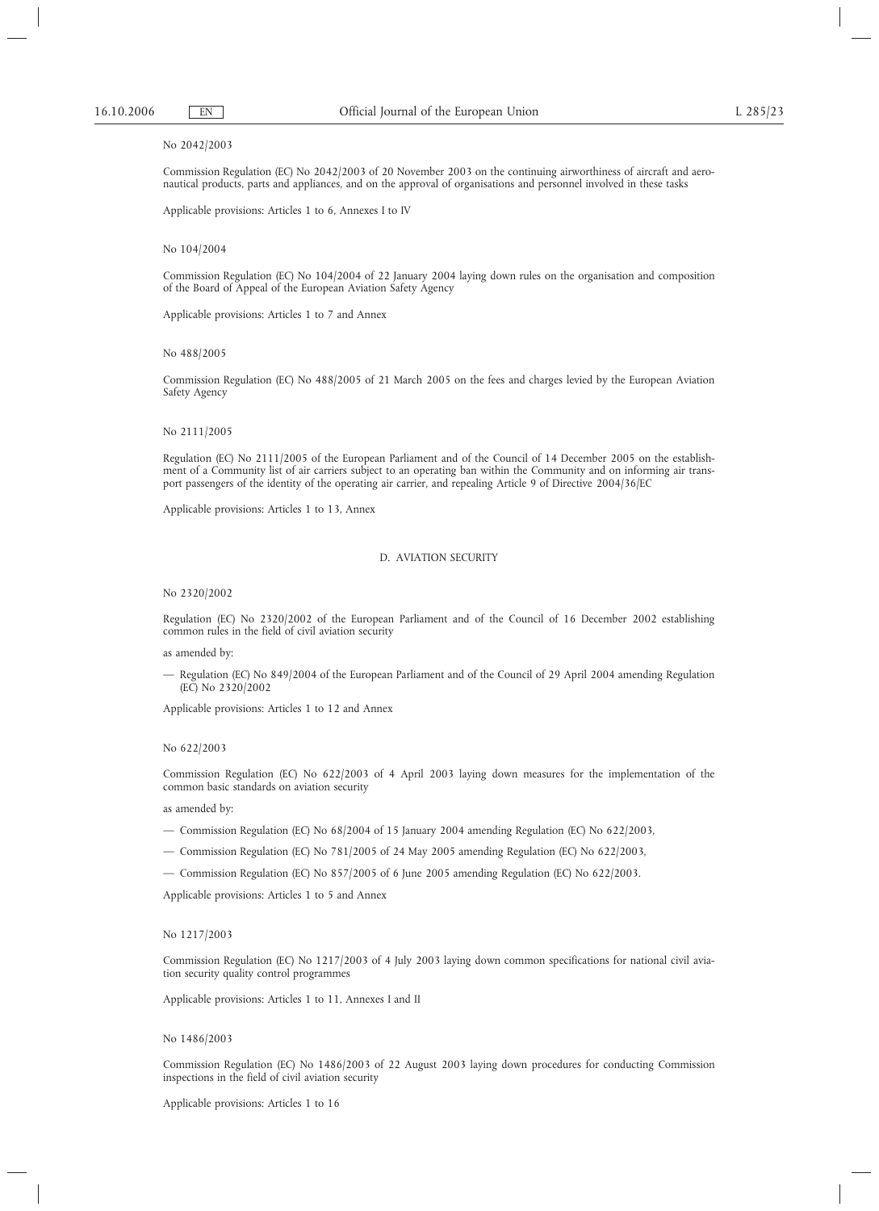## No 2042/2003

Commission Regulation (EC) No 2042/2003 of 20 November 2003 on the continuing airworthiness of aircraft and aeronautical products, parts and appliances, and on the approval of organisations and personnel involved in these tasks

Applicable provisions: Articles 1 to 6, Annexes I to IV

### No 104/2004

Commission Regulation (EC) No 104/2004 of 22 January 2004 laying down rules on the organisation and composition of the Board of Appeal of the European Aviation Safety Agency

Applicable provisions: Articles 1 to 7 and Annex

## No 488/2005

Commission Regulation (EC) No 488/2005 of 21 March 2005 on the fees and charges levied by the European Aviation Safety Agency

### No 2111/2005

Regulation (EC) No 2111/2005 of the European Parliament and of the Council of 14 December 2005 on the establishment of a Community list of air carriers subject to an operating ban within the Community and on informing air transport passengers of the identity of the operating air carrier, and repealing Article 9 of Directive 2004/36/EC

Applicable provisions: Articles 1 to 13, Annex

## D. AVIATION SECURITY

No 2320/2002

Regulation (EC) No 2320/2002 of the European Parliament and of the Council of 16 December 2002 establishing common rules in the field of civil aviation security

as amended by:

— Regulation (EC) No 849/2004 of the European Parliament and of the Council of 29 April 2004 amending Regulation (EC) No 2320/2002

Applicable provisions: Articles 1 to 12 and Annex

### No 622/2003

Commission Regulation (EC) No 622/2003 of 4 April 2003 laying down measures for the implementation of the common basic standards on aviation security

as amended by:

- Commission Regulation (EC) No 68/2004 of 15 January 2004 amending Regulation (EC) No 622/2003,
- Commission Regulation (EC) No 781/2005 of 24 May 2005 amending Regulation (EC) No 622/2003,
- Commission Regulation (EC) No 857/2005 of 6 June 2005 amending Regulation (EC) No 622/2003.

Applicable provisions: Articles 1 to 5 and Annex

## No 1217/2003

Commission Regulation (EC) No 1217/2003 of 4 July 2003 laying down common specifications for national civil aviation security quality control programmes

Applicable provisions: Articles 1 to 11, Annexes I and II

### No 1486/2003

Commission Regulation (EC) No 1486/2003 of 22 August 2003 laying down procedures for conducting Commission inspections in the field of civil aviation security

Applicable provisions: Articles 1 to 16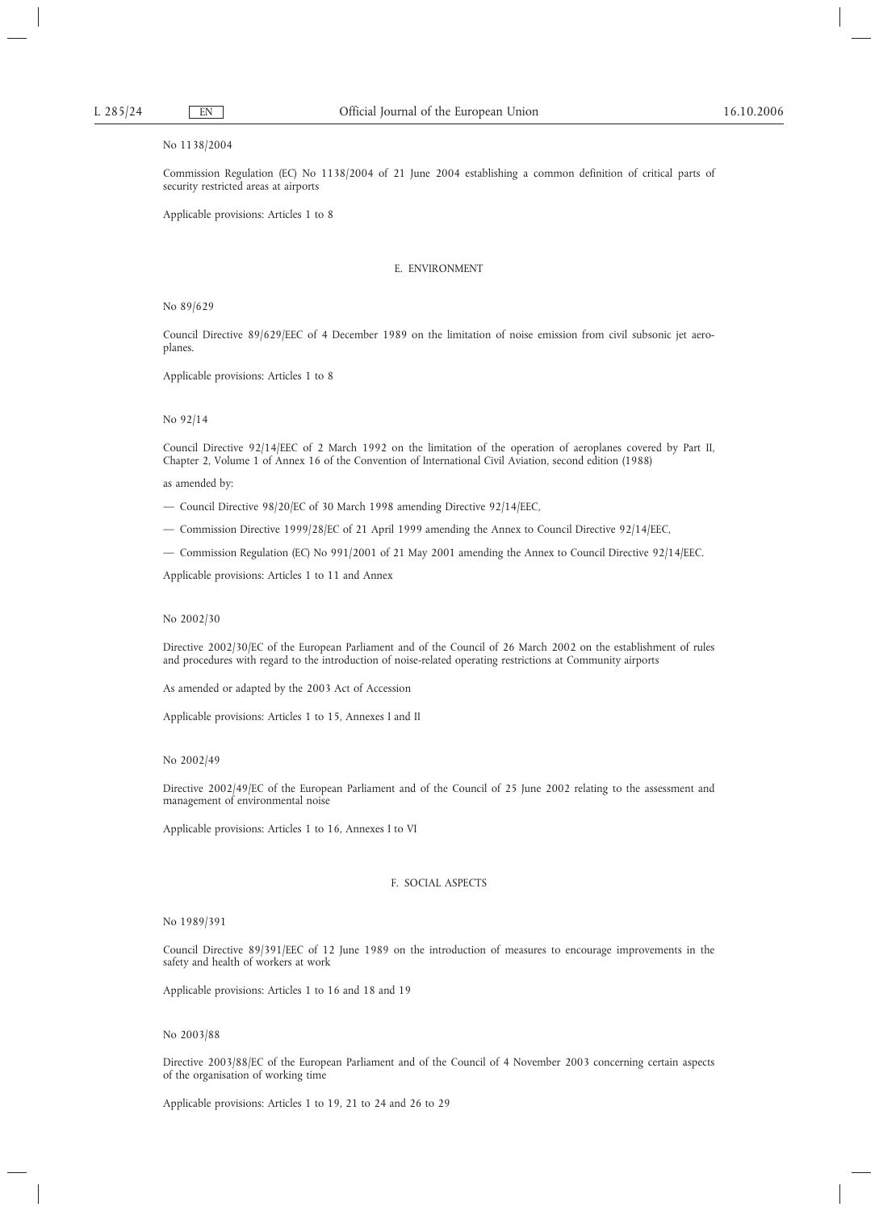# No 1138/2004

Commission Regulation (EC) No 1138/2004 of 21 June 2004 establishing a common definition of critical parts of security restricted areas at airports

Applicable provisions: Articles 1 to 8

# E. ENVIRONMENT

No 89/629

Council Directive 89/629/EEC of 4 December 1989 on the limitation of noise emission from civil subsonic jet aeroplanes.

Applicable provisions: Articles 1 to 8

### No 92/14

Council Directive 92/14/EEC of 2 March 1992 on the limitation of the operation of aeroplanes covered by Part II, Chapter 2, Volume 1 of Annex 16 of the Convention of International Civil Aviation, second edition (1988)

as amended by:

- Council Directive 98/20/EC of 30 March 1998 amending Directive 92/14/EEC,
- Commission Directive 1999/28/EC of 21 April 1999 amending the Annex to Council Directive 92/14/EEC,
- Commission Regulation (EC) No 991/2001 of 21 May 2001 amending the Annex to Council Directive 92/14/EEC.

Applicable provisions: Articles 1 to 11 and Annex

## No 2002/30

Directive 2002/30/EC of the European Parliament and of the Council of 26 March 2002 on the establishment of rules and procedures with regard to the introduction of noise-related operating restrictions at Community airports

As amended or adapted by the 2003 Act of Accession

Applicable provisions: Articles 1 to 15, Annexes I and II

### No 2002/49

Directive 2002/49/EC of the European Parliament and of the Council of 25 June 2002 relating to the assessment and management of environmental noise

Applicable provisions: Articles 1 to 16, Annexes I to VI

## F. SOCIAL ASPECTS

## No 1989/391

Council Directive 89/391/EEC of 12 June 1989 on the introduction of measures to encourage improvements in the safety and health of workers at work

Applicable provisions: Articles 1 to 16 and 18 and 19

## No 2003/88

Directive 2003/88/EC of the European Parliament and of the Council of 4 November 2003 concerning certain aspects of the organisation of working time

Applicable provisions: Articles 1 to 19, 21 to 24 and 26 to 29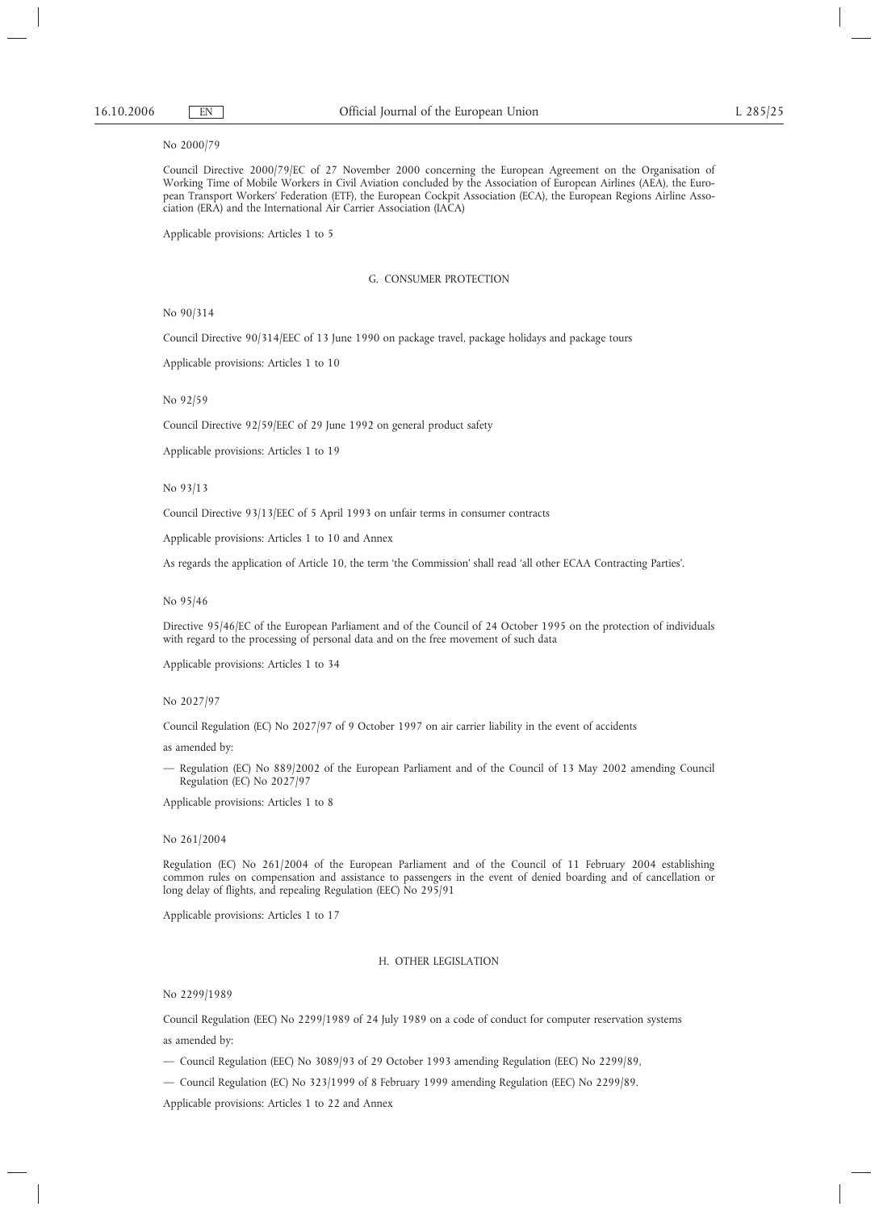## No 2000/79

Council Directive 2000/79/EC of 27 November 2000 concerning the European Agreement on the Organisation of Working Time of Mobile Workers in Civil Aviation concluded by the Association of European Airlines (AEA), the European Transport Workers' Federation (ETF), the European Cockpit Association (ECA), the European Regions Airline Association (ERA) and the International Air Carrier Association (IACA)

Applicable provisions: Articles 1 to 5

### G. CONSUMER PROTECTION

No 90/314

Council Directive 90/314/EEC of 13 June 1990 on package travel, package holidays and package tours

Applicable provisions: Articles 1 to 10

No 92/59

Council Directive 92/59/EEC of 29 June 1992 on general product safety

Applicable provisions: Articles 1 to 19

## No 93/13

Council Directive 93/13/EEC of 5 April 1993 on unfair terms in consumer contracts

Applicable provisions: Articles 1 to 10 and Annex

As regards the application of Article 10, the term 'the Commission' shall read 'all other ECAA Contracting Parties'.

### No 95/46

Directive 95/46/EC of the European Parliament and of the Council of 24 October 1995 on the protection of individuals with regard to the processing of personal data and on the free movement of such data

Applicable provisions: Articles 1 to 34

### No 2027/97

Council Regulation (EC) No 2027/97 of 9 October 1997 on air carrier liability in the event of accidents

as amended by:

— Regulation (EC) No 889/2002 of the European Parliament and of the Council of 13 May 2002 amending Council Regulation (EC) No 2027/97

Applicable provisions: Articles 1 to 8

## No 261/2004

Regulation (EC) No 261/2004 of the European Parliament and of the Council of 11 February 2004 establishing common rules on compensation and assistance to passengers in the event of denied boarding and of cancellation or long delay of flights, and repealing Regulation (EEC) No 295/91

Applicable provisions: Articles 1 to 17

## H. OTHER LEGISLATION

No 2299/1989

Council Regulation (EEC) No 2299/1989 of 24 July 1989 on a code of conduct for computer reservation systems as amended by:

— Council Regulation (EEC) No 3089/93 of 29 October 1993 amending Regulation (EEC) No 2299/89,

— Council Regulation (EC) No 323/1999 of 8 February 1999 amending Regulation (EEC) No 2299/89.

Applicable provisions: Articles 1 to 22 and Annex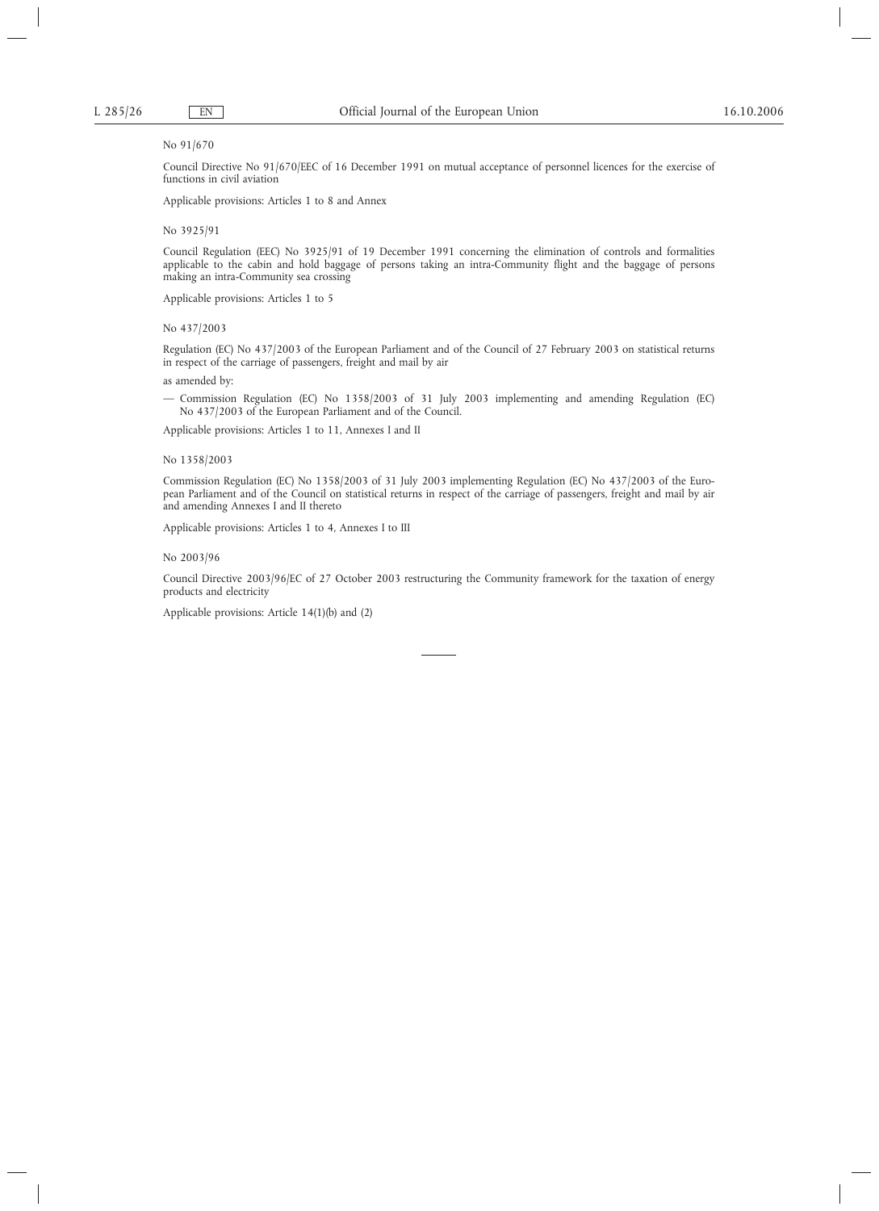## No 91/670

Council Directive No 91/670/EEC of 16 December 1991 on mutual acceptance of personnel licences for the exercise of functions in civil aviation

Applicable provisions: Articles 1 to 8 and Annex

## No 3925/91

Council Regulation (EEC) No 3925/91 of 19 December 1991 concerning the elimination of controls and formalities applicable to the cabin and hold baggage of persons taking an intra-Community flight and the baggage of persons making an intra-Community sea crossing

Applicable provisions: Articles 1 to 5

### No 437/2003

Regulation (EC) No 437/2003 of the European Parliament and of the Council of 27 February 2003 on statistical returns in respect of the carriage of passengers, freight and mail by air

as amended by:

— Commission Regulation (EC) No 1358/2003 of 31 July 2003 implementing and amending Regulation (EC) No 437/2003 of the European Parliament and of the Council.

Applicable provisions: Articles 1 to 11, Annexes I and II

## No 1358/2003

Commission Regulation (EC) No 1358/2003 of 31 July 2003 implementing Regulation (EC) No 437/2003 of the European Parliament and of the Council on statistical returns in respect of the carriage of passengers, freight and mail by air and amending Annexes I and II thereto

Applicable provisions: Articles 1 to 4, Annexes I to III

## No 2003/96

Council Directive 2003/96/EC of 27 October 2003 restructuring the Community framework for the taxation of energy products and electricity

Applicable provisions: Article 14(1)(b) and (2)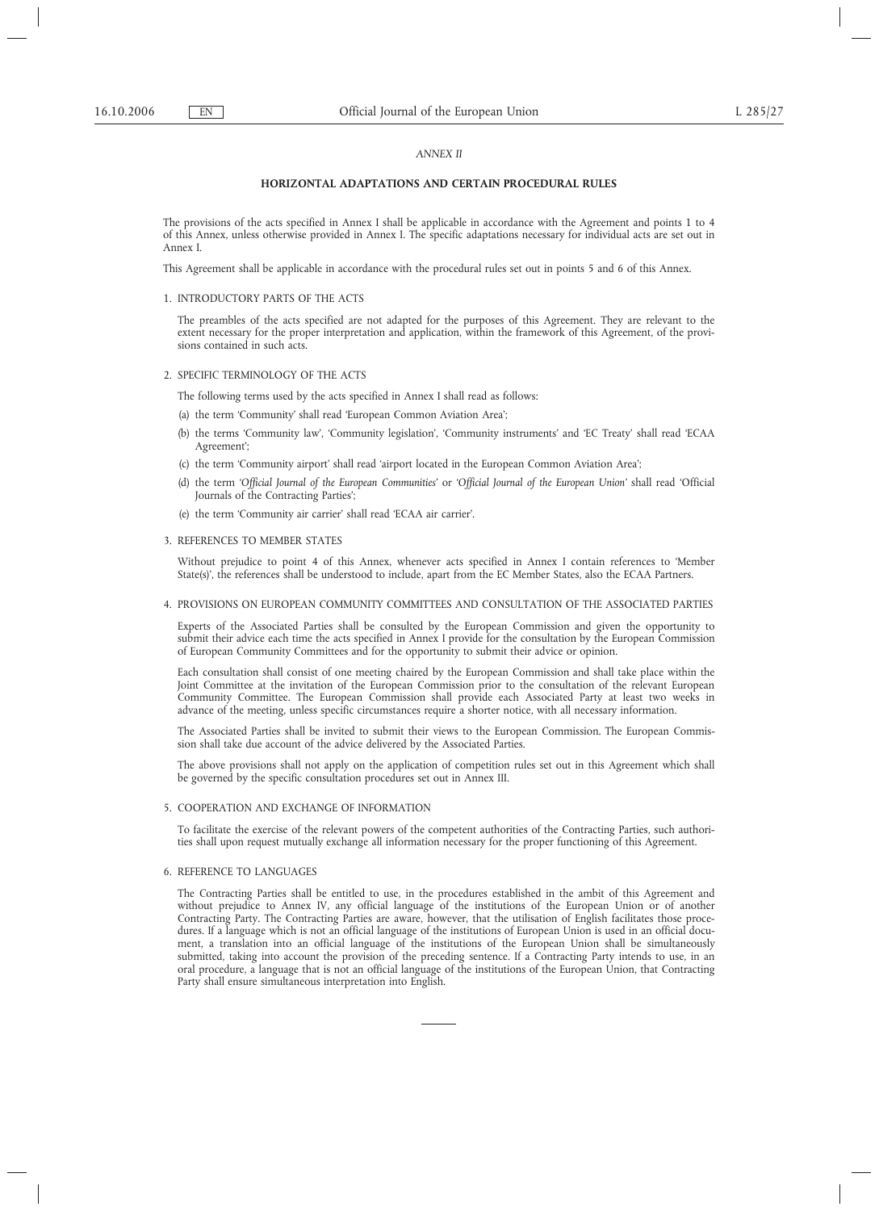### *ANNEX II*

## **HORIZONTAL ADAPTATIONS AND CERTAIN PROCEDURAL RULES**

The provisions of the acts specified in Annex I shall be applicable in accordance with the Agreement and points 1 to 4 of this Annex, unless otherwise provided in Annex I. The specific adaptations necessary for individual acts are set out in Annex I.

This Agreement shall be applicable in accordance with the procedural rules set out in points 5 and 6 of this Annex.

1. INTRODUCTORY PARTS OF THE ACTS

The preambles of the acts specified are not adapted for the purposes of this Agreement. They are relevant to the extent necessary for the proper interpretation and application, within the framework of this Agreement, of the provisions contained in such acts.

### 2. SPECIFIC TERMINOLOGY OF THE ACTS

The following terms used by the acts specified in Annex I shall read as follows:

- (a) the term 'Community' shall read 'European Common Aviation Area';
- (b) the terms 'Community law', 'Community legislation', 'Community instruments' and 'EC Treaty' shall read 'ECAA Agreement';
- (c) the term 'Community airport' shall read 'airport located in the European Common Aviation Area';
- (d) the term *'Official Journal of the European Communities'* or *'Official Journal of the European Union'* shall read 'Official Journals of the Contracting Parties';
- (e) the term 'Community air carrier' shall read 'ECAA air carrier'.

### 3. REFERENCES TO MEMBER STATES

Without prejudice to point 4 of this Annex, whenever acts specified in Annex I contain references to 'Member State(s)', the references shall be understood to include, apart from the EC Member States, also the ECAA Partners.

## 4. PROVISIONS ON EUROPEAN COMMUNITY COMMITTEES AND CONSULTATION OF THE ASSOCIATED PARTIES

Experts of the Associated Parties shall be consulted by the European Commission and given the opportunity to submit their advice each time the acts specified in Annex I provide for the consultation by the European Commission of European Community Committees and for the opportunity to submit their advice or opinion.

Each consultation shall consist of one meeting chaired by the European Commission and shall take place within the Joint Committee at the invitation of the European Commission prior to the consultation of the relevant European Community Committee. The European Commission shall provide each Associated Party at least two weeks in advance of the meeting, unless specific circumstances require a shorter notice, with all necessary information.

The Associated Parties shall be invited to submit their views to the European Commission. The European Commission shall take due account of the advice delivered by the Associated Parties.

The above provisions shall not apply on the application of competition rules set out in this Agreement which shall be governed by the specific consultation procedures set out in Annex III.

# 5. COOPERATION AND EXCHANGE OF INFORMATION

To facilitate the exercise of the relevant powers of the competent authorities of the Contracting Parties, such authorities shall upon request mutually exchange all information necessary for the proper functioning of this Agreement.

### 6. REFERENCE TO LANGUAGES

The Contracting Parties shall be entitled to use, in the procedures established in the ambit of this Agreement and without prejudice to Annex IV, any official language of the institutions of the European Union or of another Contracting Party. The Contracting Parties are aware, however, that the utilisation of English facilitates those procedures. If a language which is not an official language of the institutions of European Union is used in an official document, a translation into an official language of the institutions of the European Union shall be simultaneously submitted, taking into account the provision of the preceding sentence. If a Contracting Party intends to use, in an oral procedure, a language that is not an official language of the institutions of the European Union, that Contracting Party shall ensure simultaneous interpretation into English.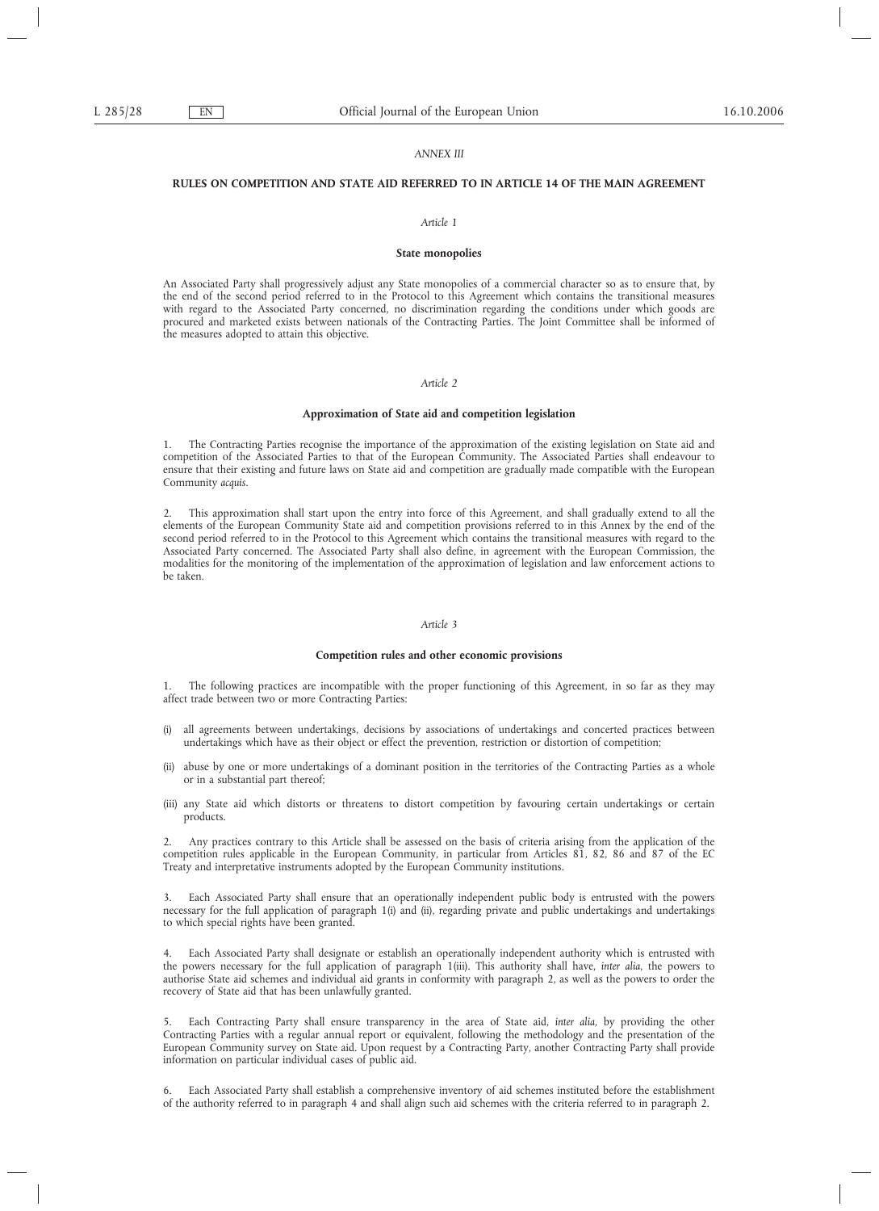### *ANNEX III*

# **RULES ON COMPETITION AND STATE AID REFERRED TO IN ARTICLE 14 OF THE MAIN AGREEMENT**

#### *Article 1*

#### **State monopolies**

An Associated Party shall progressively adjust any State monopolies of a commercial character so as to ensure that, by the end of the second period referred to in the Protocol to this Agreement which contains the transitional measures with regard to the Associated Party concerned, no discrimination regarding the conditions under which goods are procured and marketed exists between nationals of the Contracting Parties. The Joint Committee shall be informed of the measures adopted to attain this objective.

## *Article 2*

## **Approximation of State aid and competition legislation**

1. The Contracting Parties recognise the importance of the approximation of the existing legislation on State aid and competition of the Associated Parties to that of the European Community. The Associated Parties shall endeavour to ensure that their existing and future laws on State aid and competition are gradually made compatible with the European Community *acquis*.

2. This approximation shall start upon the entry into force of this Agreement, and shall gradually extend to all the elements of the European Community State aid and competition provisions referred to in this Annex by the end of the second period referred to in the Protocol to this Agreement which contains the transitional measures with regard to the Associated Party concerned. The Associated Party shall also define, in agreement with the European Commission, the modalities for the monitoring of the implementation of the approximation of legislation and law enforcement actions to be taken.

### *Article 3*

### **Competition rules and other economic provisions**

The following practices are incompatible with the proper functioning of this Agreement, in so far as they may affect trade between two or more Contracting Parties:

- (i) all agreements between undertakings, decisions by associations of undertakings and concerted practices between undertakings which have as their object or effect the prevention, restriction or distortion of competition;
- (ii) abuse by one or more undertakings of a dominant position in the territories of the Contracting Parties as a whole or in a substantial part thereof;
- (iii) any State aid which distorts or threatens to distort competition by favouring certain undertakings or certain products.

2. Any practices contrary to this Article shall be assessed on the basis of criteria arising from the application of the competition rules applicable in the European Community, in particular from Articles 81, 82, 86 and 87 of the EC Treaty and interpretative instruments adopted by the European Community institutions.

3. Each Associated Party shall ensure that an operationally independent public body is entrusted with the powers necessary for the full application of paragraph 1(i) and (ii), regarding private and public undertakings and undertakings to which special rights have been granted.

4. Each Associated Party shall designate or establish an operationally independent authority which is entrusted with the powers necessary for the full application of paragraph 1(iii). This authority shall have, *inter alia*, the powers to authorise State aid schemes and individual aid grants in conformity with paragraph 2, as well as the powers to order the recovery of State aid that has been unlawfully granted.

5. Each Contracting Party shall ensure transparency in the area of State aid, *inter alia,* by providing the other Contracting Parties with a regular annual report or equivalent, following the methodology and the presentation of the European Community survey on State aid. Upon request by a Contracting Party, another Contracting Party shall provide information on particular individual cases of public aid.

6. Each Associated Party shall establish a comprehensive inventory of aid schemes instituted before the establishment of the authority referred to in paragraph 4 and shall align such aid schemes with the criteria referred to in paragraph 2.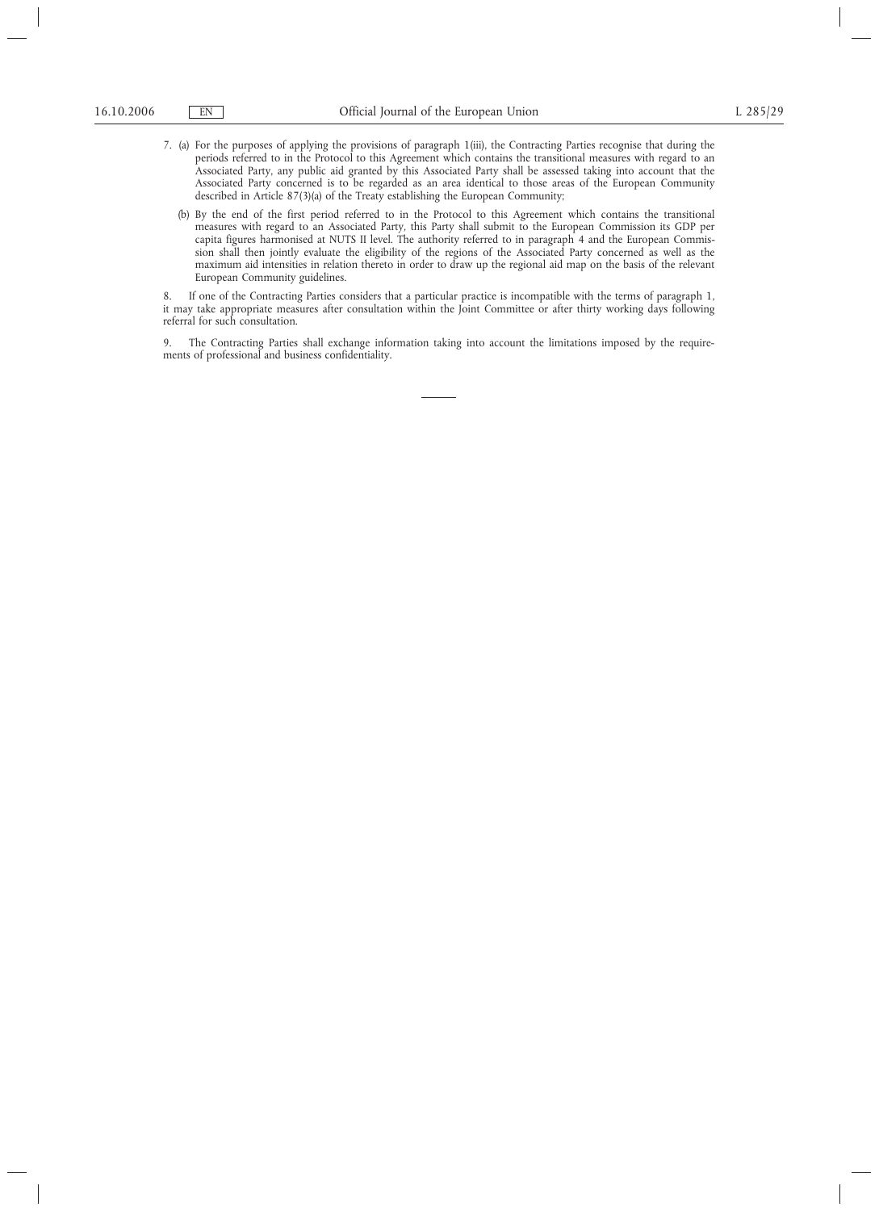- 7. (a) For the purposes of applying the provisions of paragraph 1(iii), the Contracting Parties recognise that during the periods referred to in the Protocol to this Agreement which contains the transitional measures with regard to an Associated Party, any public aid granted by this Associated Party shall be assessed taking into account that the Associated Party concerned is to be regarded as an area identical to those areas of the European Community described in Article 87(3)(a) of the Treaty establishing the European Community;
	- (b) By the end of the first period referred to in the Protocol to this Agreement which contains the transitional measures with regard to an Associated Party, this Party shall submit to the European Commission its GDP per capita figures harmonised at NUTS II level. The authority referred to in paragraph 4 and the European Commission shall then jointly evaluate the eligibility of the regions of the Associated Party concerned as well as the maximum aid intensities in relation thereto in order to draw up the regional aid map on the basis of the relevant European Community guidelines.

8. If one of the Contracting Parties considers that a particular practice is incompatible with the terms of paragraph 1, it may take appropriate measures after consultation within the Joint Committee or after thirty working days following referral for such consultation.

9. The Contracting Parties shall exchange information taking into account the limitations imposed by the requirements of professional and business confidentiality.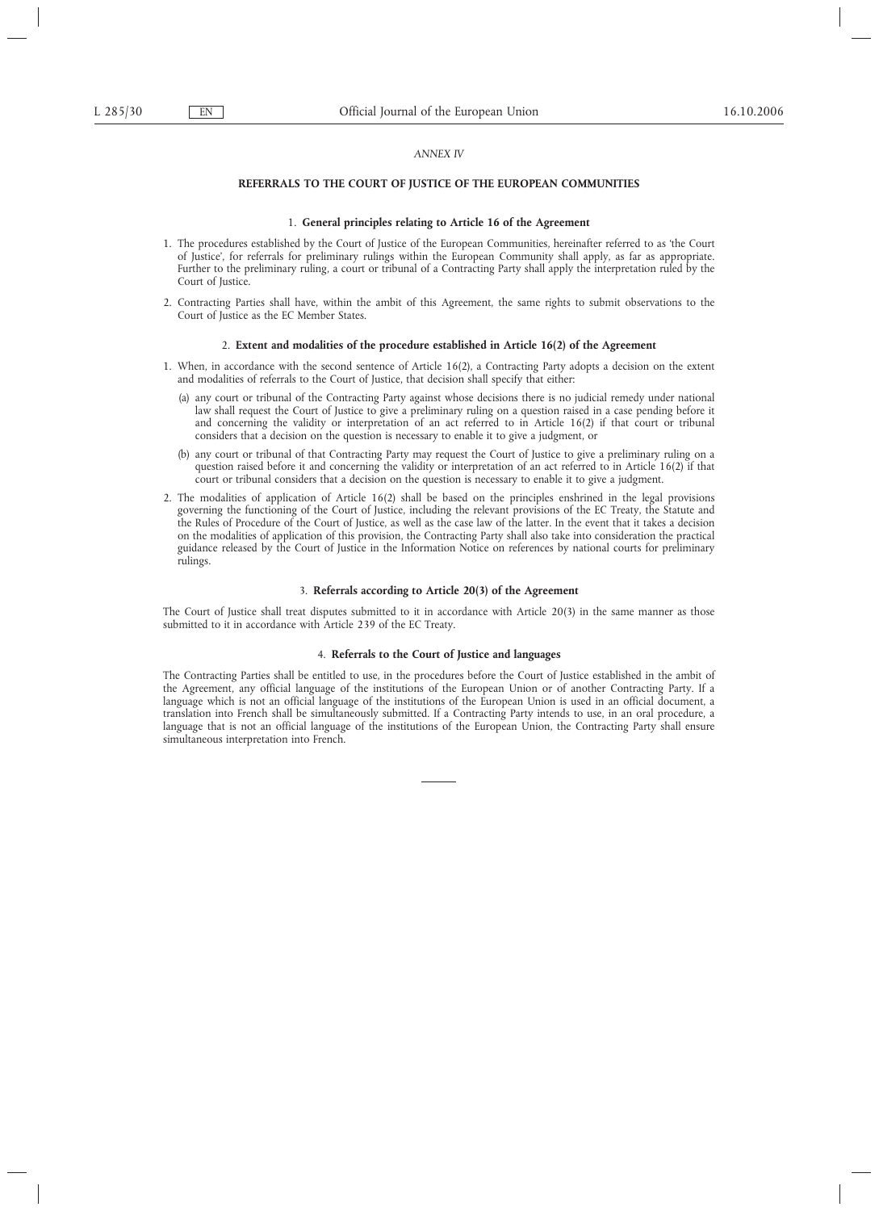### *ANNEX IV*

## **REFERRALS TO THE COURT OF JUSTICE OF THE EUROPEAN COMMUNITIES**

## 1. **General principles relating to Article 16 of the Agreement**

- 1. The procedures established by the Court of Justice of the European Communities, hereinafter referred to as 'the Court of Justice', for referrals for preliminary rulings within the European Community shall apply, as far as appropriate. Further to the preliminary ruling, a court or tribunal of a Contracting Party shall apply the interpretation ruled by the Court of Justice.
- 2. Contracting Parties shall have, within the ambit of this Agreement, the same rights to submit observations to the Court of Justice as the EC Member States.

### 2. **Extent and modalities of the procedure established in Article 16(2) of the Agreement**

- 1. When, in accordance with the second sentence of Article 16(2), a Contracting Party adopts a decision on the extent and modalities of referrals to the Court of Justice, that decision shall specify that either:
	- (a) any court or tribunal of the Contracting Party against whose decisions there is no judicial remedy under national law shall request the Court of Justice to give a preliminary ruling on a question raised in a case pending before it and concerning the validity or interpretation of an act referred to in Article 16(2) if that court or tribunal considers that a decision on the question is necessary to enable it to give a judgment, or
	- (b) any court or tribunal of that Contracting Party may request the Court of Justice to give a preliminary ruling on a question raised before it and concerning the validity or interpretation of an act referred to in Article 16(2) if that court or tribunal considers that a decision on the question is necessary to enable it to give a judgment.
- 2. The modalities of application of Article 16(2) shall be based on the principles enshrined in the legal provisions governing the functioning of the Court of Justice, including the relevant provisions of the EC Treaty, the Statute and the Rules of Procedure of the Court of Justice, as well as the case law of the latter. In the event that it takes a decision on the modalities of application of this provision, the Contracting Party shall also take into consideration the practical guidance released by the Court of Justice in the Information Notice on references by national courts for preliminary rulings.

## 3. **Referrals according to Article 20(3) of the Agreement**

The Court of Justice shall treat disputes submitted to it in accordance with Article 20(3) in the same manner as those submitted to it in accordance with Article 239 of the EC Treaty.

## 4. **Referrals to the Court of Justice and languages**

The Contracting Parties shall be entitled to use, in the procedures before the Court of Justice established in the ambit of the Agreement, any official language of the institutions of the European Union or of another Contracting Party. If a language which is not an official language of the institutions of the European Union is used in an official document, a translation into French shall be simultaneously submitted. If a Contracting Party intends to use, in an oral procedure, a language that is not an official language of the institutions of the European Union, the Contracting Party shall ensure simultaneous interpretation into French.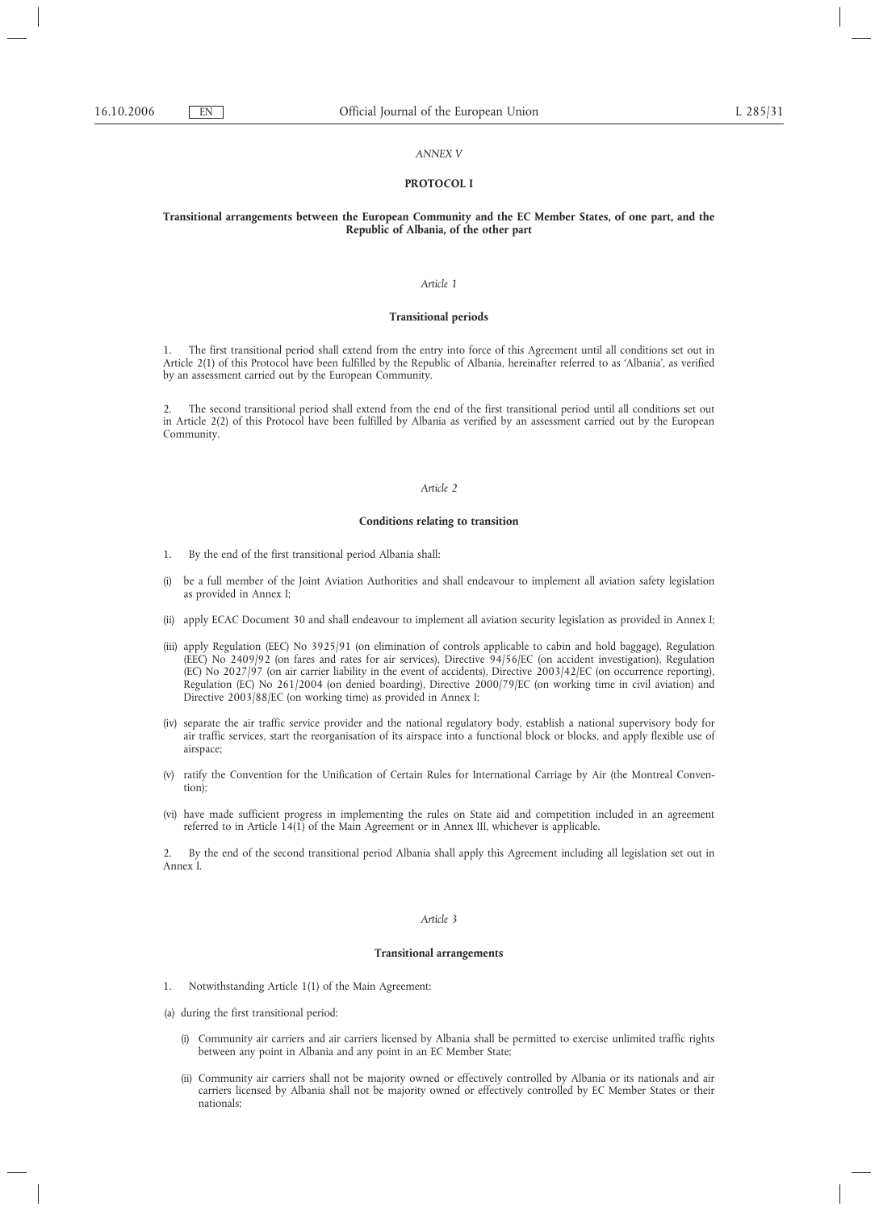### *ANNEX V*

### **PROTOCOL I**

### **Transitional arrangements between the European Community and the EC Member States, of one part, and the Republic of Albania, of the other part**

## *Article 1*

### **Transitional periods**

1. The first transitional period shall extend from the entry into force of this Agreement until all conditions set out in Article 2(1) of this Protocol have been fulfilled by the Republic of Albania, hereinafter referred to as 'Albania', as verified by an assessment carried out by the European Community.

2. The second transitional period shall extend from the end of the first transitional period until all conditions set out in Article 2(2) of this Protocol have been fulfilled by Albania as verified by an assessment carried out by the European Community.

## *Article 2*

### **Conditions relating to transition**

- 1. By the end of the first transitional period Albania shall:
- (i) be a full member of the Joint Aviation Authorities and shall endeavour to implement all aviation safety legislation as provided in Annex I;
- (ii) apply ECAC Document 30 and shall endeavour to implement all aviation security legislation as provided in Annex I;
- (iii) apply Regulation (EEC) No 3925/91 (on elimination of controls applicable to cabin and hold baggage), Regulation (EEC) No 2409/92 (on fares and rates for air services), Directive 94/56/EC (on accident investigation), Regulation (EC) No 2027/97 (on air carrier liability in the event of accidents), Directive 2003/42/EC (on occurrence reporting), Regulation (EC) No 261/2004 (on denied boarding), Directive 2000/79/EC (on working time in civil aviation) and Directive 2003/88/EC (on working time) as provided in Annex I;
- (iv) separate the air traffic service provider and the national regulatory body, establish a national supervisory body for air traffic services, start the reorganisation of its airspace into a functional block or blocks, and apply flexible use of airspace;
- (v) ratify the Convention for the Unification of Certain Rules for International Carriage by Air (the Montreal Convention);
- (vi) have made sufficient progress in implementing the rules on State aid and competition included in an agreement referred to in Article 14(1) of the Main Agreement or in Annex III, whichever is applicable.

2. By the end of the second transitional period Albania shall apply this Agreement including all legislation set out in Annex I.

## *Article 3*

### **Transitional arrangements**

- 1. Notwithstanding Article 1(1) of the Main Agreement:
- (a) during the first transitional period:
	- (i) Community air carriers and air carriers licensed by Albania shall be permitted to exercise unlimited traffic rights between any point in Albania and any point in an EC Member State;
	- (ii) Community air carriers shall not be majority owned or effectively controlled by Albania or its nationals and air carriers licensed by Albania shall not be majority owned or effectively controlled by EC Member States or their nationals;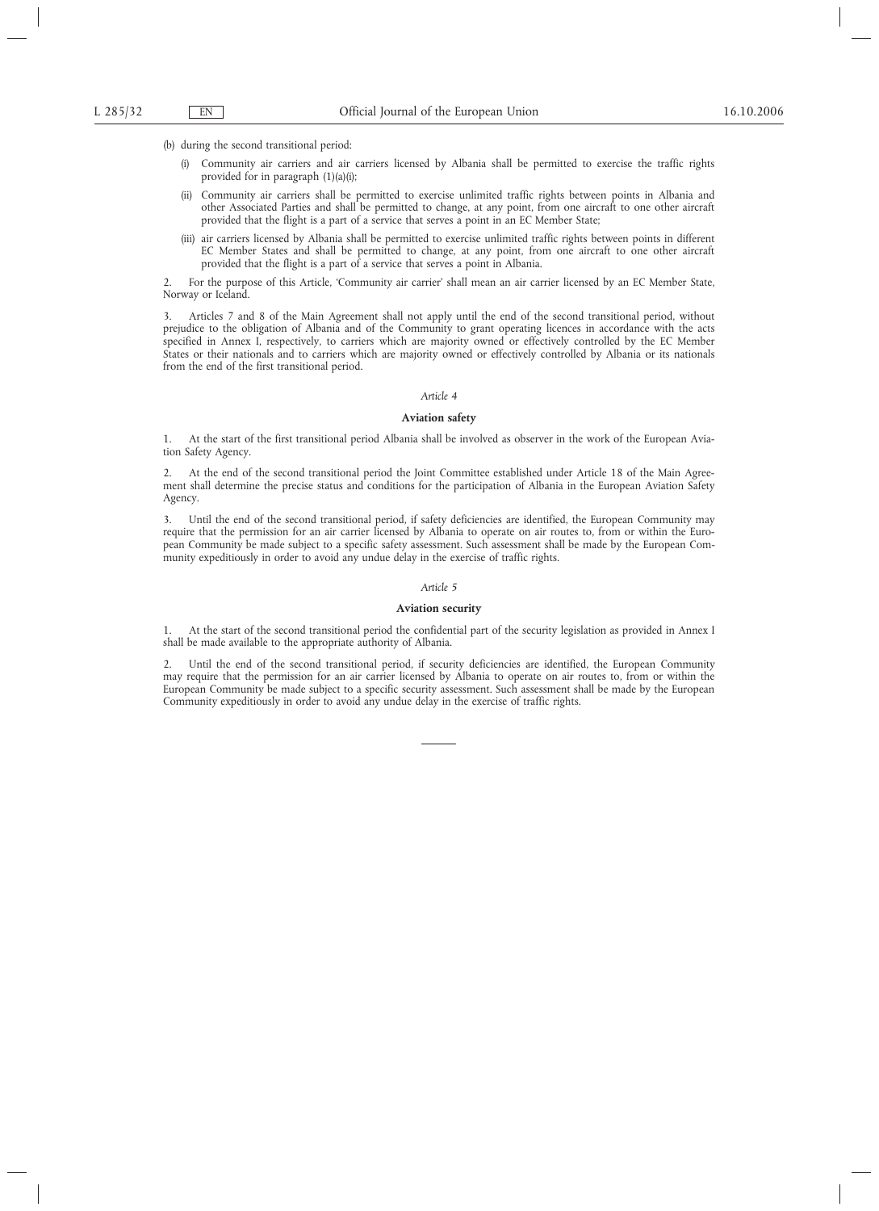(b) during the second transitional period:

- (i) Community air carriers and air carriers licensed by Albania shall be permitted to exercise the traffic rights provided for in paragraph (1)(a)(i);
- (ii) Community air carriers shall be permitted to exercise unlimited traffic rights between points in Albania and other Associated Parties and shall be permitted to change, at any point, from one aircraft to one other aircraft provided that the flight is a part of a service that serves a point in an EC Member State;
- (iii) air carriers licensed by Albania shall be permitted to exercise unlimited traffic rights between points in different EC Member States and shall be permitted to change, at any point, from one aircraft to one other aircraft provided that the flight is a part of a service that serves a point in Albania.

2. For the purpose of this Article, 'Community air carrier' shall mean an air carrier licensed by an EC Member State, Norway or Iceland.

3. Articles 7 and 8 of the Main Agreement shall not apply until the end of the second transitional period, without prejudice to the obligation of Albania and of the Community to grant operating licences in accordance with the acts specified in Annex I, respectively, to carriers which are majority owned or effectively controlled by the EC Member States or their nationals and to carriers which are majority owned or effectively controlled by Albania or its nationals from the end of the first transitional period.

### *Article 4*

### **Aviation safety**

1. At the start of the first transitional period Albania shall be involved as observer in the work of the European Aviation Safety Agency.

2. At the end of the second transitional period the Joint Committee established under Article 18 of the Main Agreement shall determine the precise status and conditions for the participation of Albania in the European Aviation Safety Agency.

3. Until the end of the second transitional period, if safety deficiencies are identified, the European Community may require that the permission for an air carrier licensed by Albania to operate on air routes to, from or within the European Community be made subject to a specific safety assessment. Such assessment shall be made by the European Community expeditiously in order to avoid any undue delay in the exercise of traffic rights.

### *Article 5*

### **Aviation security**

1. At the start of the second transitional period the confidential part of the security legislation as provided in Annex I shall be made available to the appropriate authority of Albania.

2. Until the end of the second transitional period, if security deficiencies are identified, the European Community may require that the permission for an air carrier licensed by Albania to operate on air routes to, from or within the European Community be made subject to a specific security assessment. Such assessment shall be made by the European Community expeditiously in order to avoid any undue delay in the exercise of traffic rights.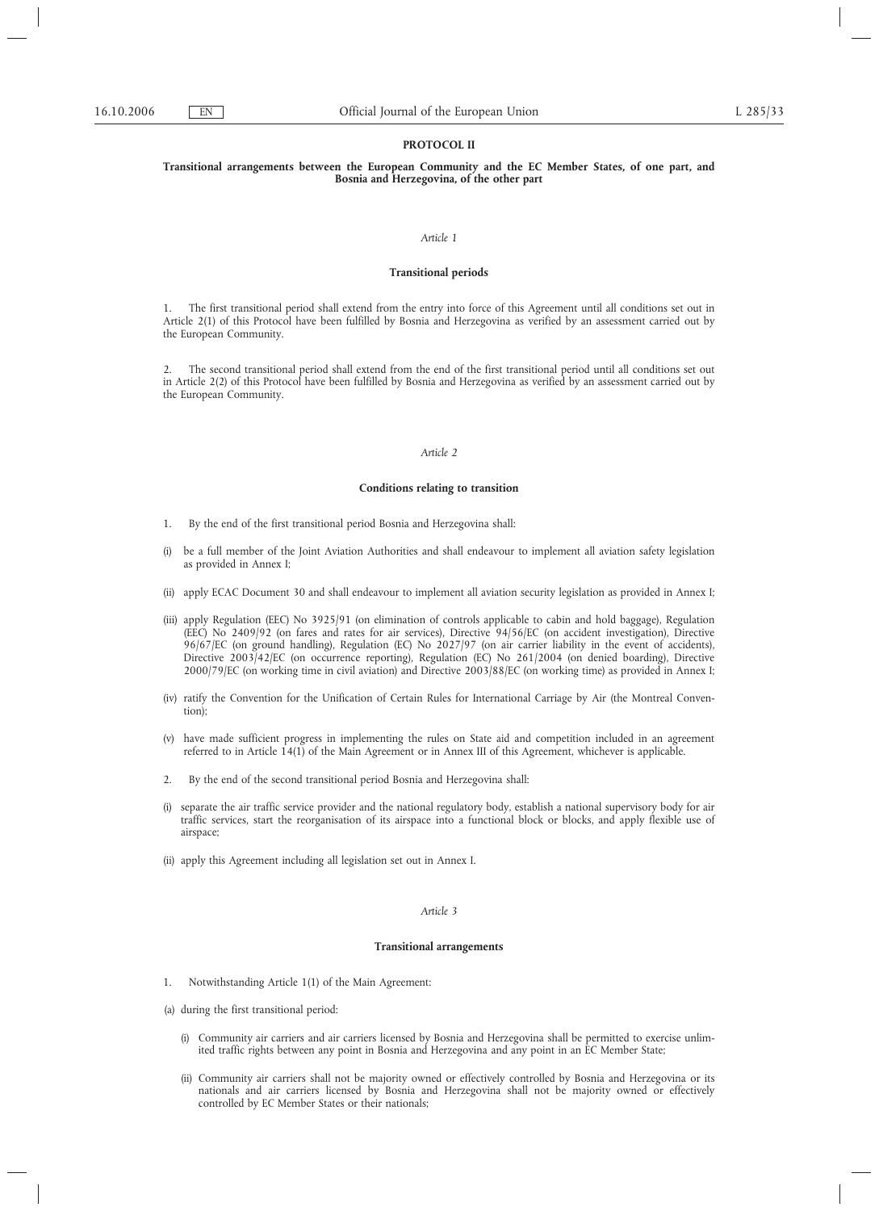## **PROTOCOL II**

## **Transitional arrangements between the European Community and the EC Member States, of one part, and Bosnia and Herzegovina, of the other part**

#### *Article 1*

## **Transitional periods**

1. The first transitional period shall extend from the entry into force of this Agreement until all conditions set out in Article 2(1) of this Protocol have been fulfilled by Bosnia and Herzegovina as verified by an assessment carried out by the European Community.

2. The second transitional period shall extend from the end of the first transitional period until all conditions set out in Article 2(2) of this Protocol have been fulfilled by Bosnia and Herzegovina as verified by an assessment carried out by the European Community.

#### *Article 2*

## **Conditions relating to transition**

- 1. By the end of the first transitional period Bosnia and Herzegovina shall:
- (i) be a full member of the Joint Aviation Authorities and shall endeavour to implement all aviation safety legislation as provided in Annex I;
- (ii) apply ECAC Document 30 and shall endeavour to implement all aviation security legislation as provided in Annex I;
- (iii) apply Regulation (EEC) No 3925/91 (on elimination of controls applicable to cabin and hold baggage), Regulation (EEC) No 2409/92 (on fares and rates for air services), Directive 94/56/EC (on accident investigation), Directive 96/67/EC (on ground handling), Regulation (EC) No 2027/97 (on air carrier liability in the event of accidents), Directive 2003/42/EC (on occurrence reporting), Regulation (EC) No 261/2004 (on denied boarding), Directive 2000/79/EC (on working time in civil aviation) and Directive 2003/88/EC (on working time) as provided in Annex I;
- (iv) ratify the Convention for the Unification of Certain Rules for International Carriage by Air (the Montreal Convention);
- (v) have made sufficient progress in implementing the rules on State aid and competition included in an agreement referred to in Article 14(1) of the Main Agreement or in Annex III of this Agreement, whichever is applicable.
- 2. By the end of the second transitional period Bosnia and Herzegovina shall:
- (i) separate the air traffic service provider and the national regulatory body, establish a national supervisory body for air traffic services, start the reorganisation of its airspace into a functional block or blocks, and apply flexible use of airspace;
- (ii) apply this Agreement including all legislation set out in Annex I.

### *Article 3*

### **Transitional arrangements**

- 1. Notwithstanding Article 1(1) of the Main Agreement:
- (a) during the first transitional period:
	- (i) Community air carriers and air carriers licensed by Bosnia and Herzegovina shall be permitted to exercise unlimited traffic rights between any point in Bosnia and Herzegovina and any point in an EC Member State;
	- (ii) Community air carriers shall not be majority owned or effectively controlled by Bosnia and Herzegovina or its nationals and air carriers licensed by Bosnia and Herzegovina shall not be majority owned or effectively controlled by EC Member States or their nationals;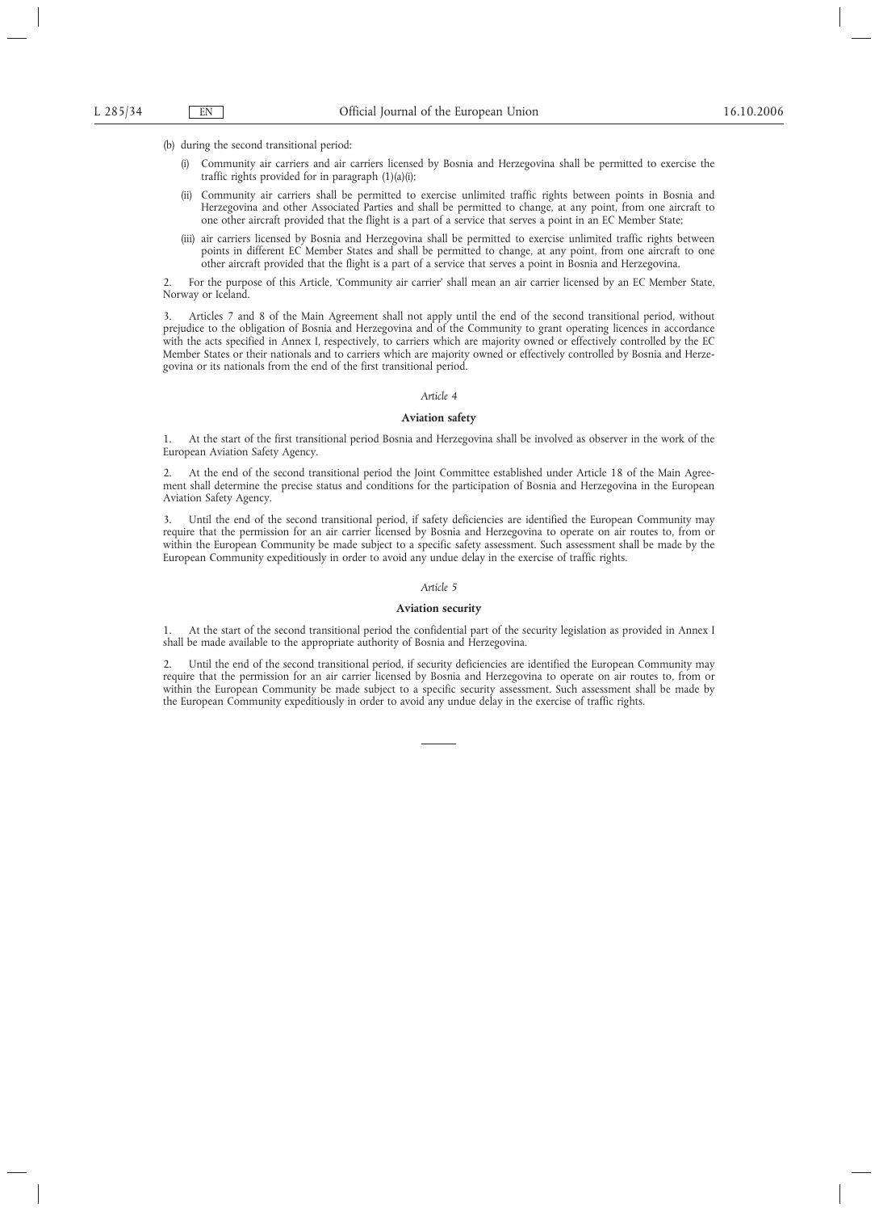(b) during the second transitional period:

- (i) Community air carriers and air carriers licensed by Bosnia and Herzegovina shall be permitted to exercise the traffic rights provided for in paragraph (1)(a)(i);
- (ii) Community air carriers shall be permitted to exercise unlimited traffic rights between points in Bosnia and Herzegovina and other Associated Parties and shall be permitted to change, at any point, from one aircraft to one other aircraft provided that the flight is a part of a service that serves a point in an EC Member State;
- (iii) air carriers licensed by Bosnia and Herzegovina shall be permitted to exercise unlimited traffic rights between points in different EC Member States and shall be permitted to change, at any point, from one aircraft to one other aircraft provided that the flight is a part of a service that serves a point in Bosnia and Herzegovina.

2. For the purpose of this Article, 'Community air carrier' shall mean an air carrier licensed by an EC Member State, Norway or Iceland.

3. Articles 7 and 8 of the Main Agreement shall not apply until the end of the second transitional period, without prejudice to the obligation of Bosnia and Herzegovina and of the Community to grant operating licences in accordance with the acts specified in Annex I, respectively, to carriers which are majority owned or effectively controlled by the EC Member States or their nationals and to carriers which are majority owned or effectively controlled by Bosnia and Herzegovina or its nationals from the end of the first transitional period.

### *Article 4*

### **Aviation safety**

1. At the start of the first transitional period Bosnia and Herzegovina shall be involved as observer in the work of the European Aviation Safety Agency.

2. At the end of the second transitional period the Joint Committee established under Article 18 of the Main Agreement shall determine the precise status and conditions for the participation of Bosnia and Herzegovina in the European Aviation Safety Agency.

3. Until the end of the second transitional period, if safety deficiencies are identified the European Community may require that the permission for an air carrier licensed by Bosnia and Herzegovina to operate on air routes to, from or within the European Community be made subject to a specific safety assessment. Such assessment shall be made by the European Community expeditiously in order to avoid any undue delay in the exercise of traffic rights.

### *Article 5*

### **Aviation security**

1. At the start of the second transitional period the confidential part of the security legislation as provided in Annex I shall be made available to the appropriate authority of Bosnia and Herzegovina.

Until the end of the second transitional period, if security deficiencies are identified the European Community may require that the permission for an air carrier licensed by Bosnia and Herzegovina to operate on air routes to, from or within the European Community be made subject to a specific security assessment. Such assessment shall be made by the European Community expeditiously in order to avoid any undue delay in the exercise of traffic rights.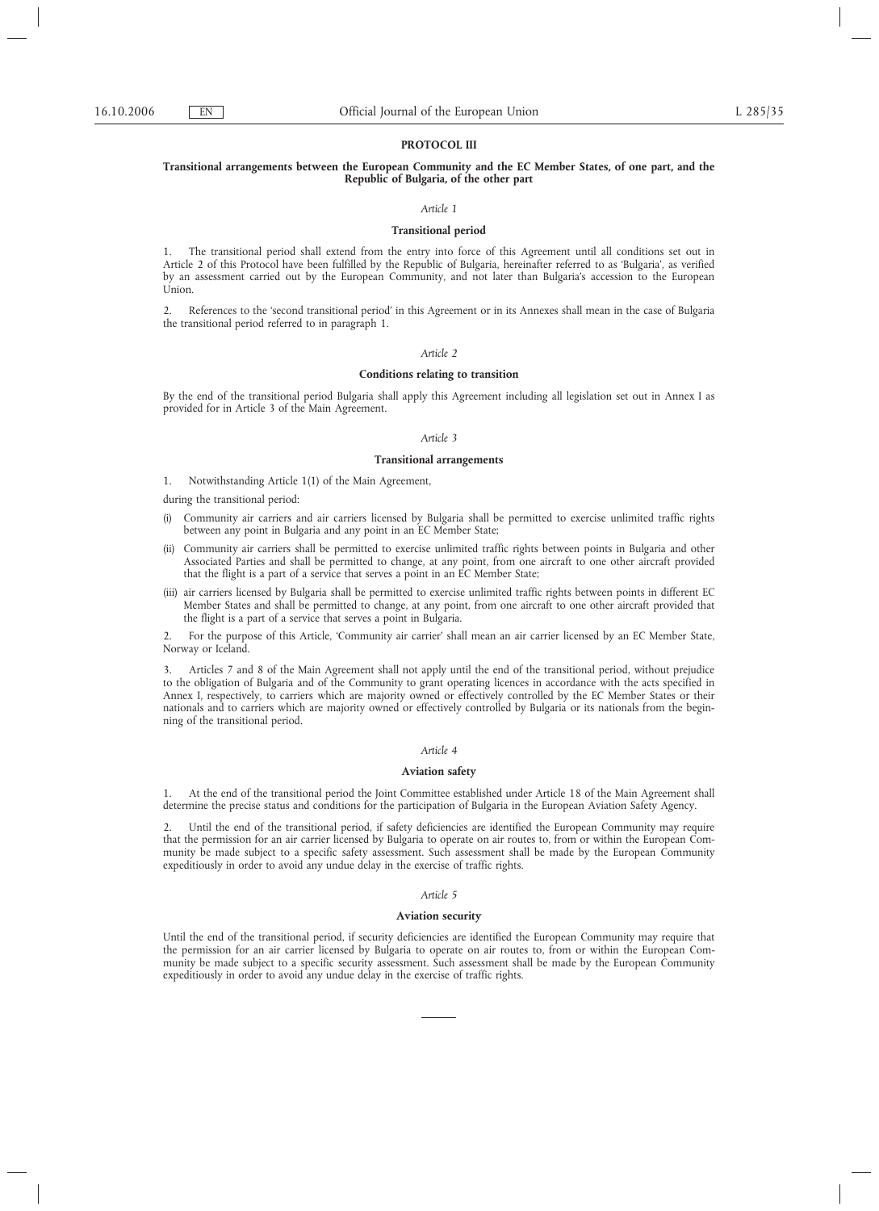## **PROTOCOL III**

## **Transitional arrangements between the European Community and the EC Member States, of one part, and the Republic of Bulgaria, of the other part**

### *Article 1*

### **Transitional period**

1. The transitional period shall extend from the entry into force of this Agreement until all conditions set out in Article 2 of this Protocol have been fulfilled by the Republic of Bulgaria, hereinafter referred to as 'Bulgaria', as verified by an assessment carried out by the European Community, and not later than Bulgaria's accession to the European Union.

2. References to the 'second transitional period' in this Agreement or in its Annexes shall mean in the case of Bulgaria the transitional period referred to in paragraph 1.

### *Article 2*

#### **Conditions relating to transition**

By the end of the transitional period Bulgaria shall apply this Agreement including all legislation set out in Annex I as provided for in Article 3 of the Main Agreement.

#### *Article 3*

## **Transitional arrangements**

1. Notwithstanding Article 1(1) of the Main Agreement,

during the transitional period:

- (i) Community air carriers and air carriers licensed by Bulgaria shall be permitted to exercise unlimited traffic rights between any point in Bulgaria and any point in an EC Member State;
- (ii) Community air carriers shall be permitted to exercise unlimited traffic rights between points in Bulgaria and other Associated Parties and shall be permitted to change, at any point, from one aircraft to one other aircraft provided that the flight is a part of a service that serves a point in an EC Member State;
- (iii) air carriers licensed by Bulgaria shall be permitted to exercise unlimited traffic rights between points in different EC Member States and shall be permitted to change, at any point, from one aircraft to one other aircraft provided that the flight is a part of a service that serves a point in Bulgaria.

2. For the purpose of this Article, 'Community air carrier' shall mean an air carrier licensed by an EC Member State, Norway or Iceland.

3. Articles 7 and 8 of the Main Agreement shall not apply until the end of the transitional period, without prejudice to the obligation of Bulgaria and of the Community to grant operating licences in accordance with the acts specified in Annex I, respectively, to carriers which are majority owned or effectively controlled by the EC Member States or their nationals and to carriers which are majority owned or effectively controlled by Bulgaria or its nationals from the beginning of the transitional period.

### *Article 4*

### **Aviation safety**

1. At the end of the transitional period the Joint Committee established under Article 18 of the Main Agreement shall determine the precise status and conditions for the participation of Bulgaria in the European Aviation Safety Agency.

2. Until the end of the transitional period, if safety deficiencies are identified the European Community may require that the permission for an air carrier licensed by Bulgaria to operate on air routes to, from or within the European Community be made subject to a specific safety assessment. Such assessment shall be made by the European Community expeditiously in order to avoid any undue delay in the exercise of traffic rights.

## *Article 5*

### **Aviation security**

Until the end of the transitional period, if security deficiencies are identified the European Community may require that the permission for an air carrier licensed by Bulgaria to operate on air routes to, from or within the European Community be made subject to a specific security assessment. Such assessment shall be made by the European Community expeditiously in order to avoid any undue delay in the exercise of traffic rights.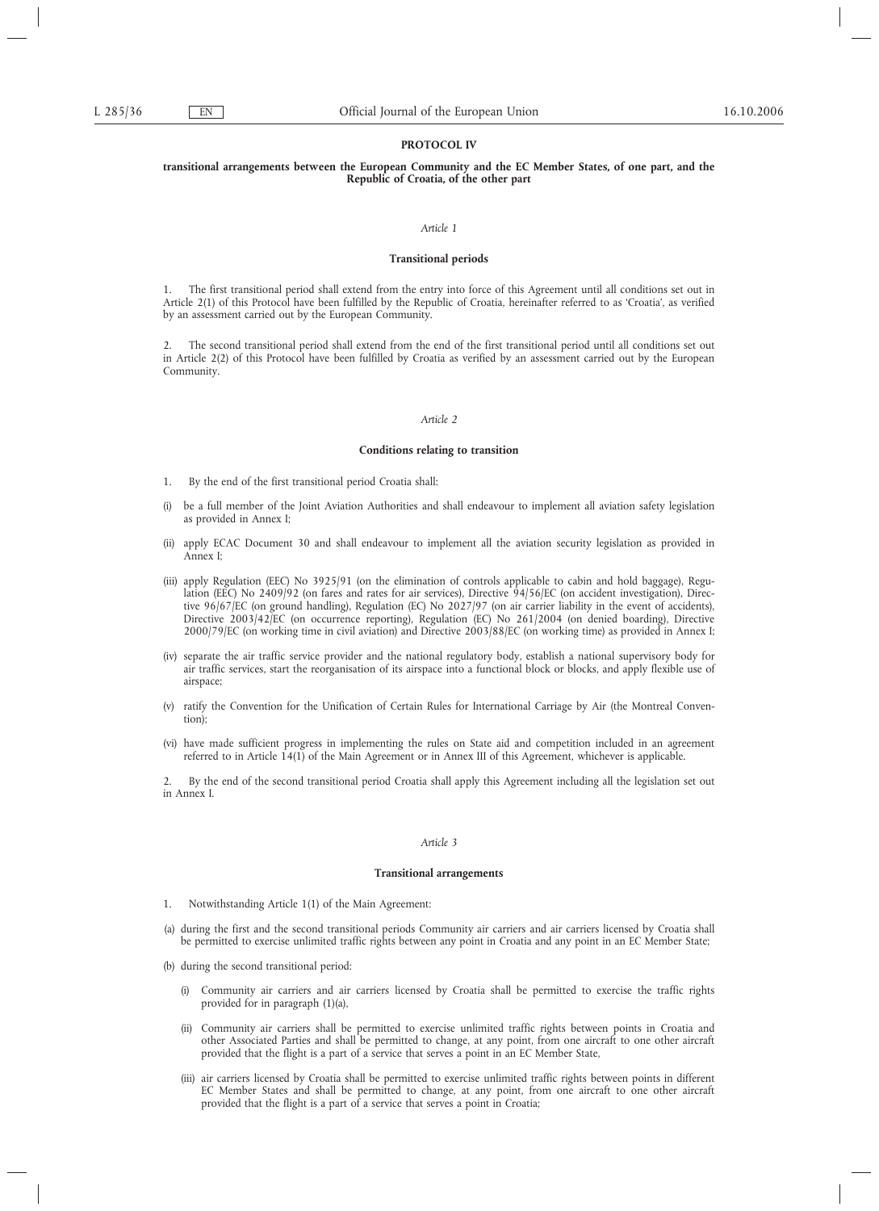## **PROTOCOL IV**

## **transitional arrangements between the European Community and the EC Member States, of one part, and the Republic of Croatia, of the other part**

## *Article 1*

### **Transitional periods**

1. The first transitional period shall extend from the entry into force of this Agreement until all conditions set out in Article 2(1) of this Protocol have been fulfilled by the Republic of Croatia, hereinafter referred to as 'Croatia', as verified by an assessment carried out by the European Community.

2. The second transitional period shall extend from the end of the first transitional period until all conditions set out in Article 2(2) of this Protocol have been fulfilled by Croatia as verified by an assessment carried out by the European Community.

### *Article 2*

### **Conditions relating to transition**

- 1. By the end of the first transitional period Croatia shall:
- (i) be a full member of the Joint Aviation Authorities and shall endeavour to implement all aviation safety legislation as provided in Annex I;
- (ii) apply ECAC Document 30 and shall endeavour to implement all the aviation security legislation as provided in Annex I;
- (iii) apply Regulation (EEC) No 3925/91 (on the elimination of controls applicable to cabin and hold baggage), Regulation (EEC) No 2409/92 (on fares and rates for air services), Directive 94/56/EC (on accident investigation), Directive 96/67/EC (on ground handling), Regulation (EC) No 2027/97 (on air carrier liability in the event of accidents), Directive 2003/42/EC (on occurrence reporting), Regulation (EC) No 261/2004 (on denied boarding), Directive 2000/79/EC (on working time in civil aviation) and Directive 2003/88/EC (on working time) as provided in Annex I;
- (iv) separate the air traffic service provider and the national regulatory body, establish a national supervisory body for air traffic services, start the reorganisation of its airspace into a functional block or blocks, and apply flexible use of airspace;
- (v) ratify the Convention for the Unification of Certain Rules for International Carriage by Air (the Montreal Convention);
- (vi) have made sufficient progress in implementing the rules on State aid and competition included in an agreement referred to in Article 14(1) of the Main Agreement or in Annex III of this Agreement, whichever is applicable.

2. By the end of the second transitional period Croatia shall apply this Agreement including all the legislation set out in Annex I.

### *Article 3*

## **Transitional arrangements**

- 1. Notwithstanding Article 1(1) of the Main Agreement:
- (a) during the first and the second transitional periods Community air carriers and air carriers licensed by Croatia shall be permitted to exercise unlimited traffic rights between any point in Croatia and any point in an EC Member State;
- (b) during the second transitional period:
	- (i) Community air carriers and air carriers licensed by Croatia shall be permitted to exercise the traffic rights provided for in paragraph (1)(a),
	- (ii) Community air carriers shall be permitted to exercise unlimited traffic rights between points in Croatia and other Associated Parties and shall be permitted to change, at any point, from one aircraft to one other aircraft provided that the flight is a part of a service that serves a point in an EC Member State,
	- (iii) air carriers licensed by Croatia shall be permitted to exercise unlimited traffic rights between points in different EC Member States and shall be permitted to change, at any point, from one aircraft to one other aircraft provided that the flight is a part of a service that serves a point in Croatia;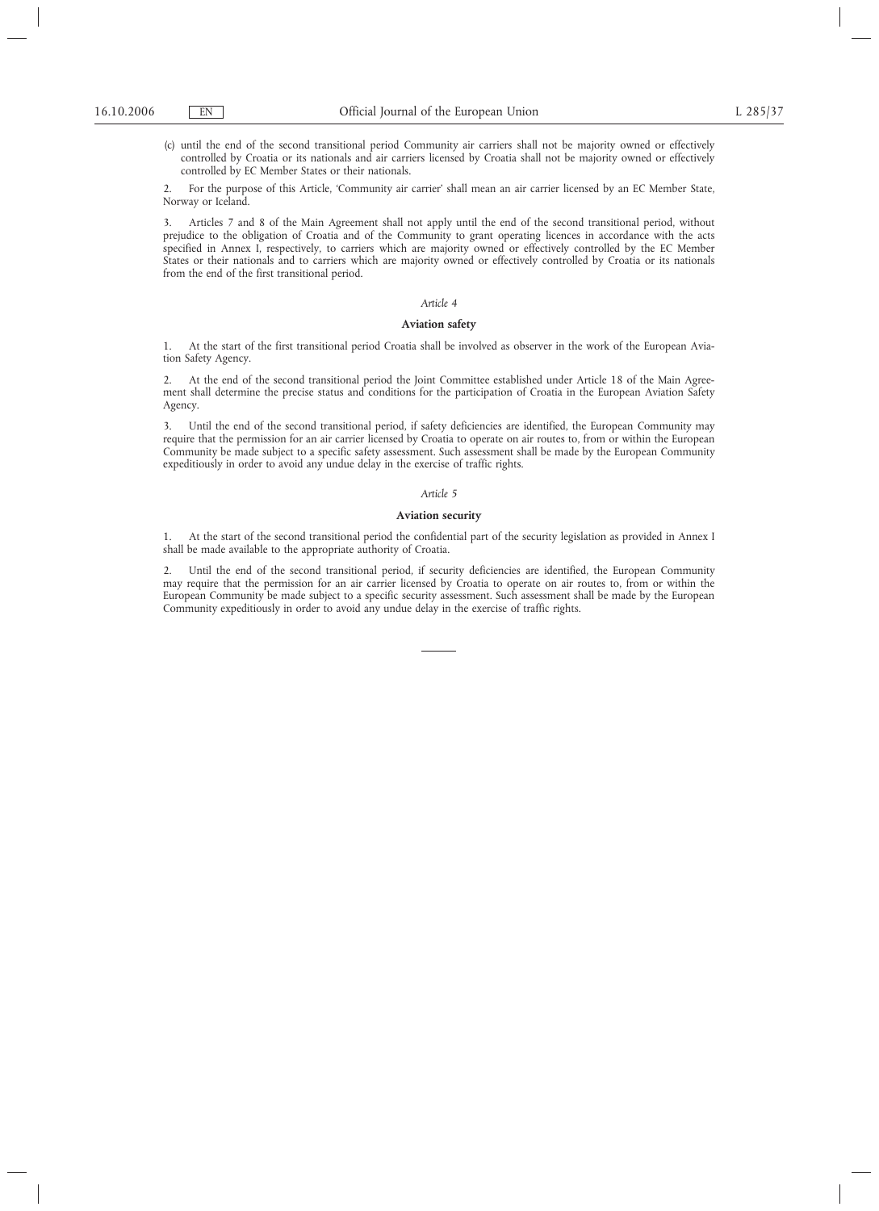(c) until the end of the second transitional period Community air carriers shall not be majority owned or effectively controlled by Croatia or its nationals and air carriers licensed by Croatia shall not be majority owned or effectively controlled by EC Member States or their nationals.

2. For the purpose of this Article, 'Community air carrier' shall mean an air carrier licensed by an EC Member State, Norway or Iceland.

3. Articles 7 and 8 of the Main Agreement shall not apply until the end of the second transitional period, without prejudice to the obligation of Croatia and of the Community to grant operating licences in accordance with the acts specified in Annex I, respectively, to carriers which are majority owned or effectively controlled by the EC Member States or their nationals and to carriers which are majority owned or effectively controlled by Croatia or its nationals from the end of the first transitional period.

## *Article 4*

## **Aviation safety**

1. At the start of the first transitional period Croatia shall be involved as observer in the work of the European Aviation Safety Agency.

2. At the end of the second transitional period the Joint Committee established under Article 18 of the Main Agreement shall determine the precise status and conditions for the participation of Croatia in the European Aviation Safety Agency.

3. Until the end of the second transitional period, if safety deficiencies are identified, the European Community may require that the permission for an air carrier licensed by Croatia to operate on air routes to, from or within the European Community be made subject to a specific safety assessment. Such assessment shall be made by the European Community expeditiously in order to avoid any undue delay in the exercise of traffic rights.

### *Article 5*

## **Aviation security**

1. At the start of the second transitional period the confidential part of the security legislation as provided in Annex I shall be made available to the appropriate authority of Croatia.

2. Until the end of the second transitional period, if security deficiencies are identified, the European Community may require that the permission for an air carrier licensed by Croatia to operate on air routes to, from or within the European Community be made subject to a specific security assessment. Such assessment shall be made by the European Community expeditiously in order to avoid any undue delay in the exercise of traffic rights.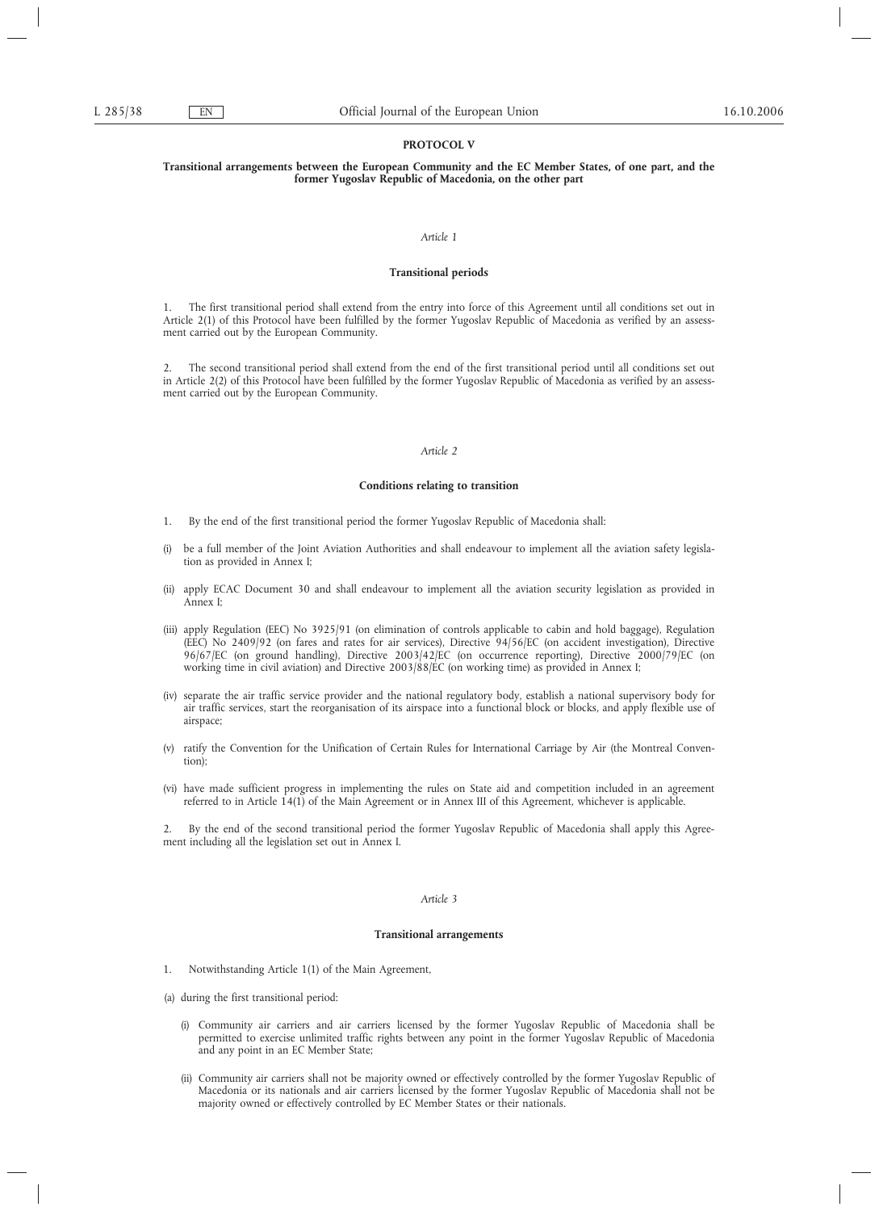## **PROTOCOL V**

## **Transitional arrangements between the European Community and the EC Member States, of one part, and the former Yugoslav Republic of Macedonia, on the other part**

#### *Article 1*

## **Transitional periods**

1. The first transitional period shall extend from the entry into force of this Agreement until all conditions set out in Article 2(1) of this Protocol have been fulfilled by the former Yugoslav Republic of Macedonia as verified by an assessment carried out by the European Community.

2. The second transitional period shall extend from the end of the first transitional period until all conditions set out in Article 2(2) of this Protocol have been fulfilled by the former Yugoslav Republic of Macedonia as verified by an assessment carried out by the European Community.

### *Article 2*

## **Conditions relating to transition**

- 1. By the end of the first transitional period the former Yugoslav Republic of Macedonia shall:
- (i) be a full member of the Joint Aviation Authorities and shall endeavour to implement all the aviation safety legislation as provided in Annex I;
- (ii) apply ECAC Document 30 and shall endeavour to implement all the aviation security legislation as provided in Annex I;
- (iii) apply Regulation (EEC) No 3925/91 (on elimination of controls applicable to cabin and hold baggage), Regulation (EEC) No 2409/92 (on fares and rates for air services), Directive 94/56/EC (on accident investigation), Directive 96/67/EC (on ground handling), Directive 2003/42/EC (on occurrence reporting), Directive 2000/79/EC (on working time in civil aviation) and Directive 2003/88/EC (on working time) as provided in Annex I;
- (iv) separate the air traffic service provider and the national regulatory body, establish a national supervisory body for air traffic services, start the reorganisation of its airspace into a functional block or blocks, and apply flexible use of airspace;
- (v) ratify the Convention for the Unification of Certain Rules for International Carriage by Air (the Montreal Convention);
- (vi) have made sufficient progress in implementing the rules on State aid and competition included in an agreement referred to in Article 14(1) of the Main Agreement or in Annex III of this Agreement, whichever is applicable.

2. By the end of the second transitional period the former Yugoslav Republic of Macedonia shall apply this Agreement including all the legislation set out in Annex I.

### *Article 3*

### **Transitional arrangements**

- 1. Notwithstanding Article 1(1) of the Main Agreement,
- (a) during the first transitional period:
	- (i) Community air carriers and air carriers licensed by the former Yugoslav Republic of Macedonia shall be permitted to exercise unlimited traffic rights between any point in the former Yugoslav Republic of Macedonia and any point in an EC Member State;
	- (ii) Community air carriers shall not be majority owned or effectively controlled by the former Yugoslav Republic of Macedonia or its nationals and air carriers licensed by the former Yugoslav Republic of Macedonia shall not be majority owned or effectively controlled by EC Member States or their nationals.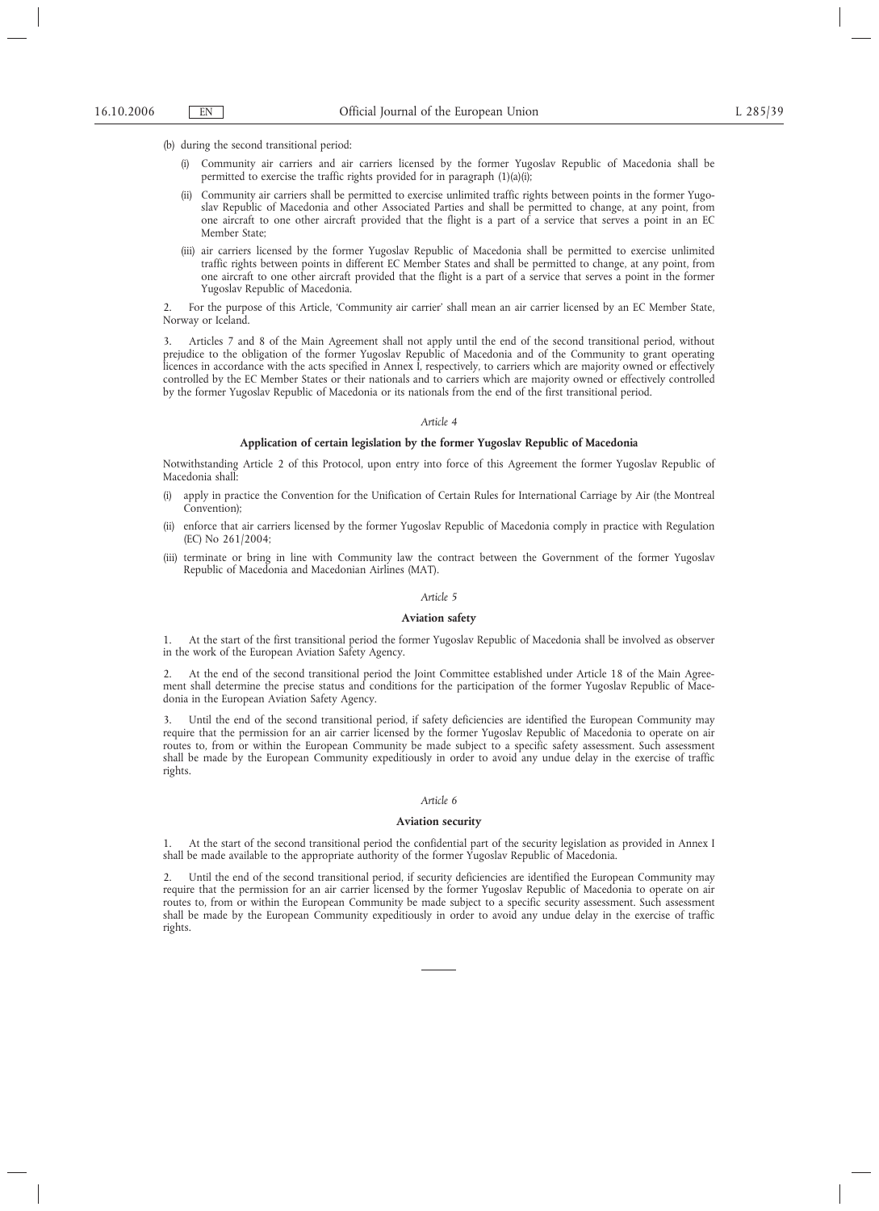(b) during the second transitional period:

- (i) Community air carriers and air carriers licensed by the former Yugoslav Republic of Macedonia shall be permitted to exercise the traffic rights provided for in paragraph (1)(a)(i);
- (ii) Community air carriers shall be permitted to exercise unlimited traffic rights between points in the former Yugoslav Republic of Macedonia and other Associated Parties and shall be permitted to change, at any point, from one aircraft to one other aircraft provided that the flight is a part of a service that serves a point in an EC Member State;
- (iii) air carriers licensed by the former Yugoslav Republic of Macedonia shall be permitted to exercise unlimited traffic rights between points in different EC Member States and shall be permitted to change, at any point, from one aircraft to one other aircraft provided that the flight is a part of a service that serves a point in the former Yugoslav Republic of Macedonia.

2. For the purpose of this Article, 'Community air carrier' shall mean an air carrier licensed by an EC Member State, Norway or Iceland.

3. Articles 7 and 8 of the Main Agreement shall not apply until the end of the second transitional period, without prejudice to the obligation of the former Yugoslav Republic of Macedonia and of the Community to grant operating licences in accordance with the acts specified in Annex I, respectively, to carriers which are majority owned or effectively controlled by the EC Member States or their nationals and to carriers which are majority owned or effectively controlled by the former Yugoslav Republic of Macedonia or its nationals from the end of the first transitional period.

#### *Article 4*

## **Application of certain legislation by the former Yugoslav Republic of Macedonia**

Notwithstanding Article 2 of this Protocol, upon entry into force of this Agreement the former Yugoslav Republic of Macedonia shal

- (i) apply in practice the Convention for the Unification of Certain Rules for International Carriage by Air (the Montreal Convention);
- (ii) enforce that air carriers licensed by the former Yugoslav Republic of Macedonia comply in practice with Regulation (EC) No 261/2004;
- (iii) terminate or bring in line with Community law the contract between the Government of the former Yugoslav Republic of Macedonia and Macedonian Airlines (MAT).

### *Article 5*

### **Aviation safety**

1. At the start of the first transitional period the former Yugoslav Republic of Macedonia shall be involved as observer in the work of the European Aviation Safety Agency.

2. At the end of the second transitional period the Joint Committee established under Article 18 of the Main Agreement shall determine the precise status and conditions for the participation of the former Yugoslav Republic of Macedonia in the European Aviation Safety Agency.

3. Until the end of the second transitional period, if safety deficiencies are identified the European Community may require that the permission for an air carrier licensed by the former Yugoslav Republic of Macedonia to operate on air routes to, from or within the European Community be made subject to a specific safety assessment. Such assessment shall be made by the European Community expeditiously in order to avoid any undue delay in the exercise of traffic rights.

## *Article 6*

## **Aviation security**

1. At the start of the second transitional period the confidential part of the security legislation as provided in Annex I shall be made available to the appropriate authority of the former Yugoslav Republic of Macedonia.

2. Until the end of the second transitional period, if security deficiencies are identified the European Community may require that the permission for an air carrier licensed by the former Yugoslav Republic of Macedonia to operate on air routes to, from or within the European Community be made subject to a specific security assessment. Such assessment shall be made by the European Community expeditiously in order to avoid any undue delay in the exercise of traffic rights.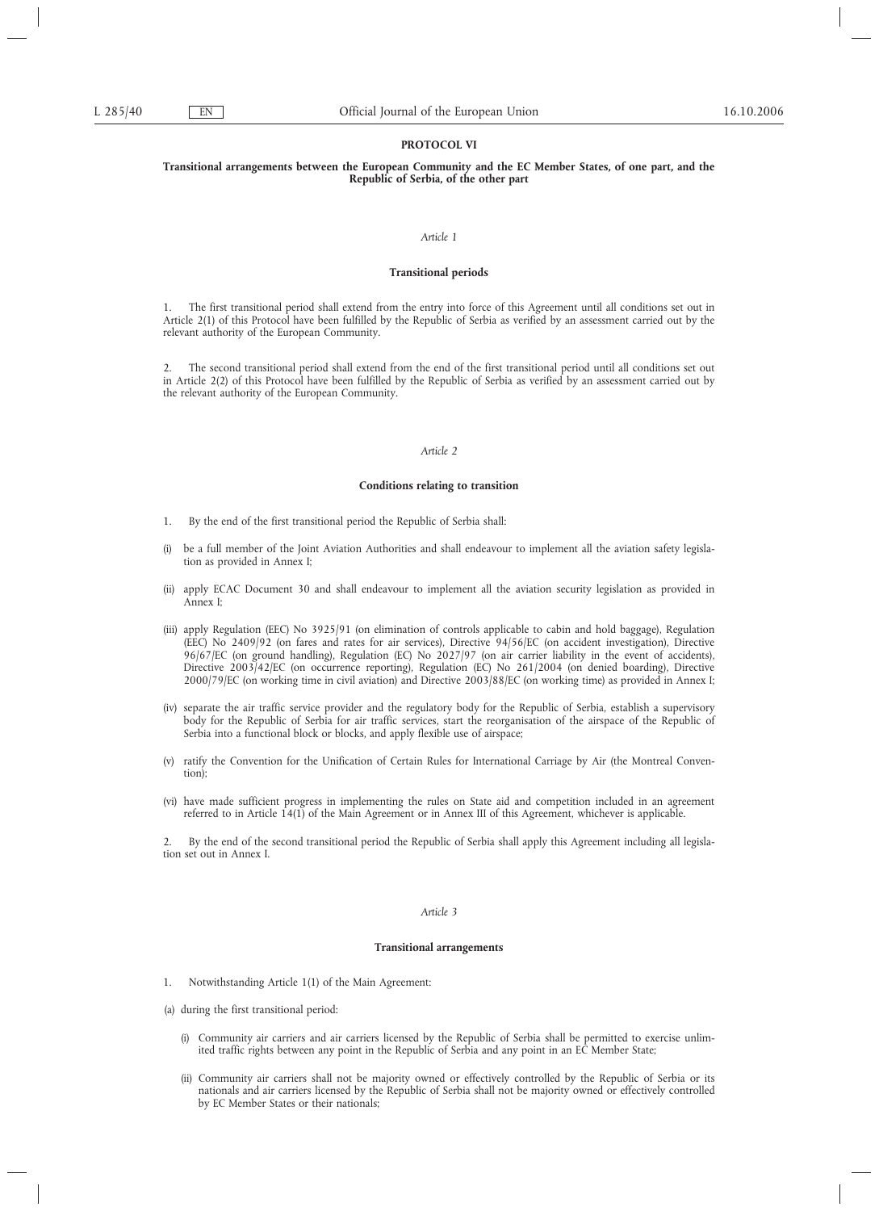# **PROTOCOL VI**

## **Transitional arrangements between the European Community and the EC Member States, of one part, and the Republic of Serbia, of the other part**

#### *Article 1*

## **Transitional periods**

1. The first transitional period shall extend from the entry into force of this Agreement until all conditions set out in Article 2(1) of this Protocol have been fulfilled by the Republic of Serbia as verified by an assessment carried out by the relevant authority of the European Community.

2. The second transitional period shall extend from the end of the first transitional period until all conditions set out in Article 2(2) of this Protocol have been fulfilled by the Republic of Serbia as verified by an assessment carried out by the relevant authority of the European Community.

### *Article 2*

## **Conditions relating to transition**

- 1. By the end of the first transitional period the Republic of Serbia shall:
- (i) be a full member of the Joint Aviation Authorities and shall endeavour to implement all the aviation safety legislation as provided in Annex I;
- (ii) apply ECAC Document 30 and shall endeavour to implement all the aviation security legislation as provided in Annex I;
- (iii) apply Regulation (EEC) No 3925/91 (on elimination of controls applicable to cabin and hold baggage), Regulation (EEC) No 2409/92 (on fares and rates for air services), Directive 94/56/EC (on accident investigation), Directive 96/67/EC (on ground handling), Regulation (EC) No 2027/97 (on air carrier liability in the event of accidents), Directive 2003/42/EC (on occurrence reporting), Regulation (EC) No 261/2004 (on denied boarding), Directive 2000/79/EC (on working time in civil aviation) and Directive 2003/88/EC (on working time) as provided in Annex I;
- (iv) separate the air traffic service provider and the regulatory body for the Republic of Serbia, establish a supervisory body for the Republic of Serbia for air traffic services, start the reorganisation of the airspace of the Republic of Serbia into a functional block or blocks, and apply flexible use of airspace;
- (v) ratify the Convention for the Unification of Certain Rules for International Carriage by Air (the Montreal Convention);
- (vi) have made sufficient progress in implementing the rules on State aid and competition included in an agreement referred to in Article 14(1) of the Main Agreement or in Annex III of this Agreement, whichever is applicable.

2. By the end of the second transitional period the Republic of Serbia shall apply this Agreement including all legislation set out in Annex I.

### *Article 3*

### **Transitional arrangements**

- 1. Notwithstanding Article 1(1) of the Main Agreement:
- (a) during the first transitional period:
	- (i) Community air carriers and air carriers licensed by the Republic of Serbia shall be permitted to exercise unlimited traffic rights between any point in the Republic of Serbia and any point in an EC Member State;
	- (ii) Community air carriers shall not be majority owned or effectively controlled by the Republic of Serbia or its nationals and air carriers licensed by the Republic of Serbia shall not be majority owned or effectively controlled by EC Member States or their nationals;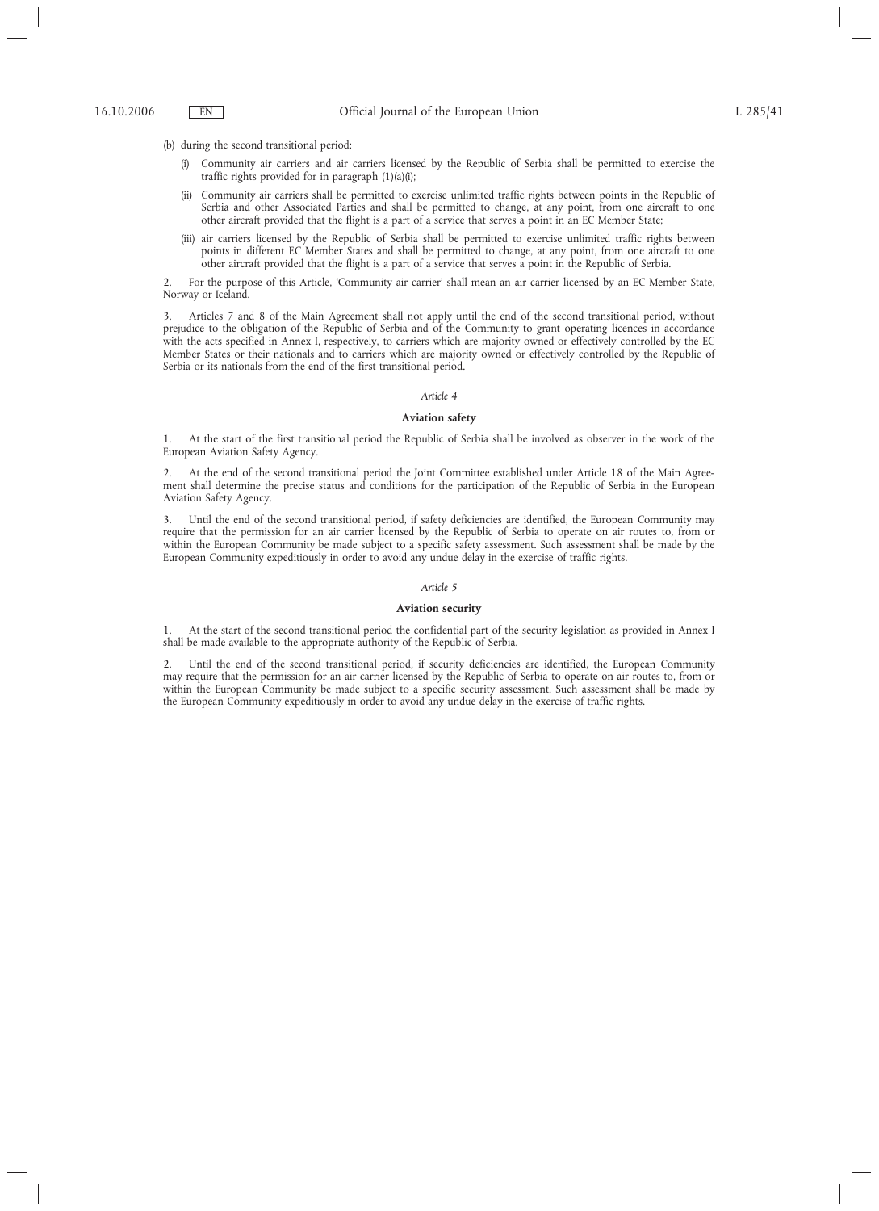(b) during the second transitional period:

- (i) Community air carriers and air carriers licensed by the Republic of Serbia shall be permitted to exercise the traffic rights provided for in paragraph (1)(a)(i);
- (ii) Community air carriers shall be permitted to exercise unlimited traffic rights between points in the Republic of Serbia and other Associated Parties and shall be permitted to change, at any point, from one aircraft to one other aircraft provided that the flight is a part of a service that serves a point in an EC Member State;
- (iii) air carriers licensed by the Republic of Serbia shall be permitted to exercise unlimited traffic rights between points in different EC Member States and shall be permitted to change, at any point, from one aircraft to one other aircraft provided that the flight is a part of a service that serves a point in the Republic of Serbia.

2. For the purpose of this Article, 'Community air carrier' shall mean an air carrier licensed by an EC Member State, Norway or Iceland.

3. Articles 7 and 8 of the Main Agreement shall not apply until the end of the second transitional period, without prejudice to the obligation of the Republic of Serbia and of the Community to grant operating licences in accordance with the acts specified in Annex I, respectively, to carriers which are majority owned or effectively controlled by the EC Member States or their nationals and to carriers which are majority owned or effectively controlled by the Republic of Serbia or its nationals from the end of the first transitional period.

### *Article 4*

## **Aviation safety**

1. At the start of the first transitional period the Republic of Serbia shall be involved as observer in the work of the European Aviation Safety Agency.

2. At the end of the second transitional period the Joint Committee established under Article 18 of the Main Agreement shall determine the precise status and conditions for the participation of the Republic of Serbia in the European Aviation Safety Agency.

3. Until the end of the second transitional period, if safety deficiencies are identified, the European Community may require that the permission for an air carrier licensed by the Republic of Serbia to operate on air routes to, from or within the European Community be made subject to a specific safety assessment. Such assessment shall be made by the European Community expeditiously in order to avoid any undue delay in the exercise of traffic rights.

### *Article 5*

### **Aviation security**

1. At the start of the second transitional period the confidential part of the security legislation as provided in Annex I shall be made available to the appropriate authority of the Republic of Serbia.

2. Until the end of the second transitional period, if security deficiencies are identified, the European Community may require that the permission for an air carrier licensed by the Republic of Serbia to operate on air routes to, from or within the European Community be made subject to a specific security assessment. Such assessment shall be made by the European Community expeditiously in order to avoid any undue delay in the exercise of traffic rights.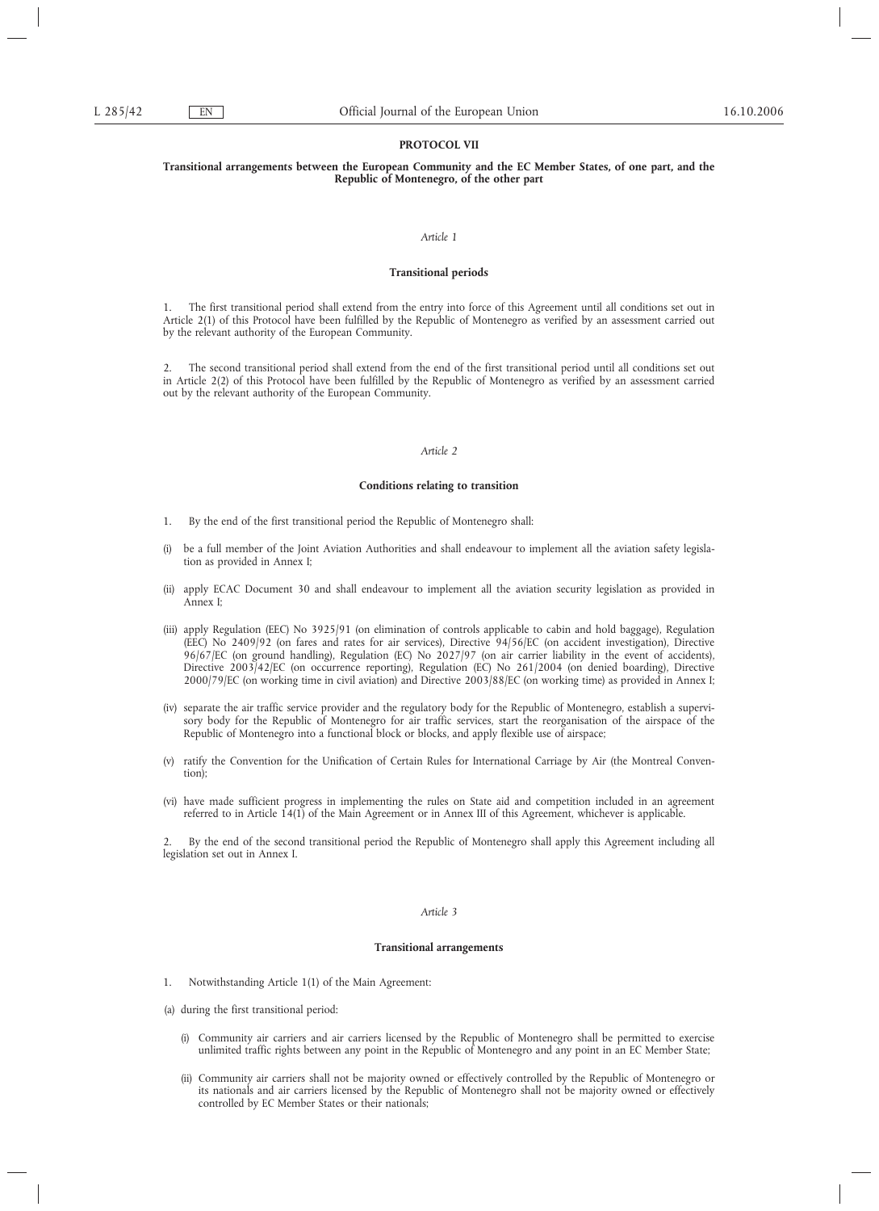## **PROTOCOL VII**

## **Transitional arrangements between the European Community and the EC Member States, of one part, and the Republic of Montenegro, of the other part**

#### *Article 1*

## **Transitional periods**

1. The first transitional period shall extend from the entry into force of this Agreement until all conditions set out in Article 2(1) of this Protocol have been fulfilled by the Republic of Montenegro as verified by an assessment carried out by the relevant authority of the European Community.

2. The second transitional period shall extend from the end of the first transitional period until all conditions set out in Article 2(2) of this Protocol have been fulfilled by the Republic of Montenegro as verified by an assessment carried out by the relevant authority of the European Community.

### *Article 2*

## **Conditions relating to transition**

- 1. By the end of the first transitional period the Republic of Montenegro shall:
- (i) be a full member of the Joint Aviation Authorities and shall endeavour to implement all the aviation safety legislation as provided in Annex I;
- (ii) apply ECAC Document 30 and shall endeavour to implement all the aviation security legislation as provided in Annex I;
- (iii) apply Regulation (EEC) No 3925/91 (on elimination of controls applicable to cabin and hold baggage), Regulation (EEC) No 2409/92 (on fares and rates for air services), Directive 94/56/EC (on accident investigation), Directive 96/67/EC (on ground handling), Regulation (EC) No 2027/97 (on air carrier liability in the event of accidents), Directive 2003/42/EC (on occurrence reporting), Regulation (EC) No 261/2004 (on denied boarding), Directive 2000/79/EC (on working time in civil aviation) and Directive 2003/88/EC (on working time) as provided in Annex I;
- (iv) separate the air traffic service provider and the regulatory body for the Republic of Montenegro, establish a supervisory body for the Republic of Montenegro for air traffic services, start the reorganisation of the airspace of the Republic of Montenegro into a functional block or blocks, and apply flexible use of airspace;
- (v) ratify the Convention for the Unification of Certain Rules for International Carriage by Air (the Montreal Convention);
- (vi) have made sufficient progress in implementing the rules on State aid and competition included in an agreement referred to in Article 14(1) of the Main Agreement or in Annex III of this Agreement, whichever is applicable.

2. By the end of the second transitional period the Republic of Montenegro shall apply this Agreement including all legislation set out in Annex I.

### *Article 3*

### **Transitional arrangements**

- 1. Notwithstanding Article 1(1) of the Main Agreement:
- (a) during the first transitional period:
	- (i) Community air carriers and air carriers licensed by the Republic of Montenegro shall be permitted to exercise unlimited traffic rights between any point in the Republic of Montenegro and any point in an EC Member State;
	- (ii) Community air carriers shall not be majority owned or effectively controlled by the Republic of Montenegro or its nationals and air carriers licensed by the Republic of Montenegro shall not be majority owned or effectively controlled by EC Member States or their nationals;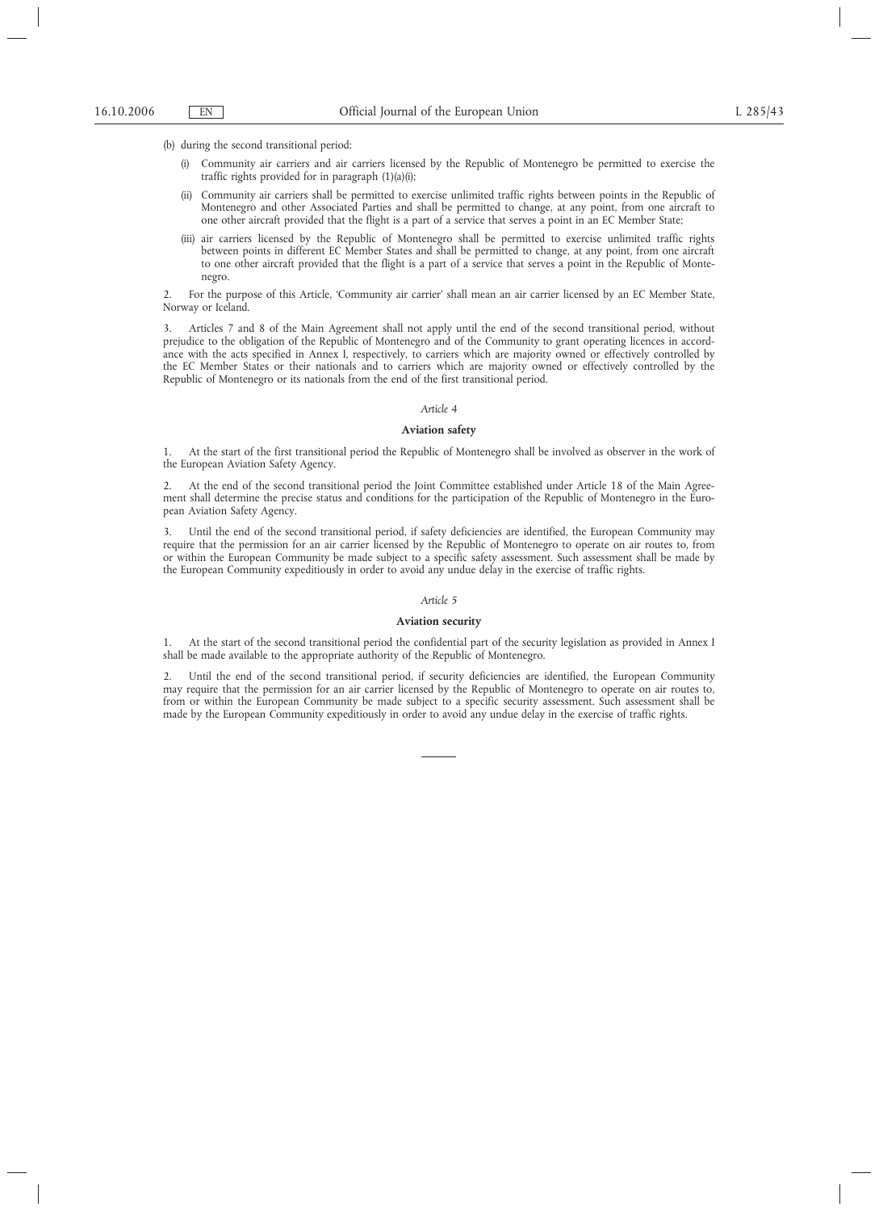(b) during the second transitional period:

- (i) Community air carriers and air carriers licensed by the Republic of Montenegro be permitted to exercise the traffic rights provided for in paragraph (1)(a)(i);
- (ii) Community air carriers shall be permitted to exercise unlimited traffic rights between points in the Republic of Montenegro and other Associated Parties and shall be permitted to change, at any point, from one aircraft to one other aircraft provided that the flight is a part of a service that serves a point in an EC Member State;
- (iii) air carriers licensed by the Republic of Montenegro shall be permitted to exercise unlimited traffic rights between points in different EC Member States and shall be permitted to change, at any point, from one aircraft to one other aircraft provided that the flight is a part of a service that serves a point in the Republic of Montenegro.

2. For the purpose of this Article, 'Community air carrier' shall mean an air carrier licensed by an EC Member State, Norway or Iceland.

3. Articles 7 and 8 of the Main Agreement shall not apply until the end of the second transitional period, without prejudice to the obligation of the Republic of Montenegro and of the Community to grant operating licences in accordance with the acts specified in Annex I, respectively, to carriers which are majority owned or effectively controlled by the EC Member States or their nationals and to carriers which are majority owned or effectively controlled by the Republic of Montenegro or its nationals from the end of the first transitional period.

#### *Article 4*

#### **Aviation safety**

1. At the start of the first transitional period the Republic of Montenegro shall be involved as observer in the work of the European Aviation Safety Agency.

2. At the end of the second transitional period the Joint Committee established under Article 18 of the Main Agreement shall determine the precise status and conditions for the participation of the Republic of Montenegro in the European Aviation Safety Agency.

3. Until the end of the second transitional period, if safety deficiencies are identified, the European Community may require that the permission for an air carrier licensed by the Republic of Montenegro to operate on air routes to, from or within the European Community be made subject to a specific safety assessment. Such assessment shall be made by the European Community expeditiously in order to avoid any undue delay in the exercise of traffic rights.

#### *Article 5*

# **Aviation security**

1. At the start of the second transitional period the confidential part of the security legislation as provided in Annex I shall be made available to the appropriate authority of the Republic of Montenegro.

2. Until the end of the second transitional period, if security deficiencies are identified, the European Community may require that the permission for an air carrier licensed by the Republic of Montenegro to operate on air routes to, from or within the European Community be made subject to a specific security assessment. Such assessment shall be made by the European Community expeditiously in order to avoid any undue delay in the exercise of traffic rights.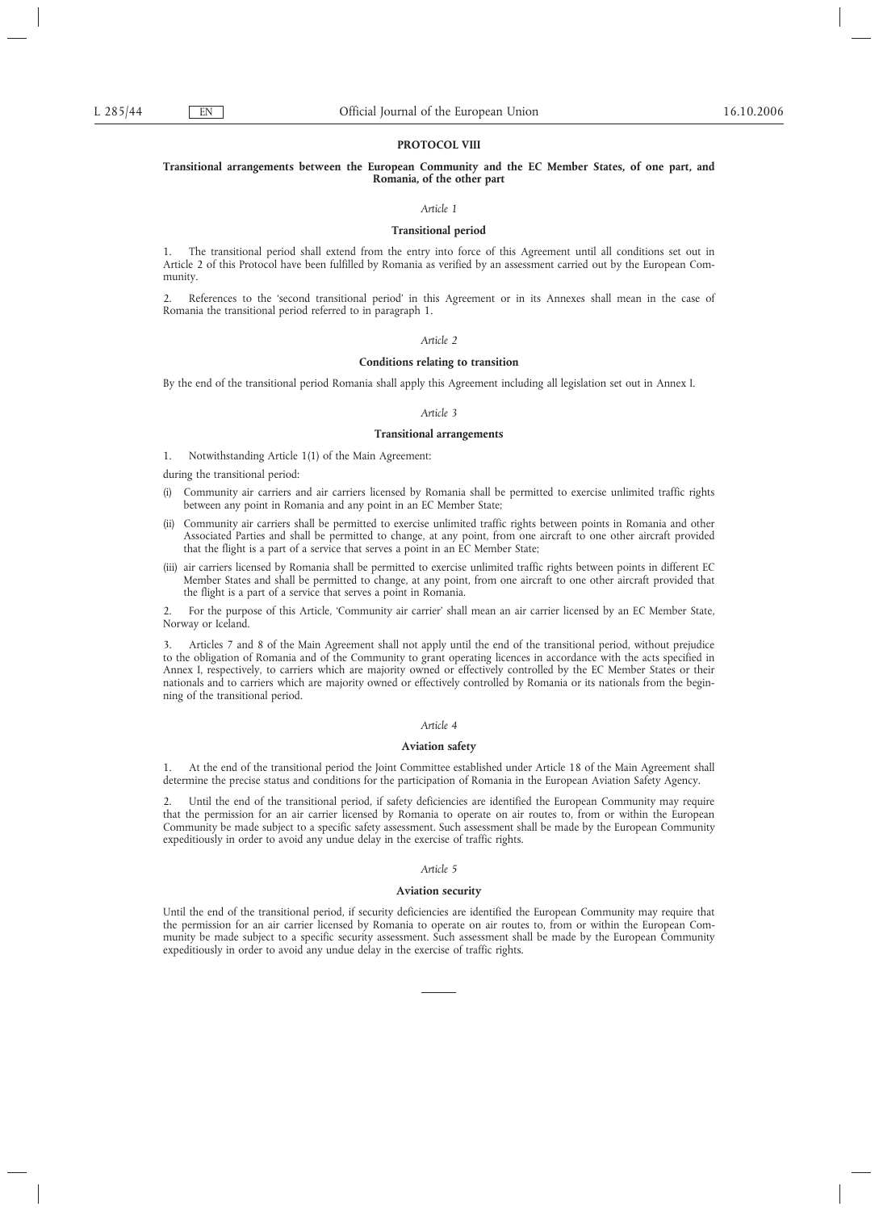## **PROTOCOL VIII**

## **Transitional arrangements between the European Community and the EC Member States, of one part, and Romania, of the other part**

## *Article 1*

### **Transitional period**

1. The transitional period shall extend from the entry into force of this Agreement until all conditions set out in Article 2 of this Protocol have been fulfilled by Romania as verified by an assessment carried out by the European Community.

2. References to the 'second transitional period' in this Agreement or in its Annexes shall mean in the case of Romania the transitional period referred to in paragraph 1.

## *Article 2*

### **Conditions relating to transition**

By the end of the transitional period Romania shall apply this Agreement including all legislation set out in Annex I.

### *Article 3*

### **Transitional arrangements**

1. Notwithstanding Article 1(1) of the Main Agreement:

during the transitional period:

- (i) Community air carriers and air carriers licensed by Romania shall be permitted to exercise unlimited traffic rights between any point in Romania and any point in an EC Member State;
- (ii) Community air carriers shall be permitted to exercise unlimited traffic rights between points in Romania and other Associated Parties and shall be permitted to change, at any point, from one aircraft to one other aircraft provided that the flight is a part of a service that serves a point in an EC Member State;
- (iii) air carriers licensed by Romania shall be permitted to exercise unlimited traffic rights between points in different EC Member States and shall be permitted to change, at any point, from one aircraft to one other aircraft provided that the flight is a part of a service that serves a point in Romania.

2. For the purpose of this Article, 'Community air carrier' shall mean an air carrier licensed by an EC Member State, Norway or Iceland.

3. Articles 7 and 8 of the Main Agreement shall not apply until the end of the transitional period, without prejudice to the obligation of Romania and of the Community to grant operating licences in accordance with the acts specified in Annex I, respectively, to carriers which are majority owned or effectively controlled by the EC Member States or their nationals and to carriers which are majority owned or effectively controlled by Romania or its nationals from the beginning of the transitional period.

#### *Article 4*

#### **Aviation safety**

1. At the end of the transitional period the Joint Committee established under Article 18 of the Main Agreement shall determine the precise status and conditions for the participation of Romania in the European Aviation Safety Agency.

2. Until the end of the transitional period, if safety deficiencies are identified the European Community may require that the permission for an air carrier licensed by Romania to operate on air routes to, from or within the European Community be made subject to a specific safety assessment. Such assessment shall be made by the European Community expeditiously in order to avoid any undue delay in the exercise of traffic rights.

### *Article 5*

#### **Aviation security**

Until the end of the transitional period, if security deficiencies are identified the European Community may require that the permission for an air carrier licensed by Romania to operate on air routes to, from or within the European Community be made subject to a specific security assessment. Such assessment shall be made by the European Community expeditiously in order to avoid any undue delay in the exercise of traffic rights.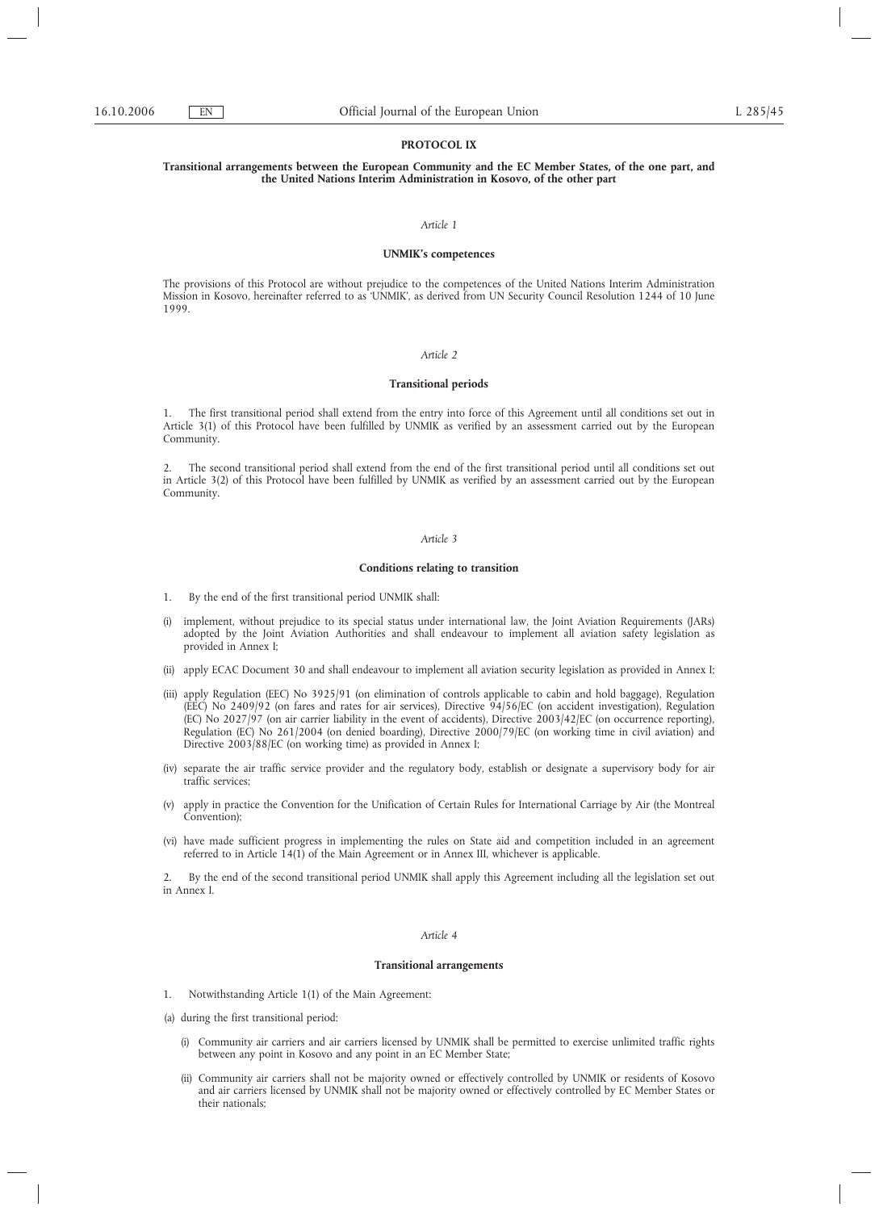## **PROTOCOL IX**

## **Transitional arrangements between the European Community and the EC Member States, of the one part, and the United Nations Interim Administration in Kosovo, of the other part**

#### *Article 1*

### **UNMIK's competences**

The provisions of this Protocol are without prejudice to the competences of the United Nations Interim Administration Mission in Kosovo, hereinafter referred to as 'UNMIK', as derived from UN Security Council Resolution 1244 of 10 June 1999.

#### *Article 2*

## **Transitional periods**

1. The first transitional period shall extend from the entry into force of this Agreement until all conditions set out in Article 3(1) of this Protocol have been fulfilled by UNMIK as verified by an assessment carried out by the European Community.

2. The second transitional period shall extend from the end of the first transitional period until all conditions set out in Article 3(2) of this Protocol have been fulfilled by UNMIK as verified by an assessment carried out by the European Community.

### *Article 3*

### **Conditions relating to transition**

- 1. By the end of the first transitional period UNMIK shall:
- (i) implement, without prejudice to its special status under international law, the Joint Aviation Requirements (JARs) adopted by the Joint Aviation Authorities and shall endeavour to implement all aviation safety legislation as provided in Annex I;
- (ii) apply ECAC Document 30 and shall endeavour to implement all aviation security legislation as provided in Annex I;
- (iii) apply Regulation (EEC) No 3925/91 (on elimination of controls applicable to cabin and hold baggage), Regulation (EEC) No 2409/92 (on fares and rates for air services), Directive 94/56/EC (on accident investigation), Regulation (EC) No 2027/97 (on air carrier liability in the event of accidents), Directive 2003/42/EC (on occurrence reporting), Regulation (EC) No 261/2004 (on denied boarding), Directive 2000/79/EC (on working time in civil aviation) and Directive 2003/88/EC (on working time) as provided in Annex I;
- (iv) separate the air traffic service provider and the regulatory body, establish or designate a supervisory body for air traffic services;
- (v) apply in practice the Convention for the Unification of Certain Rules for International Carriage by Air (the Montreal Convention);
- (vi) have made sufficient progress in implementing the rules on State aid and competition included in an agreement referred to in Article 14(1) of the Main Agreement or in Annex III, whichever is applicable.

2. By the end of the second transitional period UNMIK shall apply this Agreement including all the legislation set out in Annex I.

### *Article 4*

### **Transitional arrangements**

- 1. Notwithstanding Article 1(1) of the Main Agreement:
- (a) during the first transitional period:
	- (i) Community air carriers and air carriers licensed by UNMIK shall be permitted to exercise unlimited traffic rights between any point in Kosovo and any point in an EC Member State;
	- (ii) Community air carriers shall not be majority owned or effectively controlled by UNMIK or residents of Kosovo and air carriers licensed by UNMIK shall not be majority owned or effectively controlled by EC Member States or their nationals;